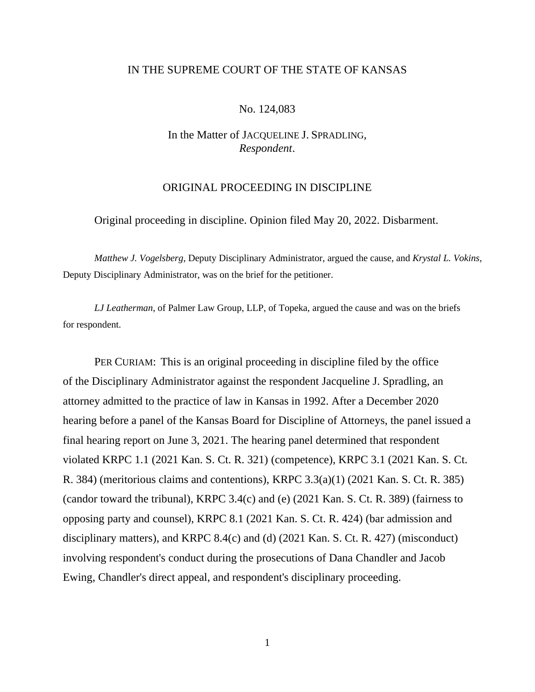# IN THE SUPREME COURT OF THE STATE OF KANSAS

## No. 124,083

# In the Matter of JACQUELINE J. SPRADLING, *Respondent*.

# ORIGINAL PROCEEDING IN DISCIPLINE

Original proceeding in discipline. Opinion filed May 20, 2022. Disbarment.

*Matthew J. Vogelsberg*, Deputy Disciplinary Administrator, argued the cause, and *Krystal L. Vokins*, Deputy Disciplinary Administrator, was on the brief for the petitioner.

*LJ Leatherman*, of Palmer Law Group, LLP, of Topeka, argued the cause and was on the briefs for respondent.

PER CURIAM: This is an original proceeding in discipline filed by the office of the Disciplinary Administrator against the respondent Jacqueline J. Spradling, an attorney admitted to the practice of law in Kansas in 1992. After a December 2020 hearing before a panel of the Kansas Board for Discipline of Attorneys, the panel issued a final hearing report on June 3, 2021. The hearing panel determined that respondent violated KRPC 1.1 (2021 Kan. S. Ct. R. 321) (competence), KRPC 3.1 (2021 Kan. S. Ct. R. 384) (meritorious claims and contentions), KRPC 3.3(a)(1) (2021 Kan. S. Ct. R. 385) (candor toward the tribunal), KRPC 3.4(c) and (e) (2021 Kan. S. Ct. R. 389) (fairness to opposing party and counsel), KRPC 8.1 (2021 Kan. S. Ct. R. 424) (bar admission and disciplinary matters), and KRPC 8.4(c) and (d) (2021 Kan. S. Ct. R. 427) (misconduct) involving respondent's conduct during the prosecutions of Dana Chandler and Jacob Ewing, Chandler's direct appeal, and respondent's disciplinary proceeding.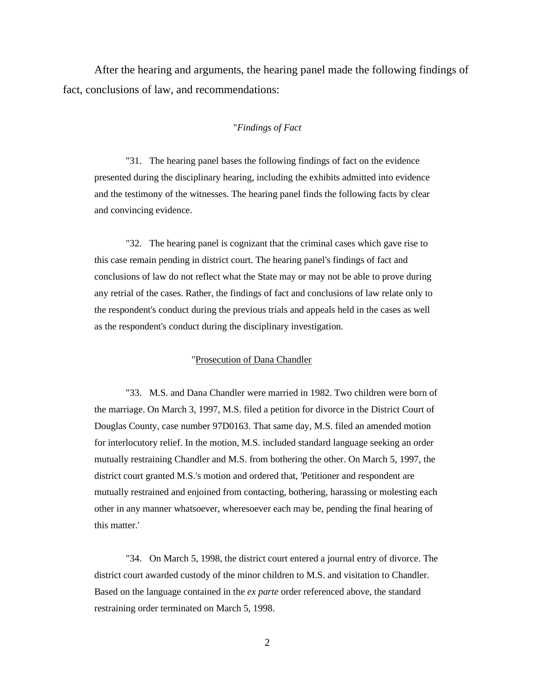After the hearing and arguments, the hearing panel made the following findings of fact, conclusions of law, and recommendations:

#### "*Findings of Fact*

"31. The hearing panel bases the following findings of fact on the evidence presented during the disciplinary hearing, including the exhibits admitted into evidence and the testimony of the witnesses. The hearing panel finds the following facts by clear and convincing evidence.

"32. The hearing panel is cognizant that the criminal cases which gave rise to this case remain pending in district court. The hearing panel's findings of fact and conclusions of law do not reflect what the State may or may not be able to prove during any retrial of the cases. Rather, the findings of fact and conclusions of law relate only to the respondent's conduct during the previous trials and appeals held in the cases as well as the respondent's conduct during the disciplinary investigation.

### "Prosecution of Dana Chandler

"33. M.S. and Dana Chandler were married in 1982. Two children were born of the marriage. On March 3, 1997, M.S. filed a petition for divorce in the District Court of Douglas County, case number 97D0163. That same day, M.S. filed an amended motion for interlocutory relief. In the motion, M.S. included standard language seeking an order mutually restraining Chandler and M.S. from bothering the other. On March 5, 1997, the district court granted M.S.'s motion and ordered that, 'Petitioner and respondent are mutually restrained and enjoined from contacting, bothering, harassing or molesting each other in any manner whatsoever, wheresoever each may be, pending the final hearing of this matter.'

"34. On March 5, 1998, the district court entered a journal entry of divorce. The district court awarded custody of the minor children to M.S. and visitation to Chandler. Based on the language contained in the *ex parte* order referenced above, the standard restraining order terminated on March 5, 1998.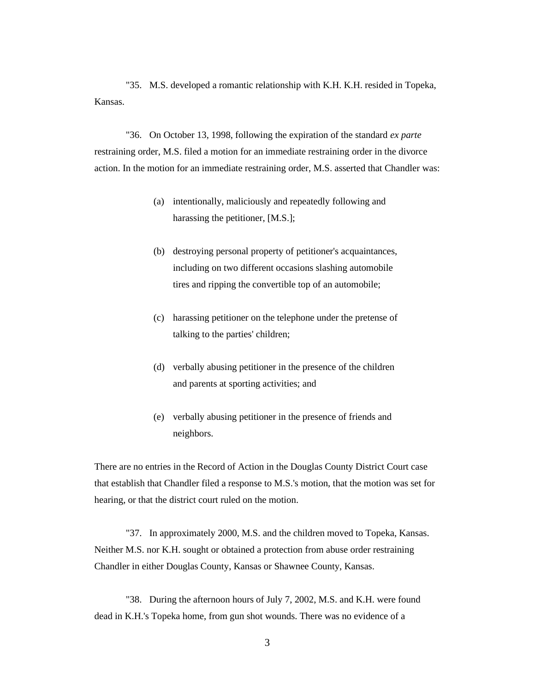"35. M.S. developed a romantic relationship with K.H. K.H. resided in Topeka, Kansas.

"36. On October 13, 1998, following the expiration of the standard *ex parte* restraining order, M.S. filed a motion for an immediate restraining order in the divorce action. In the motion for an immediate restraining order, M.S. asserted that Chandler was:

- (a) intentionally, maliciously and repeatedly following and harassing the petitioner, [M.S.];
- (b) destroying personal property of petitioner's acquaintances, including on two different occasions slashing automobile tires and ripping the convertible top of an automobile;
- (c) harassing petitioner on the telephone under the pretense of talking to the parties' children;
- (d) verbally abusing petitioner in the presence of the children and parents at sporting activities; and
- (e) verbally abusing petitioner in the presence of friends and neighbors.

There are no entries in the Record of Action in the Douglas County District Court case that establish that Chandler filed a response to M.S.'s motion, that the motion was set for hearing, or that the district court ruled on the motion.

"37. In approximately 2000, M.S. and the children moved to Topeka, Kansas. Neither M.S. nor K.H. sought or obtained a protection from abuse order restraining Chandler in either Douglas County, Kansas or Shawnee County, Kansas.

"38. During the afternoon hours of July 7, 2002, M.S. and K.H. were found dead in K.H.'s Topeka home, from gun shot wounds. There was no evidence of a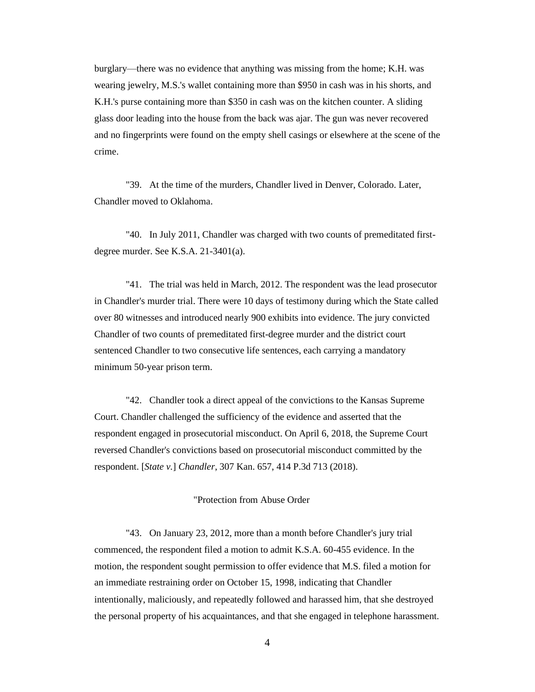burglary—there was no evidence that anything was missing from the home; K.H. was wearing jewelry, M.S.'s wallet containing more than \$950 in cash was in his shorts, and K.H.'s purse containing more than \$350 in cash was on the kitchen counter. A sliding glass door leading into the house from the back was ajar. The gun was never recovered and no fingerprints were found on the empty shell casings or elsewhere at the scene of the crime.

"39. At the time of the murders, Chandler lived in Denver, Colorado. Later, Chandler moved to Oklahoma.

"40. In July 2011, Chandler was charged with two counts of premeditated firstdegree murder. See K.S.A. 21-3401(a).

"41. The trial was held in March, 2012. The respondent was the lead prosecutor in Chandler's murder trial. There were 10 days of testimony during which the State called over 80 witnesses and introduced nearly 900 exhibits into evidence. The jury convicted Chandler of two counts of premeditated first-degree murder and the district court sentenced Chandler to two consecutive life sentences, each carrying a mandatory minimum 50-year prison term.

"42. Chandler took a direct appeal of the convictions to the Kansas Supreme Court. Chandler challenged the sufficiency of the evidence and asserted that the respondent engaged in prosecutorial misconduct. On April 6, 2018, the Supreme Court reversed Chandler's convictions based on prosecutorial misconduct committed by the respondent. [*State v.*] *Chandler*, 307 Kan. 657, 414 P.3d 713 (2018).

### "Protection from Abuse Order

"43. On January 23, 2012, more than a month before Chandler's jury trial commenced, the respondent filed a motion to admit K.S.A. 60-455 evidence. In the motion, the respondent sought permission to offer evidence that M.S. filed a motion for an immediate restraining order on October 15, 1998, indicating that Chandler intentionally, maliciously, and repeatedly followed and harassed him, that she destroyed the personal property of his acquaintances, and that she engaged in telephone harassment.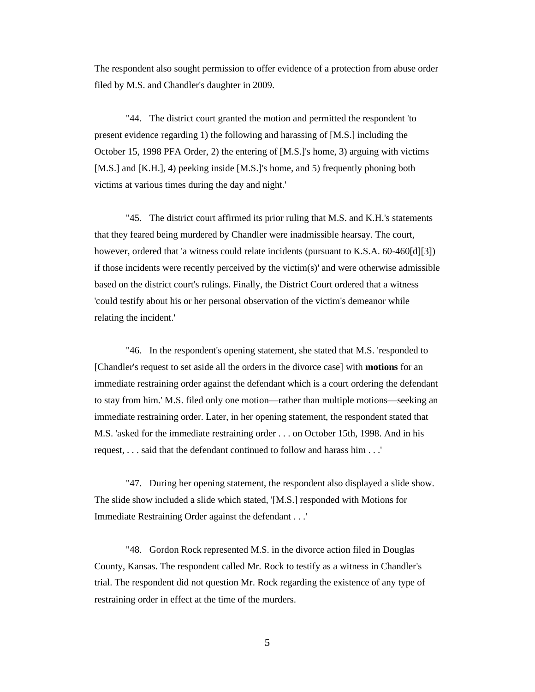The respondent also sought permission to offer evidence of a protection from abuse order filed by M.S. and Chandler's daughter in 2009.

"44. The district court granted the motion and permitted the respondent 'to present evidence regarding 1) the following and harassing of [M.S.] including the October 15, 1998 PFA Order, 2) the entering of [M.S.]'s home, 3) arguing with victims [M.S.] and [K.H.], 4) peeking inside [M.S.]'s home, and 5) frequently phoning both victims at various times during the day and night.'

"45. The district court affirmed its prior ruling that M.S. and K.H.'s statements that they feared being murdered by Chandler were inadmissible hearsay. The court, however, ordered that 'a witness could relate incidents (pursuant to K.S.A. 60-460[d][3]) if those incidents were recently perceived by the victim(s)' and were otherwise admissible based on the district court's rulings. Finally, the District Court ordered that a witness 'could testify about his or her personal observation of the victim's demeanor while relating the incident.'

"46. In the respondent's opening statement, she stated that M.S. 'responded to [Chandler's request to set aside all the orders in the divorce case] with **motions** for an immediate restraining order against the defendant which is a court ordering the defendant to stay from him.' M.S. filed only one motion—rather than multiple motions—seeking an immediate restraining order. Later, in her opening statement, the respondent stated that M.S. 'asked for the immediate restraining order . . . on October 15th, 1998. And in his request, . . . said that the defendant continued to follow and harass him . . .'

"47. During her opening statement, the respondent also displayed a slide show. The slide show included a slide which stated, '[M.S.] responded with Motions for Immediate Restraining Order against the defendant . . .'

"48. Gordon Rock represented M.S. in the divorce action filed in Douglas County, Kansas. The respondent called Mr. Rock to testify as a witness in Chandler's trial. The respondent did not question Mr. Rock regarding the existence of any type of restraining order in effect at the time of the murders.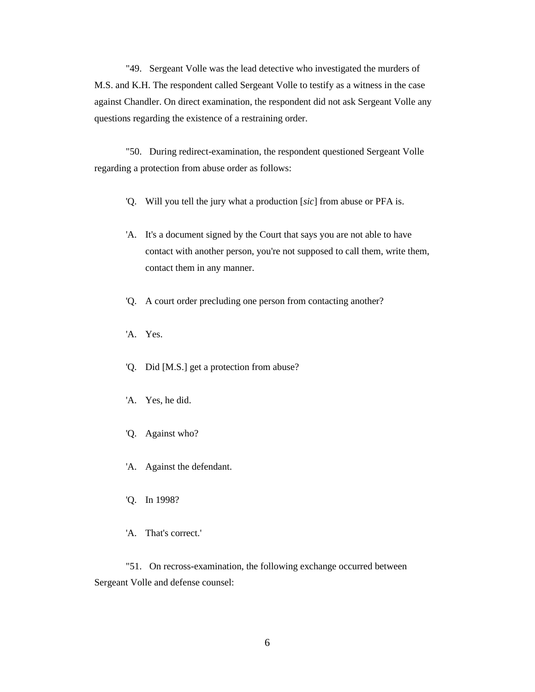"49. Sergeant Volle was the lead detective who investigated the murders of M.S. and K.H. The respondent called Sergeant Volle to testify as a witness in the case against Chandler. On direct examination, the respondent did not ask Sergeant Volle any questions regarding the existence of a restraining order.

"50. During redirect-examination, the respondent questioned Sergeant Volle regarding a protection from abuse order as follows:

- 'Q. Will you tell the jury what a production [*sic*] from abuse or PFA is.
- 'A. It's a document signed by the Court that says you are not able to have contact with another person, you're not supposed to call them, write them, contact them in any manner.
- 'Q. A court order precluding one person from contacting another?
- 'A. Yes.
- 'Q. Did [M.S.] get a protection from abuse?
- 'A. Yes, he did.
- 'Q. Against who?
- 'A. Against the defendant.
- 'Q. In 1998?
- 'A. That's correct.'

"51. On recross-examination, the following exchange occurred between Sergeant Volle and defense counsel: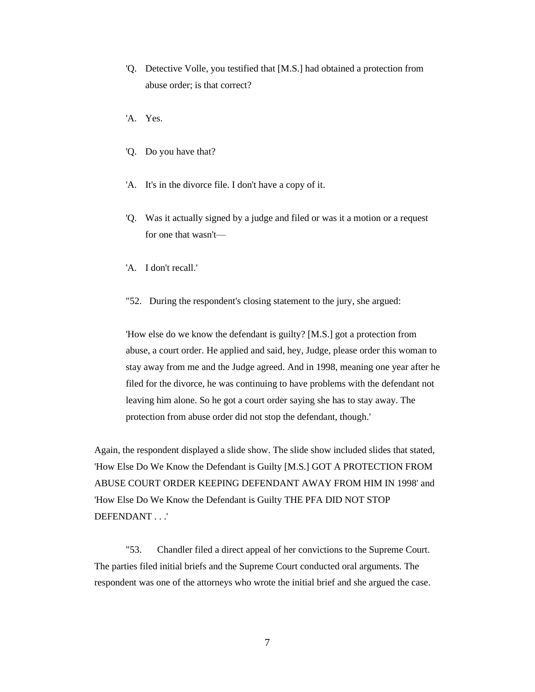- 'Q. Detective Volle, you testified that [M.S.] had obtained a protection from abuse order; is that correct?
- 'A. Yes.
- 'Q. Do you have that?
- 'A. It's in the divorce file. I don't have a copy of it.
- 'Q. Was it actually signed by a judge and filed or was it a motion or a request for one that wasn't—
- 'A. I don't recall.'
- "52. During the respondent's closing statement to the jury, she argued:

'How else do we know the defendant is guilty? [M.S.] got a protection from abuse, a court order. He applied and said, hey, Judge, please order this woman to stay away from me and the Judge agreed. And in 1998, meaning one year after he filed for the divorce, he was continuing to have problems with the defendant not leaving him alone. So he got a court order saying she has to stay away. The protection from abuse order did not stop the defendant, though.'

Again, the respondent displayed a slide show. The slide show included slides that stated, 'How Else Do We Know the Defendant is Guilty [M.S.] GOT A PROTECTION FROM ABUSE COURT ORDER KEEPING DEFENDANT AWAY FROM HIM IN 1998' and 'How Else Do We Know the Defendant is Guilty THE PFA DID NOT STOP DEFENDANT . . .'

"53. Chandler filed a direct appeal of her convictions to the Supreme Court. The parties filed initial briefs and the Supreme Court conducted oral arguments. The respondent was one of the attorneys who wrote the initial brief and she argued the case.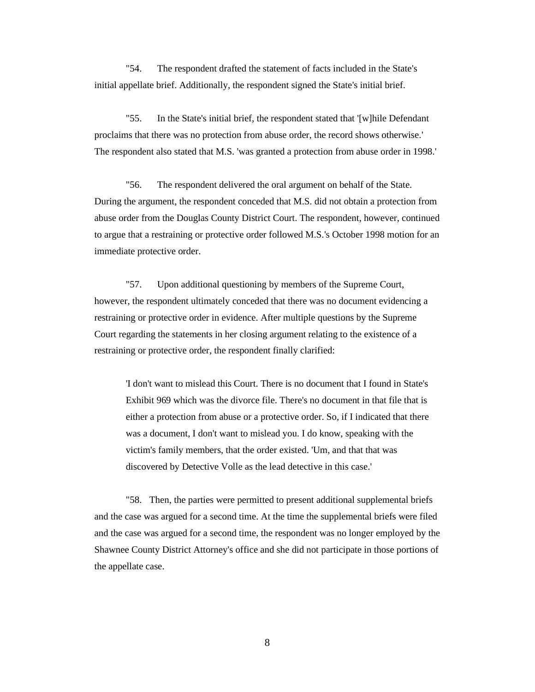"54. The respondent drafted the statement of facts included in the State's initial appellate brief. Additionally, the respondent signed the State's initial brief.

"55. In the State's initial brief, the respondent stated that '[w]hile Defendant proclaims that there was no protection from abuse order, the record shows otherwise.' The respondent also stated that M.S. 'was granted a protection from abuse order in 1998.'

"56. The respondent delivered the oral argument on behalf of the State. During the argument, the respondent conceded that M.S. did not obtain a protection from abuse order from the Douglas County District Court. The respondent, however, continued to argue that a restraining or protective order followed M.S.'s October 1998 motion for an immediate protective order.

"57. Upon additional questioning by members of the Supreme Court, however, the respondent ultimately conceded that there was no document evidencing a restraining or protective order in evidence. After multiple questions by the Supreme Court regarding the statements in her closing argument relating to the existence of a restraining or protective order, the respondent finally clarified:

'I don't want to mislead this Court. There is no document that I found in State's Exhibit 969 which was the divorce file. There's no document in that file that is either a protection from abuse or a protective order. So, if I indicated that there was a document, I don't want to mislead you. I do know, speaking with the victim's family members, that the order existed. 'Um, and that that was discovered by Detective Volle as the lead detective in this case.'

"58. Then, the parties were permitted to present additional supplemental briefs and the case was argued for a second time. At the time the supplemental briefs were filed and the case was argued for a second time, the respondent was no longer employed by the Shawnee County District Attorney's office and she did not participate in those portions of the appellate case.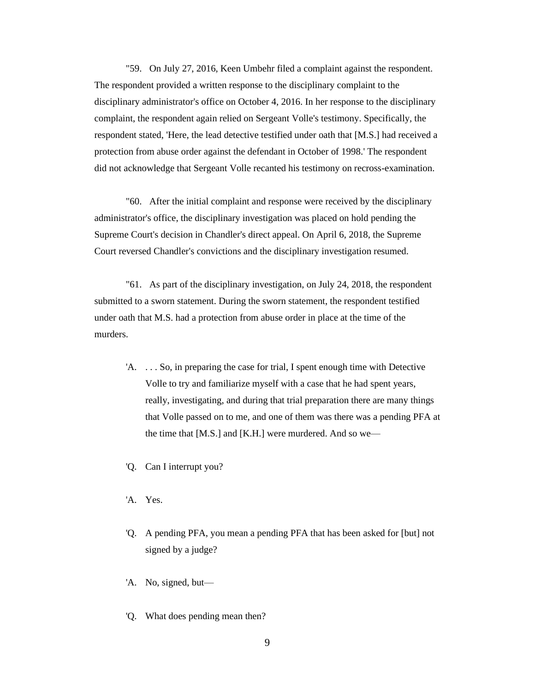"59. On July 27, 2016, Keen Umbehr filed a complaint against the respondent. The respondent provided a written response to the disciplinary complaint to the disciplinary administrator's office on October 4, 2016. In her response to the disciplinary complaint, the respondent again relied on Sergeant Volle's testimony. Specifically, the respondent stated, 'Here, the lead detective testified under oath that [M.S.] had received a protection from abuse order against the defendant in October of 1998.' The respondent did not acknowledge that Sergeant Volle recanted his testimony on recross-examination.

"60. After the initial complaint and response were received by the disciplinary administrator's office, the disciplinary investigation was placed on hold pending the Supreme Court's decision in Chandler's direct appeal. On April 6, 2018, the Supreme Court reversed Chandler's convictions and the disciplinary investigation resumed.

"61. As part of the disciplinary investigation, on July 24, 2018, the respondent submitted to a sworn statement. During the sworn statement, the respondent testified under oath that M.S. had a protection from abuse order in place at the time of the murders.

- 'A. . . . So, in preparing the case for trial, I spent enough time with Detective Volle to try and familiarize myself with a case that he had spent years, really, investigating, and during that trial preparation there are many things that Volle passed on to me, and one of them was there was a pending PFA at the time that [M.S.] and [K.H.] were murdered. And so we—
- 'Q. Can I interrupt you?
- 'A. Yes.
- 'Q. A pending PFA, you mean a pending PFA that has been asked for [but] not signed by a judge?
- 'A. No, signed, but—
- 'Q. What does pending mean then?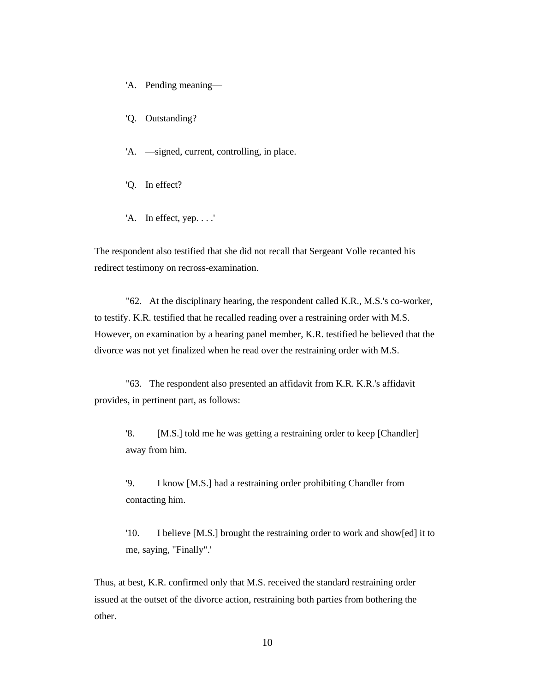- 'A. Pending meaning—
- 'Q. Outstanding?
- 'A. —signed, current, controlling, in place.
- 'Q. In effect?
- 'A. In effect, yep. . . .'

The respondent also testified that she did not recall that Sergeant Volle recanted his redirect testimony on recross-examination.

"62. At the disciplinary hearing, the respondent called K.R., M.S.'s co-worker, to testify. K.R. testified that he recalled reading over a restraining order with M.S. However, on examination by a hearing panel member, K.R. testified he believed that the divorce was not yet finalized when he read over the restraining order with M.S.

"63. The respondent also presented an affidavit from K.R. K.R.'s affidavit provides, in pertinent part, as follows:

'8. [M.S.] told me he was getting a restraining order to keep [Chandler] away from him.

'9. I know [M.S.] had a restraining order prohibiting Chandler from contacting him.

'10. I believe [M.S.] brought the restraining order to work and show[ed] it to me, saying, "Finally".'

Thus, at best, K.R. confirmed only that M.S. received the standard restraining order issued at the outset of the divorce action, restraining both parties from bothering the other.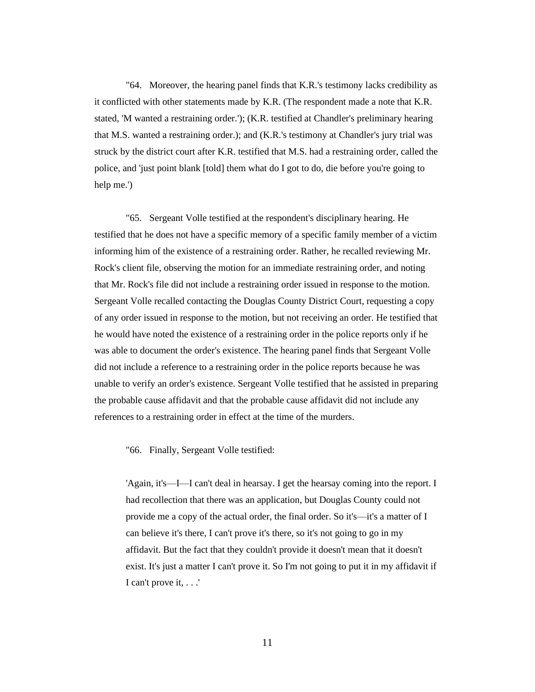"64. Moreover, the hearing panel finds that K.R.'s testimony lacks credibility as it conflicted with other statements made by K.R. (The respondent made a note that K.R. stated, 'M wanted a restraining order.'); (K.R. testified at Chandler's preliminary hearing that M.S. wanted a restraining order.); and (K.R.'s testimony at Chandler's jury trial was struck by the district court after K.R. testified that M.S. had a restraining order, called the police, and 'just point blank [told] them what do I got to do, die before you're going to help me.')

"65. Sergeant Volle testified at the respondent's disciplinary hearing. He testified that he does not have a specific memory of a specific family member of a victim informing him of the existence of a restraining order. Rather, he recalled reviewing Mr. Rock's client file, observing the motion for an immediate restraining order, and noting that Mr. Rock's file did not include a restraining order issued in response to the motion. Sergeant Volle recalled contacting the Douglas County District Court, requesting a copy of any order issued in response to the motion, but not receiving an order. He testified that he would have noted the existence of a restraining order in the police reports only if he was able to document the order's existence. The hearing panel finds that Sergeant Volle did not include a reference to a restraining order in the police reports because he was unable to verify an order's existence. Sergeant Volle testified that he assisted in preparing the probable cause affidavit and that the probable cause affidavit did not include any references to a restraining order in effect at the time of the murders.

"66. Finally, Sergeant Volle testified:

'Again, it's—I—I can't deal in hearsay. I get the hearsay coming into the report. I had recollection that there was an application, but Douglas County could not provide me a copy of the actual order, the final order. So it's—it's a matter of I can believe it's there, I can't prove it's there, so it's not going to go in my affidavit. But the fact that they couldn't provide it doesn't mean that it doesn't exist. It's just a matter I can't prove it. So I'm not going to put it in my affidavit if I can't prove it, . . .'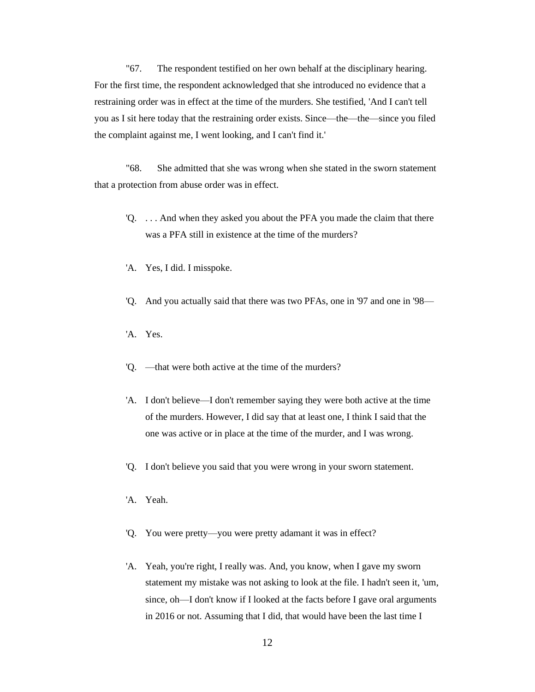"67. The respondent testified on her own behalf at the disciplinary hearing. For the first time, the respondent acknowledged that she introduced no evidence that a restraining order was in effect at the time of the murders. She testified, 'And I can't tell you as I sit here today that the restraining order exists. Since—the—the—since you filed the complaint against me, I went looking, and I can't find it.'

"68. She admitted that she was wrong when she stated in the sworn statement that a protection from abuse order was in effect.

- 'Q. . . . And when they asked you about the PFA you made the claim that there was a PFA still in existence at the time of the murders?
- 'A. Yes, I did. I misspoke.
- 'Q. And you actually said that there was two PFAs, one in '97 and one in '98—
- 'A. Yes.
- 'Q. —that were both active at the time of the murders?
- 'A. I don't believe—I don't remember saying they were both active at the time of the murders. However, I did say that at least one, I think I said that the one was active or in place at the time of the murder, and I was wrong.
- 'Q. I don't believe you said that you were wrong in your sworn statement.
- 'A. Yeah.
- 'Q. You were pretty—you were pretty adamant it was in effect?
- 'A. Yeah, you're right, I really was. And, you know, when I gave my sworn statement my mistake was not asking to look at the file. I hadn't seen it, 'um, since, oh—I don't know if I looked at the facts before I gave oral arguments in 2016 or not. Assuming that I did, that would have been the last time I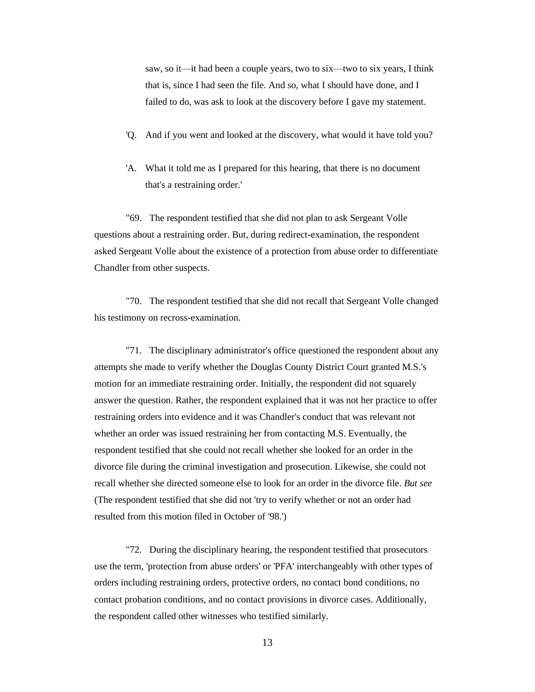saw, so it—it had been a couple years, two to six—two to six years, I think that is, since I had seen the file. And so, what I should have done, and I failed to do, was ask to look at the discovery before I gave my statement.

- 'Q. And if you went and looked at the discovery, what would it have told you?
- 'A. What it told me as I prepared for this hearing, that there is no document that's a restraining order.'

"69. The respondent testified that she did not plan to ask Sergeant Volle questions about a restraining order. But, during redirect-examination, the respondent asked Sergeant Volle about the existence of a protection from abuse order to differentiate Chandler from other suspects.

"70. The respondent testified that she did not recall that Sergeant Volle changed his testimony on recross-examination.

"71. The disciplinary administrator's office questioned the respondent about any attempts she made to verify whether the Douglas County District Court granted M.S.'s motion for an immediate restraining order. Initially, the respondent did not squarely answer the question. Rather, the respondent explained that it was not her practice to offer restraining orders into evidence and it was Chandler's conduct that was relevant not whether an order was issued restraining her from contacting M.S. Eventually, the respondent testified that she could not recall whether she looked for an order in the divorce file during the criminal investigation and prosecution. Likewise, she could not recall whether she directed someone else to look for an order in the divorce file. *But see* (The respondent testified that she did not 'try to verify whether or not an order had resulted from this motion filed in October of '98.')

"72. During the disciplinary hearing, the respondent testified that prosecutors use the term, 'protection from abuse orders' or 'PFA' interchangeably with other types of orders including restraining orders, protective orders, no contact bond conditions, no contact probation conditions, and no contact provisions in divorce cases. Additionally, the respondent called other witnesses who testified similarly.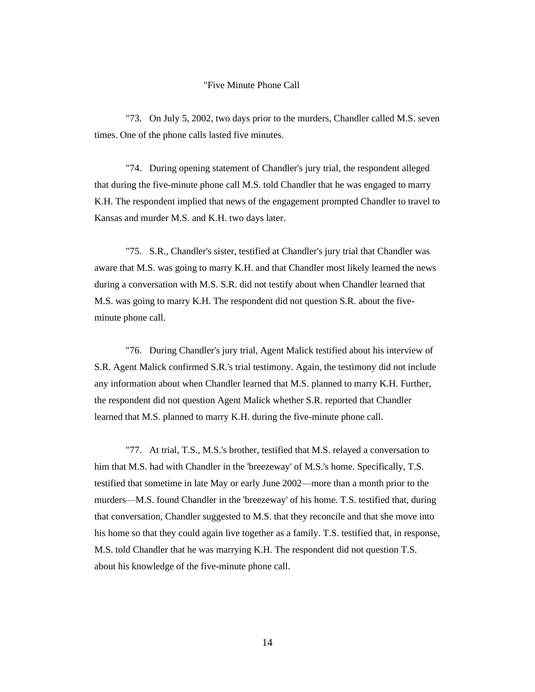#### "Five Minute Phone Call

"73. On July 5, 2002, two days prior to the murders, Chandler called M.S. seven times. One of the phone calls lasted five minutes.

"74. During opening statement of Chandler's jury trial, the respondent alleged that during the five-minute phone call M.S. told Chandler that he was engaged to marry K.H. The respondent implied that news of the engagement prompted Chandler to travel to Kansas and murder M.S. and K.H. two days later.

"75. S.R., Chandler's sister, testified at Chandler's jury trial that Chandler was aware that M.S. was going to marry K.H. and that Chandler most likely learned the news during a conversation with M.S. S.R. did not testify about when Chandler learned that M.S. was going to marry K.H. The respondent did not question S.R. about the fiveminute phone call.

"76. During Chandler's jury trial, Agent Malick testified about his interview of S.R. Agent Malick confirmed S.R.'s trial testimony. Again, the testimony did not include any information about when Chandler learned that M.S. planned to marry K.H. Further, the respondent did not question Agent Malick whether S.R. reported that Chandler learned that M.S. planned to marry K.H. during the five-minute phone call.

"77. At trial, T.S., M.S.'s brother, testified that M.S. relayed a conversation to him that M.S. had with Chandler in the 'breezeway' of M.S.'s home. Specifically, T.S. testified that sometime in late May or early June 2002—more than a month prior to the murders—M.S. found Chandler in the 'breezeway' of his home. T.S. testified that, during that conversation, Chandler suggested to M.S. that they reconcile and that she move into his home so that they could again live together as a family. T.S. testified that, in response, M.S. told Chandler that he was marrying K.H. The respondent did not question T.S. about his knowledge of the five-minute phone call.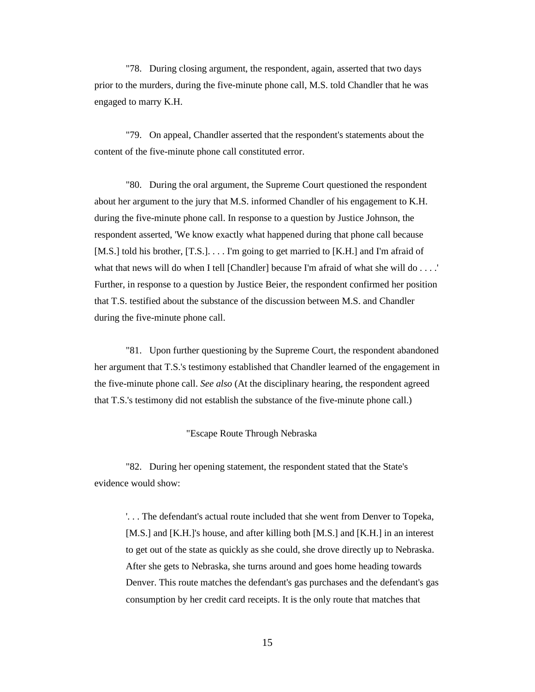"78. During closing argument, the respondent, again, asserted that two days prior to the murders, during the five-minute phone call, M.S. told Chandler that he was engaged to marry K.H.

"79. On appeal, Chandler asserted that the respondent's statements about the content of the five-minute phone call constituted error.

"80. During the oral argument, the Supreme Court questioned the respondent about her argument to the jury that M.S. informed Chandler of his engagement to K.H. during the five-minute phone call. In response to a question by Justice Johnson, the respondent asserted, 'We know exactly what happened during that phone call because [M.S.] told his brother, [T.S.]. . . . I'm going to get married to [K.H.] and I'm afraid of what that news will do when I tell [Chandler] because I'm afraid of what she will do . . . . ' Further, in response to a question by Justice Beier, the respondent confirmed her position that T.S. testified about the substance of the discussion between M.S. and Chandler during the five-minute phone call.

"81. Upon further questioning by the Supreme Court, the respondent abandoned her argument that T.S.'s testimony established that Chandler learned of the engagement in the five-minute phone call. *See also* (At the disciplinary hearing, the respondent agreed that T.S.'s testimony did not establish the substance of the five-minute phone call.)

#### "Escape Route Through Nebraska

"82. During her opening statement, the respondent stated that the State's evidence would show:

'. . . The defendant's actual route included that she went from Denver to Topeka, [M.S.] and [K.H.]'s house, and after killing both [M.S.] and [K.H.] in an interest to get out of the state as quickly as she could, she drove directly up to Nebraska. After she gets to Nebraska, she turns around and goes home heading towards Denver. This route matches the defendant's gas purchases and the defendant's gas consumption by her credit card receipts. It is the only route that matches that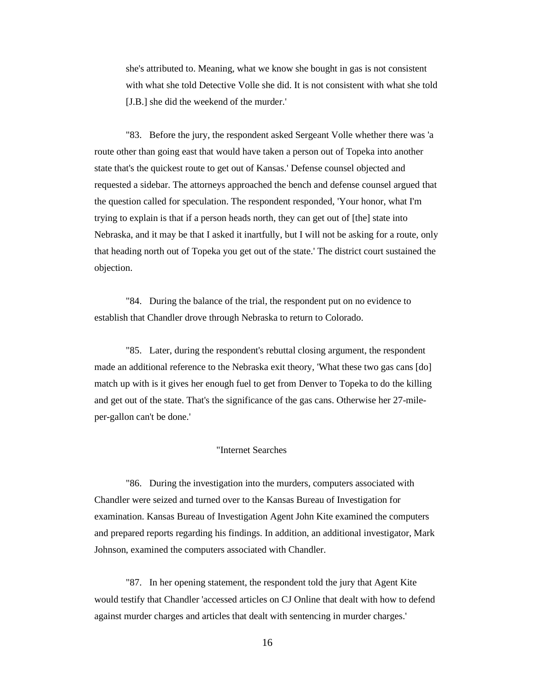she's attributed to. Meaning, what we know she bought in gas is not consistent with what she told Detective Volle she did. It is not consistent with what she told [J.B.] she did the weekend of the murder.'

"83. Before the jury, the respondent asked Sergeant Volle whether there was 'a route other than going east that would have taken a person out of Topeka into another state that's the quickest route to get out of Kansas.' Defense counsel objected and requested a sidebar. The attorneys approached the bench and defense counsel argued that the question called for speculation. The respondent responded, 'Your honor, what I'm trying to explain is that if a person heads north, they can get out of [the] state into Nebraska, and it may be that I asked it inartfully, but I will not be asking for a route, only that heading north out of Topeka you get out of the state.' The district court sustained the objection.

"84. During the balance of the trial, the respondent put on no evidence to establish that Chandler drove through Nebraska to return to Colorado.

"85. Later, during the respondent's rebuttal closing argument, the respondent made an additional reference to the Nebraska exit theory, 'What these two gas cans [do] match up with is it gives her enough fuel to get from Denver to Topeka to do the killing and get out of the state. That's the significance of the gas cans. Otherwise her 27-mileper-gallon can't be done.'

#### "Internet Searches

"86. During the investigation into the murders, computers associated with Chandler were seized and turned over to the Kansas Bureau of Investigation for examination. Kansas Bureau of Investigation Agent John Kite examined the computers and prepared reports regarding his findings. In addition, an additional investigator, Mark Johnson, examined the computers associated with Chandler.

"87. In her opening statement, the respondent told the jury that Agent Kite would testify that Chandler 'accessed articles on CJ Online that dealt with how to defend against murder charges and articles that dealt with sentencing in murder charges.'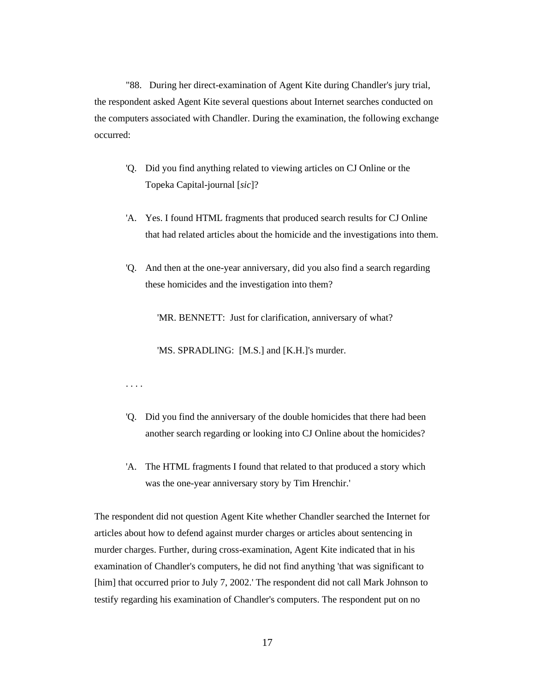"88. During her direct-examination of Agent Kite during Chandler's jury trial, the respondent asked Agent Kite several questions about Internet searches conducted on the computers associated with Chandler. During the examination, the following exchange occurred:

- 'Q. Did you find anything related to viewing articles on CJ Online or the Topeka Capital-journal [*sic*]?
- 'A. Yes. I found HTML fragments that produced search results for CJ Online that had related articles about the homicide and the investigations into them.
- 'Q. And then at the one-year anniversary, did you also find a search regarding these homicides and the investigation into them?

'MR. BENNETT: Just for clarification, anniversary of what?

'MS. SPRADLING: [M.S.] and [K.H.]'s murder.

. . . .

- 'Q. Did you find the anniversary of the double homicides that there had been another search regarding or looking into CJ Online about the homicides?
- 'A. The HTML fragments I found that related to that produced a story which was the one-year anniversary story by Tim Hrenchir.'

The respondent did not question Agent Kite whether Chandler searched the Internet for articles about how to defend against murder charges or articles about sentencing in murder charges. Further, during cross-examination, Agent Kite indicated that in his examination of Chandler's computers, he did not find anything 'that was significant to [him] that occurred prior to July 7, 2002.' The respondent did not call Mark Johnson to testify regarding his examination of Chandler's computers. The respondent put on no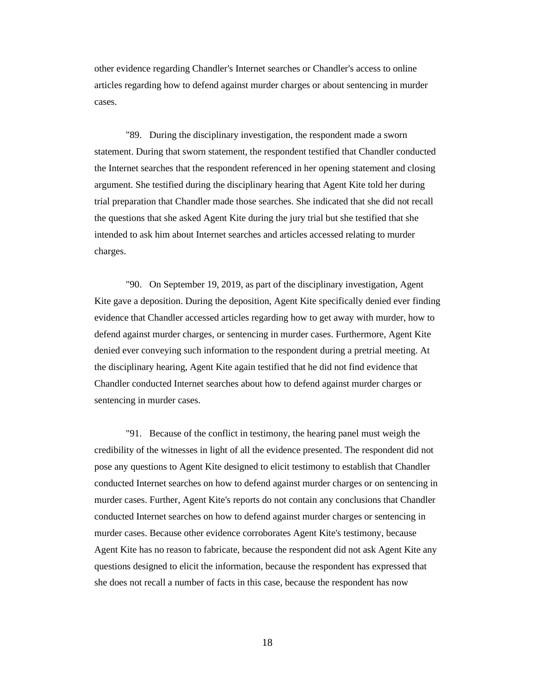other evidence regarding Chandler's Internet searches or Chandler's access to online articles regarding how to defend against murder charges or about sentencing in murder cases.

"89. During the disciplinary investigation, the respondent made a sworn statement. During that sworn statement, the respondent testified that Chandler conducted the Internet searches that the respondent referenced in her opening statement and closing argument. She testified during the disciplinary hearing that Agent Kite told her during trial preparation that Chandler made those searches. She indicated that she did not recall the questions that she asked Agent Kite during the jury trial but she testified that she intended to ask him about Internet searches and articles accessed relating to murder charges.

"90. On September 19, 2019, as part of the disciplinary investigation, Agent Kite gave a deposition. During the deposition, Agent Kite specifically denied ever finding evidence that Chandler accessed articles regarding how to get away with murder, how to defend against murder charges, or sentencing in murder cases. Furthermore, Agent Kite denied ever conveying such information to the respondent during a pretrial meeting. At the disciplinary hearing, Agent Kite again testified that he did not find evidence that Chandler conducted Internet searches about how to defend against murder charges or sentencing in murder cases.

"91. Because of the conflict in testimony, the hearing panel must weigh the credibility of the witnesses in light of all the evidence presented. The respondent did not pose any questions to Agent Kite designed to elicit testimony to establish that Chandler conducted Internet searches on how to defend against murder charges or on sentencing in murder cases. Further, Agent Kite's reports do not contain any conclusions that Chandler conducted Internet searches on how to defend against murder charges or sentencing in murder cases. Because other evidence corroborates Agent Kite's testimony, because Agent Kite has no reason to fabricate, because the respondent did not ask Agent Kite any questions designed to elicit the information, because the respondent has expressed that she does not recall a number of facts in this case, because the respondent has now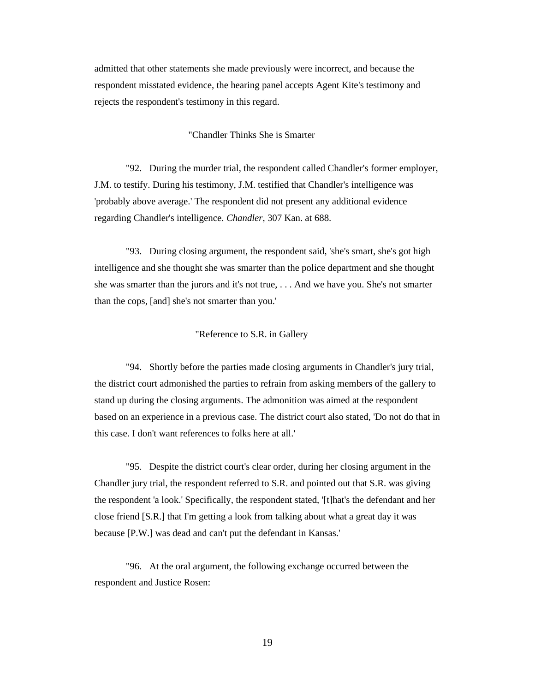admitted that other statements she made previously were incorrect, and because the respondent misstated evidence, the hearing panel accepts Agent Kite's testimony and rejects the respondent's testimony in this regard.

### "Chandler Thinks She is Smarter

"92. During the murder trial, the respondent called Chandler's former employer, J.M. to testify. During his testimony, J.M. testified that Chandler's intelligence was 'probably above average.' The respondent did not present any additional evidence regarding Chandler's intelligence. *Chandler*, 307 Kan. at 688.

"93. During closing argument, the respondent said, 'she's smart, she's got high intelligence and she thought she was smarter than the police department and she thought she was smarter than the jurors and it's not true, . . . And we have you. She's not smarter than the cops, [and] she's not smarter than you.'

#### "Reference to S.R. in Gallery

"94. Shortly before the parties made closing arguments in Chandler's jury trial, the district court admonished the parties to refrain from asking members of the gallery to stand up during the closing arguments. The admonition was aimed at the respondent based on an experience in a previous case. The district court also stated, 'Do not do that in this case. I don't want references to folks here at all.'

"95. Despite the district court's clear order, during her closing argument in the Chandler jury trial, the respondent referred to S.R. and pointed out that S.R. was giving the respondent 'a look.' Specifically, the respondent stated, '[t]hat's the defendant and her close friend [S.R.] that I'm getting a look from talking about what a great day it was because [P.W.] was dead and can't put the defendant in Kansas.'

"96. At the oral argument, the following exchange occurred between the respondent and Justice Rosen: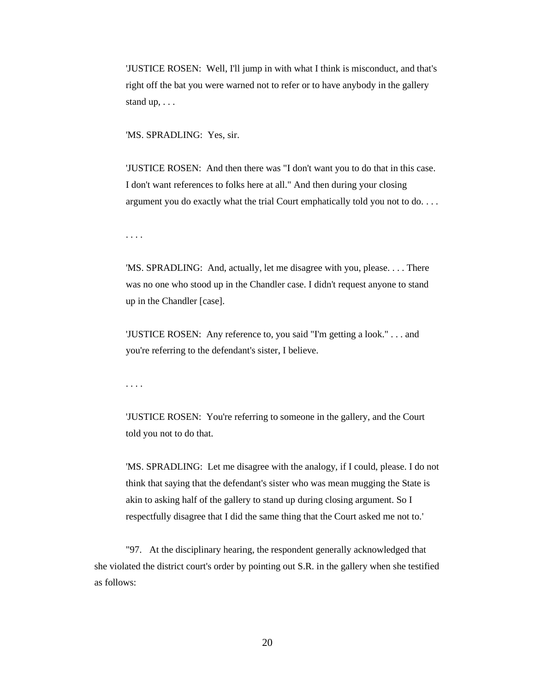'JUSTICE ROSEN: Well, I'll jump in with what I think is misconduct, and that's right off the bat you were warned not to refer or to have anybody in the gallery stand up, . . .

'MS. SPRADLING: Yes, sir.

'JUSTICE ROSEN: And then there was "I don't want you to do that in this case. I don't want references to folks here at all." And then during your closing argument you do exactly what the trial Court emphatically told you not to do. . . .

. . . .

'MS. SPRADLING: And, actually, let me disagree with you, please. . . . There was no one who stood up in the Chandler case. I didn't request anyone to stand up in the Chandler [case].

'JUSTICE ROSEN: Any reference to, you said "I'm getting a look." . . . and you're referring to the defendant's sister, I believe.

. . . .

'JUSTICE ROSEN: You're referring to someone in the gallery, and the Court told you not to do that.

'MS. SPRADLING: Let me disagree with the analogy, if I could, please. I do not think that saying that the defendant's sister who was mean mugging the State is akin to asking half of the gallery to stand up during closing argument. So I respectfully disagree that I did the same thing that the Court asked me not to.'

"97. At the disciplinary hearing, the respondent generally acknowledged that she violated the district court's order by pointing out S.R. in the gallery when she testified as follows: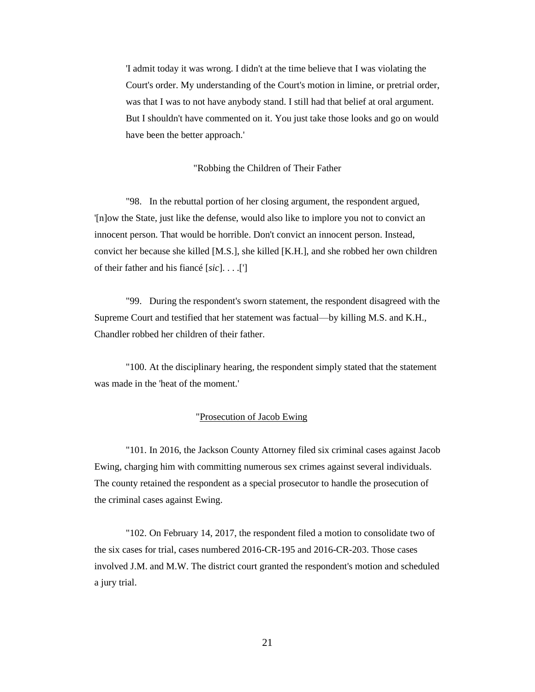'I admit today it was wrong. I didn't at the time believe that I was violating the Court's order. My understanding of the Court's motion in limine, or pretrial order, was that I was to not have anybody stand. I still had that belief at oral argument. But I shouldn't have commented on it. You just take those looks and go on would have been the better approach.'

#### "Robbing the Children of Their Father

"98. In the rebuttal portion of her closing argument, the respondent argued, '[n]ow the State, just like the defense, would also like to implore you not to convict an innocent person. That would be horrible. Don't convict an innocent person. Instead, convict her because she killed [M.S.], she killed [K.H.], and she robbed her own children of their father and his fiancé [*sic*]. . . .[']

"99. During the respondent's sworn statement, the respondent disagreed with the Supreme Court and testified that her statement was factual—by killing M.S. and K.H., Chandler robbed her children of their father.

"100. At the disciplinary hearing, the respondent simply stated that the statement was made in the 'heat of the moment.'

#### "Prosecution of Jacob Ewing

"101. In 2016, the Jackson County Attorney filed six criminal cases against Jacob Ewing, charging him with committing numerous sex crimes against several individuals. The county retained the respondent as a special prosecutor to handle the prosecution of the criminal cases against Ewing.

"102. On February 14, 2017, the respondent filed a motion to consolidate two of the six cases for trial, cases numbered 2016-CR-195 and 2016-CR-203. Those cases involved J.M. and M.W. The district court granted the respondent's motion and scheduled a jury trial.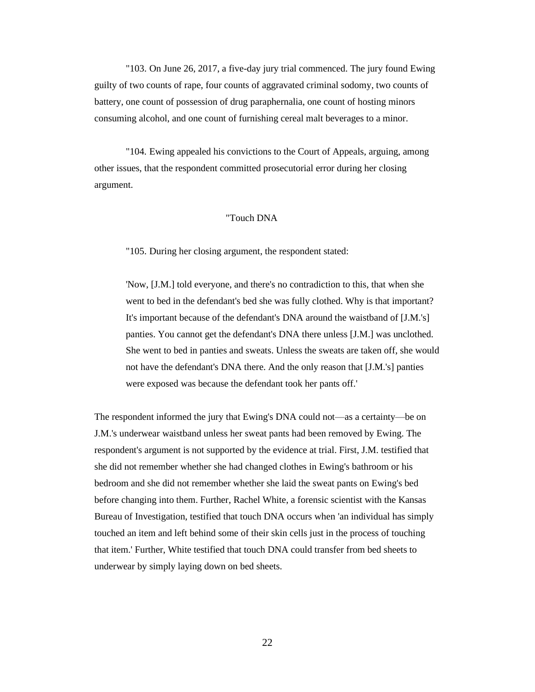"103. On June 26, 2017, a five-day jury trial commenced. The jury found Ewing guilty of two counts of rape, four counts of aggravated criminal sodomy, two counts of battery, one count of possession of drug paraphernalia, one count of hosting minors consuming alcohol, and one count of furnishing cereal malt beverages to a minor.

"104. Ewing appealed his convictions to the Court of Appeals, arguing, among other issues, that the respondent committed prosecutorial error during her closing argument.

### "Touch DNA

"105. During her closing argument, the respondent stated:

'Now, [J.M.] told everyone, and there's no contradiction to this, that when she went to bed in the defendant's bed she was fully clothed. Why is that important? It's important because of the defendant's DNA around the waistband of [J.M.'s] panties. You cannot get the defendant's DNA there unless [J.M.] was unclothed. She went to bed in panties and sweats. Unless the sweats are taken off, she would not have the defendant's DNA there. And the only reason that [J.M.'s] panties were exposed was because the defendant took her pants off.'

The respondent informed the jury that Ewing's DNA could not—as a certainty—be on J.M.'s underwear waistband unless her sweat pants had been removed by Ewing. The respondent's argument is not supported by the evidence at trial. First, J.M. testified that she did not remember whether she had changed clothes in Ewing's bathroom or his bedroom and she did not remember whether she laid the sweat pants on Ewing's bed before changing into them. Further, Rachel White, a forensic scientist with the Kansas Bureau of Investigation, testified that touch DNA occurs when 'an individual has simply touched an item and left behind some of their skin cells just in the process of touching that item.' Further, White testified that touch DNA could transfer from bed sheets to underwear by simply laying down on bed sheets.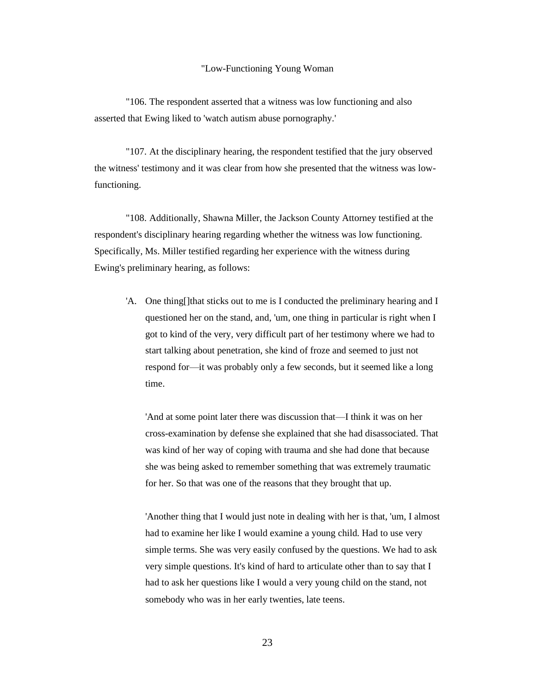#### "Low-Functioning Young Woman

"106. The respondent asserted that a witness was low functioning and also asserted that Ewing liked to 'watch autism abuse pornography.'

"107. At the disciplinary hearing, the respondent testified that the jury observed the witness' testimony and it was clear from how she presented that the witness was lowfunctioning.

"108. Additionally, Shawna Miller, the Jackson County Attorney testified at the respondent's disciplinary hearing regarding whether the witness was low functioning. Specifically, Ms. Miller testified regarding her experience with the witness during Ewing's preliminary hearing, as follows:

'A. One thing[]that sticks out to me is I conducted the preliminary hearing and I questioned her on the stand, and, 'um, one thing in particular is right when I got to kind of the very, very difficult part of her testimony where we had to start talking about penetration, she kind of froze and seemed to just not respond for—it was probably only a few seconds, but it seemed like a long time.

'And at some point later there was discussion that—I think it was on her cross-examination by defense she explained that she had disassociated. That was kind of her way of coping with trauma and she had done that because she was being asked to remember something that was extremely traumatic for her. So that was one of the reasons that they brought that up.

'Another thing that I would just note in dealing with her is that, 'um, I almost had to examine her like I would examine a young child. Had to use very simple terms. She was very easily confused by the questions. We had to ask very simple questions. It's kind of hard to articulate other than to say that I had to ask her questions like I would a very young child on the stand, not somebody who was in her early twenties, late teens.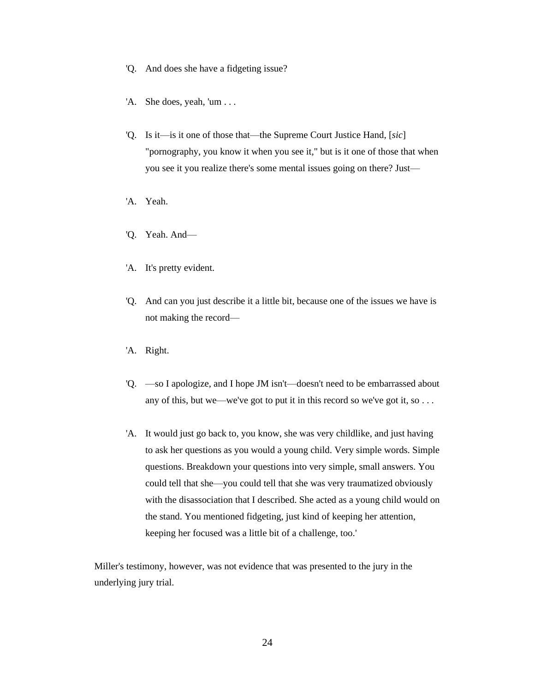- 'Q. And does she have a fidgeting issue?
- 'A. She does, yeah, 'um . . .
- 'Q. Is it—is it one of those that—the Supreme Court Justice Hand, [*sic*] "pornography, you know it when you see it," but is it one of those that when you see it you realize there's some mental issues going on there? Just—
- 'A. Yeah.
- 'Q. Yeah. And—
- 'A. It's pretty evident.
- 'Q. And can you just describe it a little bit, because one of the issues we have is not making the record—
- 'A. Right.
- 'Q. —so I apologize, and I hope JM isn't—doesn't need to be embarrassed about any of this, but we—we've got to put it in this record so we've got it, so . . .
- 'A. It would just go back to, you know, she was very childlike, and just having to ask her questions as you would a young child. Very simple words. Simple questions. Breakdown your questions into very simple, small answers. You could tell that she—you could tell that she was very traumatized obviously with the disassociation that I described. She acted as a young child would on the stand. You mentioned fidgeting, just kind of keeping her attention, keeping her focused was a little bit of a challenge, too.'

Miller's testimony, however, was not evidence that was presented to the jury in the underlying jury trial.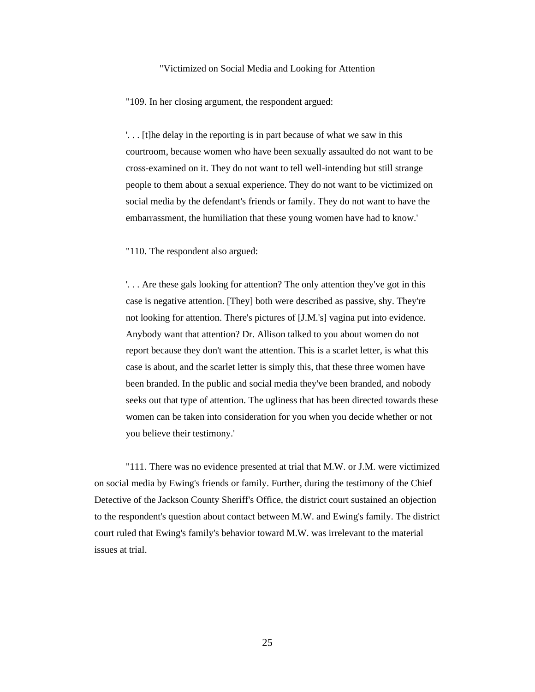#### "Victimized on Social Media and Looking for Attention

"109. In her closing argument, the respondent argued:

'. . . [t]he delay in the reporting is in part because of what we saw in this courtroom, because women who have been sexually assaulted do not want to be cross-examined on it. They do not want to tell well-intending but still strange people to them about a sexual experience. They do not want to be victimized on social media by the defendant's friends or family. They do not want to have the embarrassment, the humiliation that these young women have had to know.'

"110. The respondent also argued:

'. . . Are these gals looking for attention? The only attention they've got in this case is negative attention. [They] both were described as passive, shy. They're not looking for attention. There's pictures of [J.M.'s] vagina put into evidence. Anybody want that attention? Dr. Allison talked to you about women do not report because they don't want the attention. This is a scarlet letter, is what this case is about, and the scarlet letter is simply this, that these three women have been branded. In the public and social media they've been branded, and nobody seeks out that type of attention. The ugliness that has been directed towards these women can be taken into consideration for you when you decide whether or not you believe their testimony.'

"111. There was no evidence presented at trial that M.W. or J.M. were victimized on social media by Ewing's friends or family. Further, during the testimony of the Chief Detective of the Jackson County Sheriff's Office, the district court sustained an objection to the respondent's question about contact between M.W. and Ewing's family. The district court ruled that Ewing's family's behavior toward M.W. was irrelevant to the material issues at trial.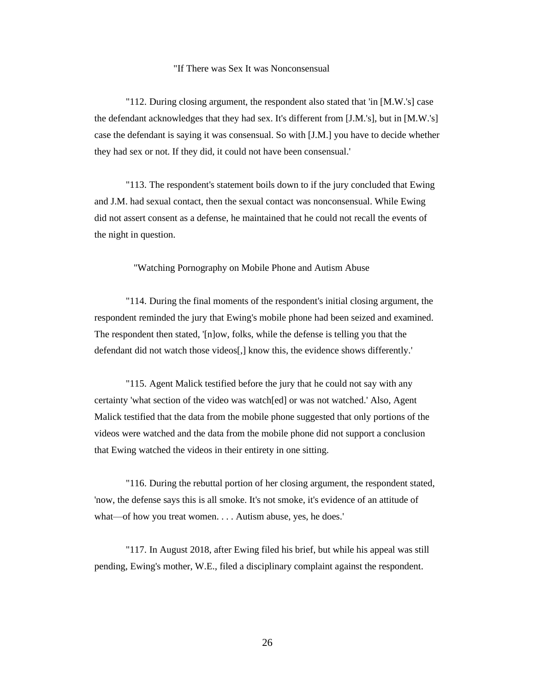### "If There was Sex It was Nonconsensual

"112. During closing argument, the respondent also stated that 'in [M.W.'s] case the defendant acknowledges that they had sex. It's different from [J.M.'s], but in [M.W.'s] case the defendant is saying it was consensual. So with [J.M.] you have to decide whether they had sex or not. If they did, it could not have been consensual.'

"113. The respondent's statement boils down to if the jury concluded that Ewing and J.M. had sexual contact, then the sexual contact was nonconsensual. While Ewing did not assert consent as a defense, he maintained that he could not recall the events of the night in question.

"Watching Pornography on Mobile Phone and Autism Abuse

"114. During the final moments of the respondent's initial closing argument, the respondent reminded the jury that Ewing's mobile phone had been seized and examined. The respondent then stated, '[n]ow, folks, while the defense is telling you that the defendant did not watch those videos[,] know this, the evidence shows differently.'

"115. Agent Malick testified before the jury that he could not say with any certainty 'what section of the video was watch[ed] or was not watched.' Also, Agent Malick testified that the data from the mobile phone suggested that only portions of the videos were watched and the data from the mobile phone did not support a conclusion that Ewing watched the videos in their entirety in one sitting.

"116. During the rebuttal portion of her closing argument, the respondent stated, 'now, the defense says this is all smoke. It's not smoke, it's evidence of an attitude of what—of how you treat women. . . . Autism abuse, yes, he does.'

"117. In August 2018, after Ewing filed his brief, but while his appeal was still pending, Ewing's mother, W.E., filed a disciplinary complaint against the respondent.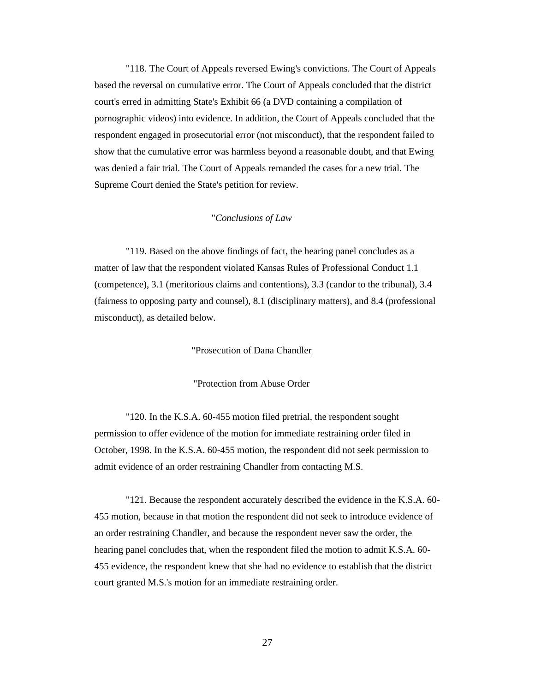"118. The Court of Appeals reversed Ewing's convictions. The Court of Appeals based the reversal on cumulative error. The Court of Appeals concluded that the district court's erred in admitting State's Exhibit 66 (a DVD containing a compilation of pornographic videos) into evidence. In addition, the Court of Appeals concluded that the respondent engaged in prosecutorial error (not misconduct), that the respondent failed to show that the cumulative error was harmless beyond a reasonable doubt, and that Ewing was denied a fair trial. The Court of Appeals remanded the cases for a new trial. The Supreme Court denied the State's petition for review.

### "*Conclusions of Law*

"119. Based on the above findings of fact, the hearing panel concludes as a matter of law that the respondent violated Kansas Rules of Professional Conduct 1.1 (competence), 3.1 (meritorious claims and contentions), 3.3 (candor to the tribunal), 3.4 (fairness to opposing party and counsel), 8.1 (disciplinary matters), and 8.4 (professional misconduct), as detailed below.

### "Prosecution of Dana Chandler

"Protection from Abuse Order

"120. In the K.S.A. 60-455 motion filed pretrial, the respondent sought permission to offer evidence of the motion for immediate restraining order filed in October, 1998. In the K.S.A. 60-455 motion, the respondent did not seek permission to admit evidence of an order restraining Chandler from contacting M.S.

"121. Because the respondent accurately described the evidence in the K.S.A. 60- 455 motion, because in that motion the respondent did not seek to introduce evidence of an order restraining Chandler, and because the respondent never saw the order, the hearing panel concludes that, when the respondent filed the motion to admit K.S.A. 60- 455 evidence, the respondent knew that she had no evidence to establish that the district court granted M.S.'s motion for an immediate restraining order.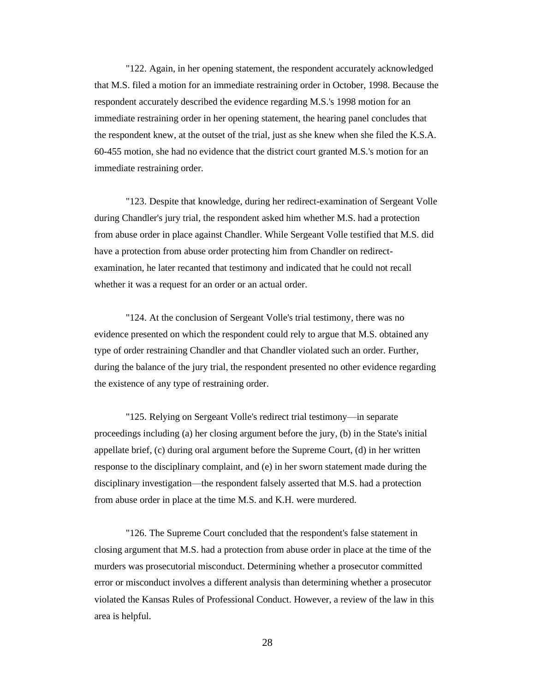"122. Again, in her opening statement, the respondent accurately acknowledged that M.S. filed a motion for an immediate restraining order in October, 1998. Because the respondent accurately described the evidence regarding M.S.'s 1998 motion for an immediate restraining order in her opening statement, the hearing panel concludes that the respondent knew, at the outset of the trial, just as she knew when she filed the K.S.A. 60-455 motion, she had no evidence that the district court granted M.S.'s motion for an immediate restraining order.

"123. Despite that knowledge, during her redirect-examination of Sergeant Volle during Chandler's jury trial, the respondent asked him whether M.S. had a protection from abuse order in place against Chandler. While Sergeant Volle testified that M.S. did have a protection from abuse order protecting him from Chandler on redirectexamination, he later recanted that testimony and indicated that he could not recall whether it was a request for an order or an actual order.

"124. At the conclusion of Sergeant Volle's trial testimony, there was no evidence presented on which the respondent could rely to argue that M.S. obtained any type of order restraining Chandler and that Chandler violated such an order. Further, during the balance of the jury trial, the respondent presented no other evidence regarding the existence of any type of restraining order.

"125. Relying on Sergeant Volle's redirect trial testimony—in separate proceedings including (a) her closing argument before the jury, (b) in the State's initial appellate brief, (c) during oral argument before the Supreme Court, (d) in her written response to the disciplinary complaint, and (e) in her sworn statement made during the disciplinary investigation—the respondent falsely asserted that M.S. had a protection from abuse order in place at the time M.S. and K.H. were murdered.

"126. The Supreme Court concluded that the respondent's false statement in closing argument that M.S. had a protection from abuse order in place at the time of the murders was prosecutorial misconduct. Determining whether a prosecutor committed error or misconduct involves a different analysis than determining whether a prosecutor violated the Kansas Rules of Professional Conduct. However, a review of the law in this area is helpful.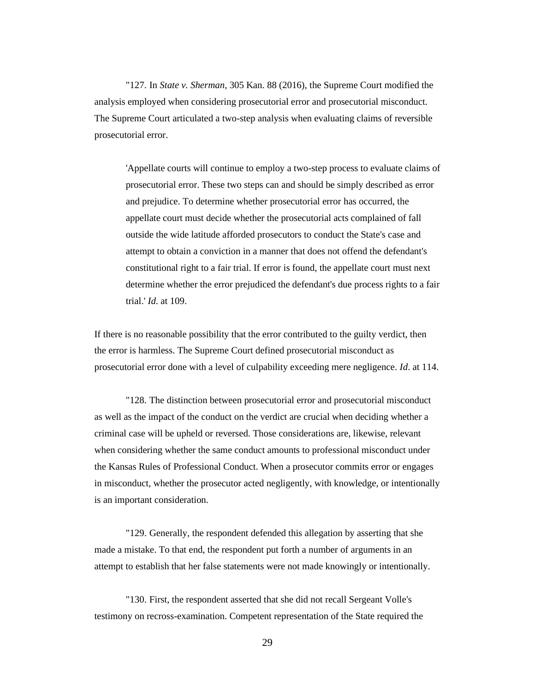"127. In *State v. Sherman*, 305 Kan. 88 (2016), the Supreme Court modified the analysis employed when considering prosecutorial error and prosecutorial misconduct. The Supreme Court articulated a two-step analysis when evaluating claims of reversible prosecutorial error.

'Appellate courts will continue to employ a two-step process to evaluate claims of prosecutorial error. These two steps can and should be simply described as error and prejudice. To determine whether prosecutorial error has occurred, the appellate court must decide whether the prosecutorial acts complained of fall outside the wide latitude afforded prosecutors to conduct the State's case and attempt to obtain a conviction in a manner that does not offend the defendant's constitutional right to a fair trial. If error is found, the appellate court must next determine whether the error prejudiced the defendant's due process rights to a fair trial.' *Id*. at 109.

If there is no reasonable possibility that the error contributed to the guilty verdict, then the error is harmless. The Supreme Court defined prosecutorial misconduct as prosecutorial error done with a level of culpability exceeding mere negligence. *Id*. at 114.

"128. The distinction between prosecutorial error and prosecutorial misconduct as well as the impact of the conduct on the verdict are crucial when deciding whether a criminal case will be upheld or reversed. Those considerations are, likewise, relevant when considering whether the same conduct amounts to professional misconduct under the Kansas Rules of Professional Conduct. When a prosecutor commits error or engages in misconduct, whether the prosecutor acted negligently, with knowledge, or intentionally is an important consideration.

"129. Generally, the respondent defended this allegation by asserting that she made a mistake. To that end, the respondent put forth a number of arguments in an attempt to establish that her false statements were not made knowingly or intentionally.

"130. First, the respondent asserted that she did not recall Sergeant Volle's testimony on recross-examination. Competent representation of the State required the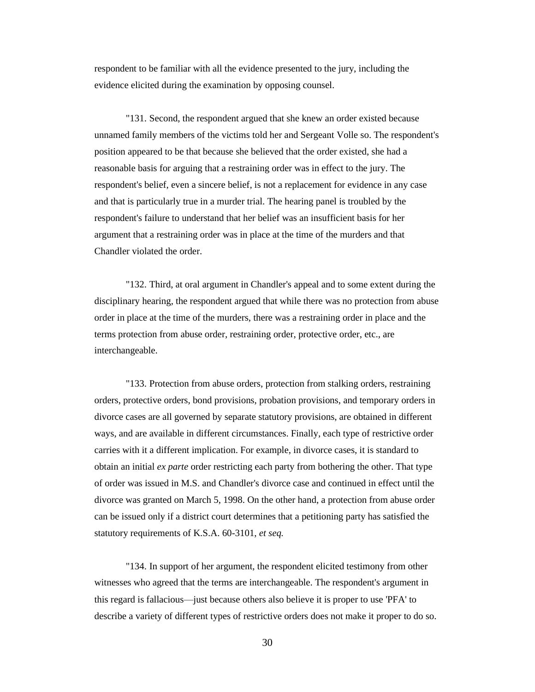respondent to be familiar with all the evidence presented to the jury, including the evidence elicited during the examination by opposing counsel.

"131. Second, the respondent argued that she knew an order existed because unnamed family members of the victims told her and Sergeant Volle so. The respondent's position appeared to be that because she believed that the order existed, she had a reasonable basis for arguing that a restraining order was in effect to the jury. The respondent's belief, even a sincere belief, is not a replacement for evidence in any case and that is particularly true in a murder trial. The hearing panel is troubled by the respondent's failure to understand that her belief was an insufficient basis for her argument that a restraining order was in place at the time of the murders and that Chandler violated the order.

"132. Third, at oral argument in Chandler's appeal and to some extent during the disciplinary hearing, the respondent argued that while there was no protection from abuse order in place at the time of the murders, there was a restraining order in place and the terms protection from abuse order, restraining order, protective order, etc., are interchangeable.

"133. Protection from abuse orders, protection from stalking orders, restraining orders, protective orders, bond provisions, probation provisions, and temporary orders in divorce cases are all governed by separate statutory provisions, are obtained in different ways, and are available in different circumstances. Finally, each type of restrictive order carries with it a different implication. For example, in divorce cases, it is standard to obtain an initial *ex parte* order restricting each party from bothering the other. That type of order was issued in M.S. and Chandler's divorce case and continued in effect until the divorce was granted on March 5, 1998. On the other hand, a protection from abuse order can be issued only if a district court determines that a petitioning party has satisfied the statutory requirements of K.S.A. 60-3101, *et seq.*

"134. In support of her argument, the respondent elicited testimony from other witnesses who agreed that the terms are interchangeable. The respondent's argument in this regard is fallacious—just because others also believe it is proper to use 'PFA' to describe a variety of different types of restrictive orders does not make it proper to do so.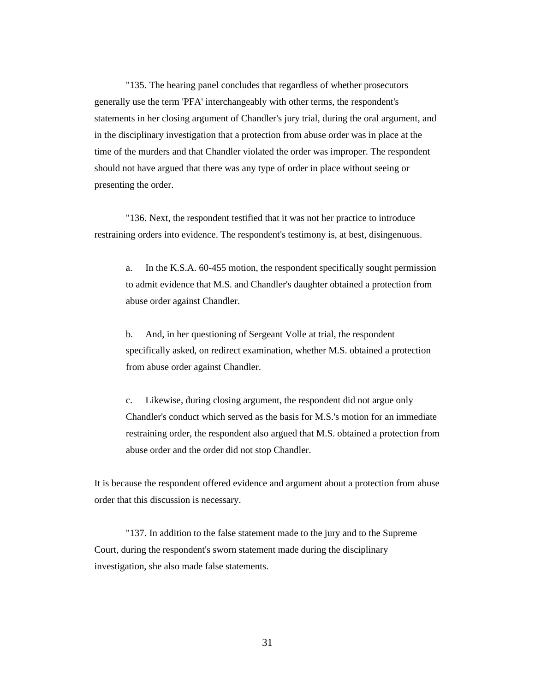"135. The hearing panel concludes that regardless of whether prosecutors generally use the term 'PFA' interchangeably with other terms, the respondent's statements in her closing argument of Chandler's jury trial, during the oral argument, and in the disciplinary investigation that a protection from abuse order was in place at the time of the murders and that Chandler violated the order was improper. The respondent should not have argued that there was any type of order in place without seeing or presenting the order.

"136. Next, the respondent testified that it was not her practice to introduce restraining orders into evidence. The respondent's testimony is, at best, disingenuous.

a. In the K.S.A. 60-455 motion, the respondent specifically sought permission to admit evidence that M.S. and Chandler's daughter obtained a protection from abuse order against Chandler.

b. And, in her questioning of Sergeant Volle at trial, the respondent specifically asked, on redirect examination, whether M.S. obtained a protection from abuse order against Chandler.

c. Likewise, during closing argument, the respondent did not argue only Chandler's conduct which served as the basis for M.S.'s motion for an immediate restraining order, the respondent also argued that M.S. obtained a protection from abuse order and the order did not stop Chandler.

It is because the respondent offered evidence and argument about a protection from abuse order that this discussion is necessary.

"137. In addition to the false statement made to the jury and to the Supreme Court, during the respondent's sworn statement made during the disciplinary investigation, she also made false statements.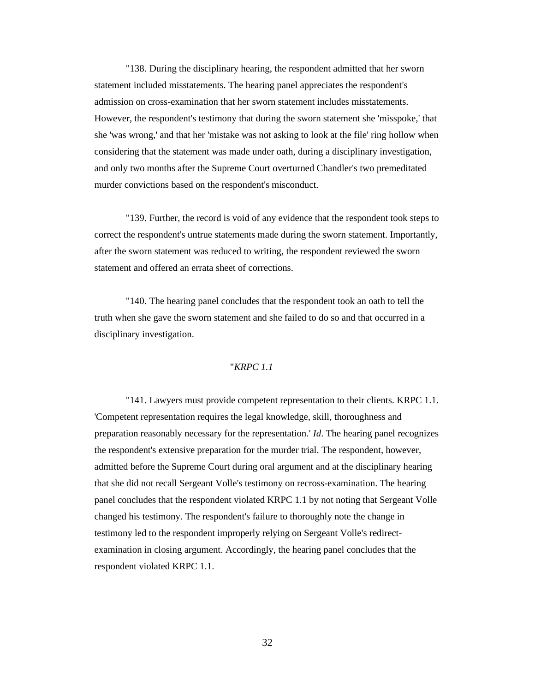"138. During the disciplinary hearing, the respondent admitted that her sworn statement included misstatements. The hearing panel appreciates the respondent's admission on cross-examination that her sworn statement includes misstatements. However, the respondent's testimony that during the sworn statement she 'misspoke,' that she 'was wrong,' and that her 'mistake was not asking to look at the file' ring hollow when considering that the statement was made under oath, during a disciplinary investigation, and only two months after the Supreme Court overturned Chandler's two premeditated murder convictions based on the respondent's misconduct.

"139. Further, the record is void of any evidence that the respondent took steps to correct the respondent's untrue statements made during the sworn statement. Importantly, after the sworn statement was reduced to writing, the respondent reviewed the sworn statement and offered an errata sheet of corrections.

"140. The hearing panel concludes that the respondent took an oath to tell the truth when she gave the sworn statement and she failed to do so and that occurred in a disciplinary investigation.

### "*KRPC 1.1*

"141. Lawyers must provide competent representation to their clients. KRPC 1.1. 'Competent representation requires the legal knowledge, skill, thoroughness and preparation reasonably necessary for the representation.' *Id*. The hearing panel recognizes the respondent's extensive preparation for the murder trial. The respondent, however, admitted before the Supreme Court during oral argument and at the disciplinary hearing that she did not recall Sergeant Volle's testimony on recross-examination. The hearing panel concludes that the respondent violated KRPC 1.1 by not noting that Sergeant Volle changed his testimony. The respondent's failure to thoroughly note the change in testimony led to the respondent improperly relying on Sergeant Volle's redirectexamination in closing argument. Accordingly, the hearing panel concludes that the respondent violated KRPC 1.1.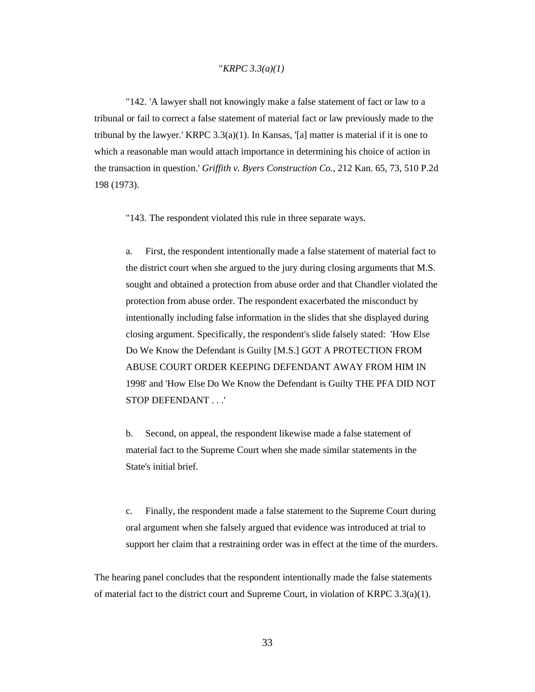#### "*KRPC 3.3(a)(1)*

"142. 'A lawyer shall not knowingly make a false statement of fact or law to a tribunal or fail to correct a false statement of material fact or law previously made to the tribunal by the lawyer.' KRPC  $3.3(a)(1)$ . In Kansas, '[a] matter is material if it is one to which a reasonable man would attach importance in determining his choice of action in the transaction in question.' *Griffith v. Byers Construction Co.*, 212 Kan. 65, 73, 510 P.2d 198 (1973).

"143. The respondent violated this rule in three separate ways.

a. First, the respondent intentionally made a false statement of material fact to the district court when she argued to the jury during closing arguments that M.S. sought and obtained a protection from abuse order and that Chandler violated the protection from abuse order. The respondent exacerbated the misconduct by intentionally including false information in the slides that she displayed during closing argument. Specifically, the respondent's slide falsely stated: 'How Else Do We Know the Defendant is Guilty [M.S.] GOT A PROTECTION FROM ABUSE COURT ORDER KEEPING DEFENDANT AWAY FROM HIM IN 1998' and 'How Else Do We Know the Defendant is Guilty THE PFA DID NOT STOP DEFENDANT . . .'

b. Second, on appeal, the respondent likewise made a false statement of material fact to the Supreme Court when she made similar statements in the State's initial brief.

c. Finally, the respondent made a false statement to the Supreme Court during oral argument when she falsely argued that evidence was introduced at trial to support her claim that a restraining order was in effect at the time of the murders.

The hearing panel concludes that the respondent intentionally made the false statements of material fact to the district court and Supreme Court, in violation of KRPC 3.3(a)(1).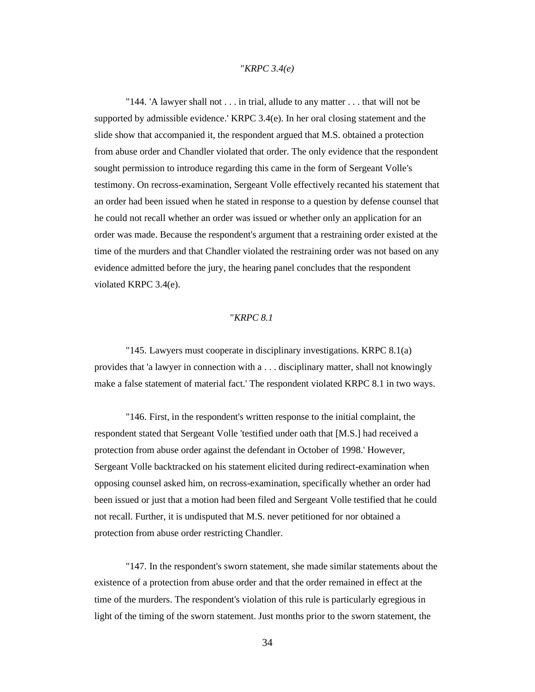### "*KRPC 3.4(e)*

"144. 'A lawyer shall not . . . in trial, allude to any matter . . . that will not be supported by admissible evidence.' KRPC  $3.4(e)$ . In her oral closing statement and the slide show that accompanied it, the respondent argued that M.S. obtained a protection from abuse order and Chandler violated that order. The only evidence that the respondent sought permission to introduce regarding this came in the form of Sergeant Volle's testimony. On recross-examination, Sergeant Volle effectively recanted his statement that an order had been issued when he stated in response to a question by defense counsel that he could not recall whether an order was issued or whether only an application for an order was made. Because the respondent's argument that a restraining order existed at the time of the murders and that Chandler violated the restraining order was not based on any evidence admitted before the jury, the hearing panel concludes that the respondent violated KRPC 3.4(e).

### "*KRPC 8.1*

"145. Lawyers must cooperate in disciplinary investigations. KRPC 8.1(a) provides that 'a lawyer in connection with a . . . disciplinary matter, shall not knowingly make a false statement of material fact.' The respondent violated KRPC 8.1 in two ways.

"146. First, in the respondent's written response to the initial complaint, the respondent stated that Sergeant Volle 'testified under oath that [M.S.] had received a protection from abuse order against the defendant in October of 1998.' However, Sergeant Volle backtracked on his statement elicited during redirect-examination when opposing counsel asked him, on recross-examination, specifically whether an order had been issued or just that a motion had been filed and Sergeant Volle testified that he could not recall. Further, it is undisputed that M.S. never petitioned for nor obtained a protection from abuse order restricting Chandler.

"147. In the respondent's sworn statement, she made similar statements about the existence of a protection from abuse order and that the order remained in effect at the time of the murders. The respondent's violation of this rule is particularly egregious in light of the timing of the sworn statement. Just months prior to the sworn statement, the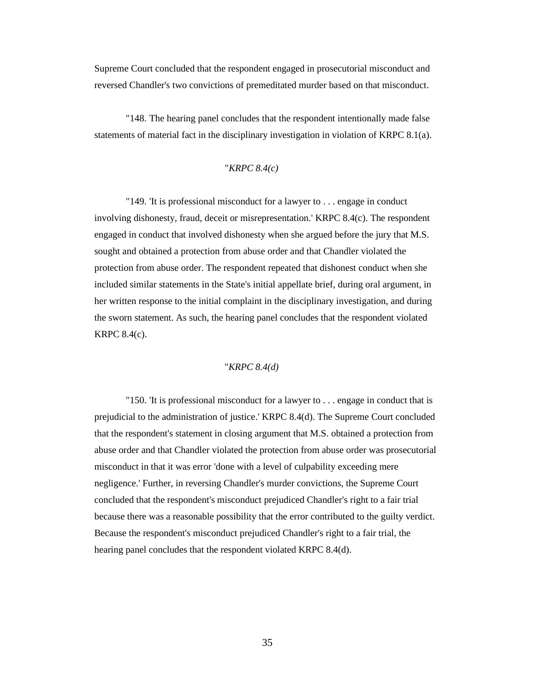Supreme Court concluded that the respondent engaged in prosecutorial misconduct and reversed Chandler's two convictions of premeditated murder based on that misconduct.

"148. The hearing panel concludes that the respondent intentionally made false statements of material fact in the disciplinary investigation in violation of KRPC 8.1(a).

### "*KRPC 8.4(c)*

"149. 'It is professional misconduct for a lawyer to . . . engage in conduct involving dishonesty, fraud, deceit or misrepresentation.' KRPC 8.4(c). The respondent engaged in conduct that involved dishonesty when she argued before the jury that M.S. sought and obtained a protection from abuse order and that Chandler violated the protection from abuse order. The respondent repeated that dishonest conduct when she included similar statements in the State's initial appellate brief, during oral argument, in her written response to the initial complaint in the disciplinary investigation, and during the sworn statement. As such, the hearing panel concludes that the respondent violated KRPC 8.4(c).

### "*KRPC 8.4(d)*

"150. 'It is professional misconduct for a lawyer to . . . engage in conduct that is prejudicial to the administration of justice.' KRPC 8.4(d). The Supreme Court concluded that the respondent's statement in closing argument that M.S. obtained a protection from abuse order and that Chandler violated the protection from abuse order was prosecutorial misconduct in that it was error 'done with a level of culpability exceeding mere negligence.' Further, in reversing Chandler's murder convictions, the Supreme Court concluded that the respondent's misconduct prejudiced Chandler's right to a fair trial because there was a reasonable possibility that the error contributed to the guilty verdict. Because the respondent's misconduct prejudiced Chandler's right to a fair trial, the hearing panel concludes that the respondent violated KRPC 8.4(d).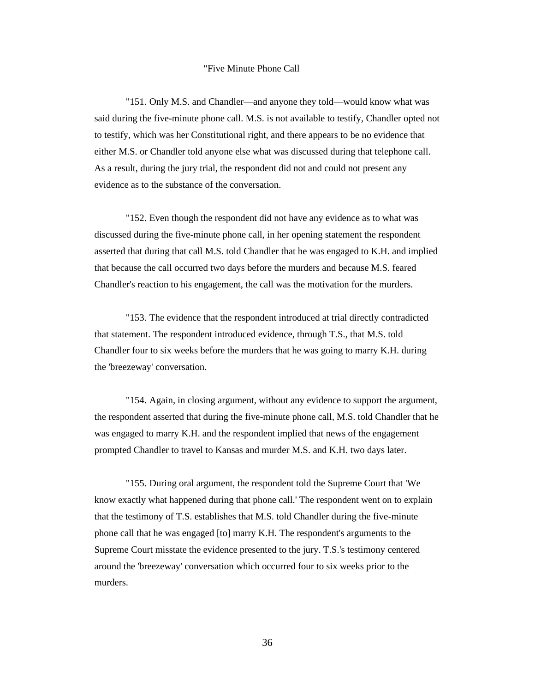#### "Five Minute Phone Call

"151. Only M.S. and Chandler—and anyone they told—would know what was said during the five-minute phone call. M.S. is not available to testify, Chandler opted not to testify, which was her Constitutional right, and there appears to be no evidence that either M.S. or Chandler told anyone else what was discussed during that telephone call. As a result, during the jury trial, the respondent did not and could not present any evidence as to the substance of the conversation.

"152. Even though the respondent did not have any evidence as to what was discussed during the five-minute phone call, in her opening statement the respondent asserted that during that call M.S. told Chandler that he was engaged to K.H. and implied that because the call occurred two days before the murders and because M.S. feared Chandler's reaction to his engagement, the call was the motivation for the murders.

"153. The evidence that the respondent introduced at trial directly contradicted that statement. The respondent introduced evidence, through T.S., that M.S. told Chandler four to six weeks before the murders that he was going to marry K.H. during the 'breezeway' conversation.

"154. Again, in closing argument, without any evidence to support the argument, the respondent asserted that during the five-minute phone call, M.S. told Chandler that he was engaged to marry K.H. and the respondent implied that news of the engagement prompted Chandler to travel to Kansas and murder M.S. and K.H. two days later.

"155. During oral argument, the respondent told the Supreme Court that 'We know exactly what happened during that phone call.' The respondent went on to explain that the testimony of T.S. establishes that M.S. told Chandler during the five-minute phone call that he was engaged [to] marry K.H. The respondent's arguments to the Supreme Court misstate the evidence presented to the jury. T.S.'s testimony centered around the 'breezeway' conversation which occurred four to six weeks prior to the murders.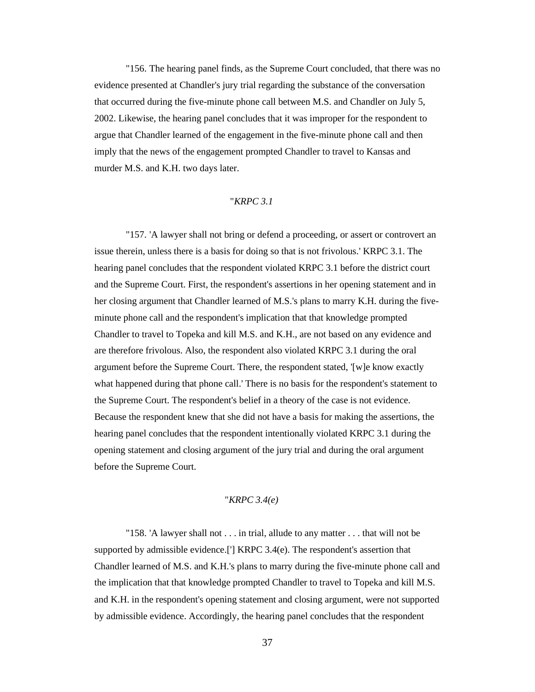"156. The hearing panel finds, as the Supreme Court concluded, that there was no evidence presented at Chandler's jury trial regarding the substance of the conversation that occurred during the five-minute phone call between M.S. and Chandler on July 5, 2002. Likewise, the hearing panel concludes that it was improper for the respondent to argue that Chandler learned of the engagement in the five-minute phone call and then imply that the news of the engagement prompted Chandler to travel to Kansas and murder M.S. and K.H. two days later.

## "*KRPC 3.1*

"157. 'A lawyer shall not bring or defend a proceeding, or assert or controvert an issue therein, unless there is a basis for doing so that is not frivolous.' KRPC 3.1. The hearing panel concludes that the respondent violated KRPC 3.1 before the district court and the Supreme Court. First, the respondent's assertions in her opening statement and in her closing argument that Chandler learned of M.S.'s plans to marry K.H. during the fiveminute phone call and the respondent's implication that that knowledge prompted Chandler to travel to Topeka and kill M.S. and K.H., are not based on any evidence and are therefore frivolous. Also, the respondent also violated KRPC 3.1 during the oral argument before the Supreme Court. There, the respondent stated, '[w]e know exactly what happened during that phone call.' There is no basis for the respondent's statement to the Supreme Court. The respondent's belief in a theory of the case is not evidence. Because the respondent knew that she did not have a basis for making the assertions, the hearing panel concludes that the respondent intentionally violated KRPC 3.1 during the opening statement and closing argument of the jury trial and during the oral argument before the Supreme Court.

# "*KRPC 3.4(e)*

"158. 'A lawyer shall not . . . in trial, allude to any matter . . . that will not be supported by admissible evidence.['] KRPC 3.4(e). The respondent's assertion that Chandler learned of M.S. and K.H.'s plans to marry during the five-minute phone call and the implication that that knowledge prompted Chandler to travel to Topeka and kill M.S. and K.H. in the respondent's opening statement and closing argument, were not supported by admissible evidence. Accordingly, the hearing panel concludes that the respondent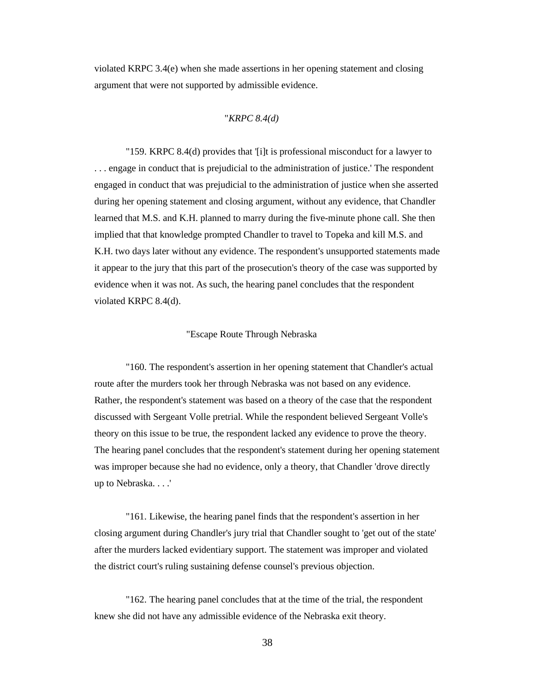violated KRPC 3.4(e) when she made assertions in her opening statement and closing argument that were not supported by admissible evidence.

# "*KRPC 8.4(d)*

"159. KRPC 8.4(d) provides that '[i]t is professional misconduct for a lawyer to . . . engage in conduct that is prejudicial to the administration of justice.' The respondent engaged in conduct that was prejudicial to the administration of justice when she asserted during her opening statement and closing argument, without any evidence, that Chandler learned that M.S. and K.H. planned to marry during the five-minute phone call. She then implied that that knowledge prompted Chandler to travel to Topeka and kill M.S. and K.H. two days later without any evidence. The respondent's unsupported statements made it appear to the jury that this part of the prosecution's theory of the case was supported by evidence when it was not. As such, the hearing panel concludes that the respondent violated KRPC 8.4(d).

## "Escape Route Through Nebraska

"160. The respondent's assertion in her opening statement that Chandler's actual route after the murders took her through Nebraska was not based on any evidence. Rather, the respondent's statement was based on a theory of the case that the respondent discussed with Sergeant Volle pretrial. While the respondent believed Sergeant Volle's theory on this issue to be true, the respondent lacked any evidence to prove the theory. The hearing panel concludes that the respondent's statement during her opening statement was improper because she had no evidence, only a theory, that Chandler 'drove directly up to Nebraska. . . .'

"161. Likewise, the hearing panel finds that the respondent's assertion in her closing argument during Chandler's jury trial that Chandler sought to 'get out of the state' after the murders lacked evidentiary support. The statement was improper and violated the district court's ruling sustaining defense counsel's previous objection.

"162. The hearing panel concludes that at the time of the trial, the respondent knew she did not have any admissible evidence of the Nebraska exit theory.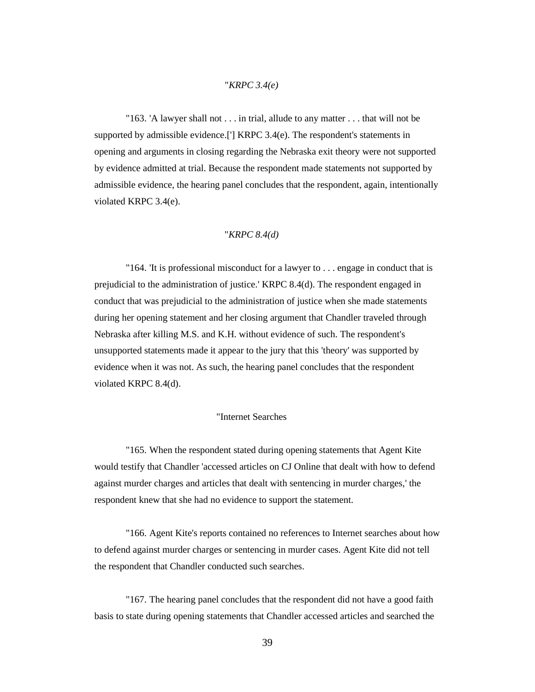## "*KRPC 3.4(e)*

"163. 'A lawyer shall not . . . in trial, allude to any matter . . . that will not be supported by admissible evidence.['] KRPC 3.4(e). The respondent's statements in opening and arguments in closing regarding the Nebraska exit theory were not supported by evidence admitted at trial. Because the respondent made statements not supported by admissible evidence, the hearing panel concludes that the respondent, again, intentionally violated KRPC 3.4(e).

#### "*KRPC 8.4(d)*

"164. 'It is professional misconduct for a lawyer to . . . engage in conduct that is prejudicial to the administration of justice.' KRPC 8.4(d). The respondent engaged in conduct that was prejudicial to the administration of justice when she made statements during her opening statement and her closing argument that Chandler traveled through Nebraska after killing M.S. and K.H. without evidence of such. The respondent's unsupported statements made it appear to the jury that this 'theory' was supported by evidence when it was not. As such, the hearing panel concludes that the respondent violated KRPC 8.4(d).

## "Internet Searches

"165. When the respondent stated during opening statements that Agent Kite would testify that Chandler 'accessed articles on CJ Online that dealt with how to defend against murder charges and articles that dealt with sentencing in murder charges,' the respondent knew that she had no evidence to support the statement.

"166. Agent Kite's reports contained no references to Internet searches about how to defend against murder charges or sentencing in murder cases. Agent Kite did not tell the respondent that Chandler conducted such searches.

"167. The hearing panel concludes that the respondent did not have a good faith basis to state during opening statements that Chandler accessed articles and searched the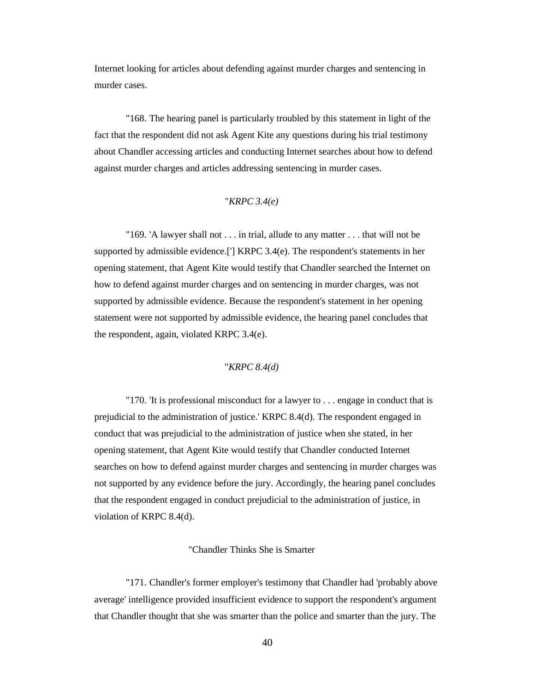Internet looking for articles about defending against murder charges and sentencing in murder cases.

"168. The hearing panel is particularly troubled by this statement in light of the fact that the respondent did not ask Agent Kite any questions during his trial testimony about Chandler accessing articles and conducting Internet searches about how to defend against murder charges and articles addressing sentencing in murder cases.

# "*KRPC 3.4(e)*

"169. 'A lawyer shall not . . . in trial, allude to any matter . . . that will not be supported by admissible evidence.['] KRPC 3.4(e). The respondent's statements in her opening statement, that Agent Kite would testify that Chandler searched the Internet on how to defend against murder charges and on sentencing in murder charges, was not supported by admissible evidence. Because the respondent's statement in her opening statement were not supported by admissible evidence, the hearing panel concludes that the respondent, again, violated KRPC 3.4(e).

# "*KRPC 8.4(d)*

"170. 'It is professional misconduct for a lawyer to . . . engage in conduct that is prejudicial to the administration of justice.' KRPC 8.4(d). The respondent engaged in conduct that was prejudicial to the administration of justice when she stated, in her opening statement, that Agent Kite would testify that Chandler conducted Internet searches on how to defend against murder charges and sentencing in murder charges was not supported by any evidence before the jury. Accordingly, the hearing panel concludes that the respondent engaged in conduct prejudicial to the administration of justice, in violation of KRPC 8.4(d).

## "Chandler Thinks She is Smarter

"171. Chandler's former employer's testimony that Chandler had 'probably above average' intelligence provided insufficient evidence to support the respondent's argument that Chandler thought that she was smarter than the police and smarter than the jury. The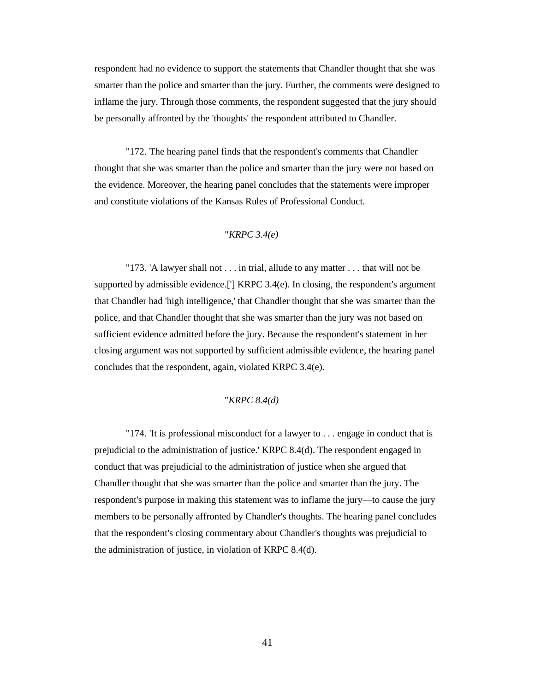respondent had no evidence to support the statements that Chandler thought that she was smarter than the police and smarter than the jury. Further, the comments were designed to inflame the jury. Through those comments, the respondent suggested that the jury should be personally affronted by the 'thoughts' the respondent attributed to Chandler.

"172. The hearing panel finds that the respondent's comments that Chandler thought that she was smarter than the police and smarter than the jury were not based on the evidence. Moreover, the hearing panel concludes that the statements were improper and constitute violations of the Kansas Rules of Professional Conduct.

## "*KRPC 3.4(e)*

"173. 'A lawyer shall not . . . in trial, allude to any matter . . . that will not be supported by admissible evidence.<sup>[']</sup> KRPC  $3.4(e)$ . In closing, the respondent's argument that Chandler had 'high intelligence,' that Chandler thought that she was smarter than the police, and that Chandler thought that she was smarter than the jury was not based on sufficient evidence admitted before the jury. Because the respondent's statement in her closing argument was not supported by sufficient admissible evidence, the hearing panel concludes that the respondent, again, violated KRPC 3.4(e).

## "*KRPC 8.4(d)*

"174. 'It is professional misconduct for a lawyer to . . . engage in conduct that is prejudicial to the administration of justice.' KRPC 8.4(d). The respondent engaged in conduct that was prejudicial to the administration of justice when she argued that Chandler thought that she was smarter than the police and smarter than the jury. The respondent's purpose in making this statement was to inflame the jury—to cause the jury members to be personally affronted by Chandler's thoughts. The hearing panel concludes that the respondent's closing commentary about Chandler's thoughts was prejudicial to the administration of justice, in violation of KRPC 8.4(d).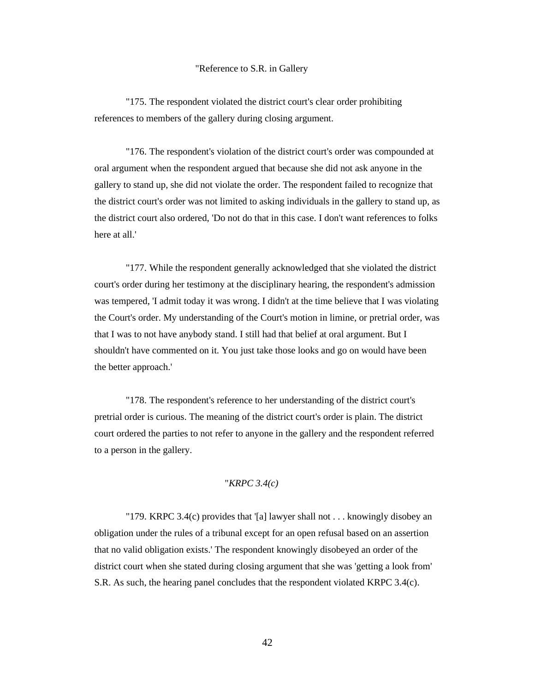### "Reference to S.R. in Gallery

"175. The respondent violated the district court's clear order prohibiting references to members of the gallery during closing argument.

"176. The respondent's violation of the district court's order was compounded at oral argument when the respondent argued that because she did not ask anyone in the gallery to stand up, she did not violate the order. The respondent failed to recognize that the district court's order was not limited to asking individuals in the gallery to stand up, as the district court also ordered, 'Do not do that in this case. I don't want references to folks here at all.'

"177. While the respondent generally acknowledged that she violated the district court's order during her testimony at the disciplinary hearing, the respondent's admission was tempered, 'I admit today it was wrong. I didn't at the time believe that I was violating the Court's order. My understanding of the Court's motion in limine, or pretrial order, was that I was to not have anybody stand. I still had that belief at oral argument. But I shouldn't have commented on it. You just take those looks and go on would have been the better approach.'

"178. The respondent's reference to her understanding of the district court's pretrial order is curious. The meaning of the district court's order is plain. The district court ordered the parties to not refer to anyone in the gallery and the respondent referred to a person in the gallery.

# "*KRPC 3.4(c)*

"179. KRPC 3.4(c) provides that '[a] lawyer shall not . . . knowingly disobey an obligation under the rules of a tribunal except for an open refusal based on an assertion that no valid obligation exists.' The respondent knowingly disobeyed an order of the district court when she stated during closing argument that she was 'getting a look from' S.R. As such, the hearing panel concludes that the respondent violated KRPC 3.4(c).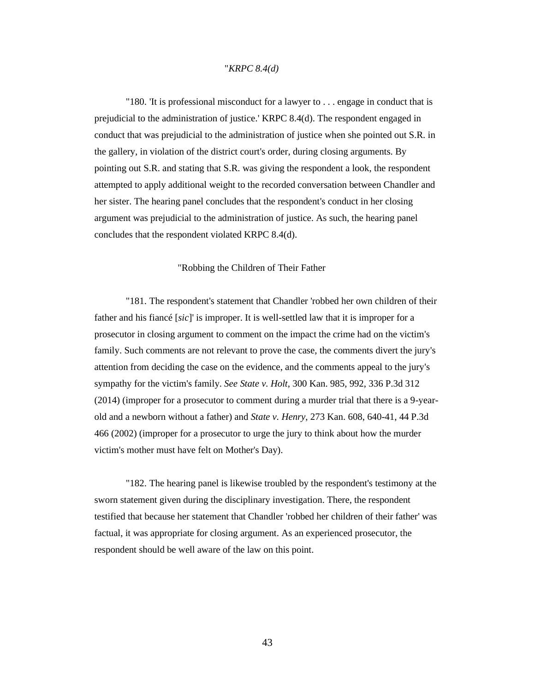## "*KRPC 8.4(d)*

"180. 'It is professional misconduct for a lawyer to . . . engage in conduct that is prejudicial to the administration of justice.' KRPC 8.4(d). The respondent engaged in conduct that was prejudicial to the administration of justice when she pointed out S.R. in the gallery, in violation of the district court's order, during closing arguments. By pointing out S.R. and stating that S.R. was giving the respondent a look, the respondent attempted to apply additional weight to the recorded conversation between Chandler and her sister. The hearing panel concludes that the respondent's conduct in her closing argument was prejudicial to the administration of justice. As such, the hearing panel concludes that the respondent violated KRPC 8.4(d).

#### "Robbing the Children of Their Father

"181. The respondent's statement that Chandler 'robbed her own children of their father and his fiancé [*sic*]' is improper. It is well-settled law that it is improper for a prosecutor in closing argument to comment on the impact the crime had on the victim's family. Such comments are not relevant to prove the case, the comments divert the jury's attention from deciding the case on the evidence, and the comments appeal to the jury's sympathy for the victim's family. *See State v. Holt*, 300 Kan. 985, 992, 336 P.3d 312 (2014) (improper for a prosecutor to comment during a murder trial that there is a 9-yearold and a newborn without a father) and *State v. Henry*, 273 Kan. 608, 640-41, 44 P.3d 466 (2002) (improper for a prosecutor to urge the jury to think about how the murder victim's mother must have felt on Mother's Day).

"182. The hearing panel is likewise troubled by the respondent's testimony at the sworn statement given during the disciplinary investigation. There, the respondent testified that because her statement that Chandler 'robbed her children of their father' was factual, it was appropriate for closing argument. As an experienced prosecutor, the respondent should be well aware of the law on this point.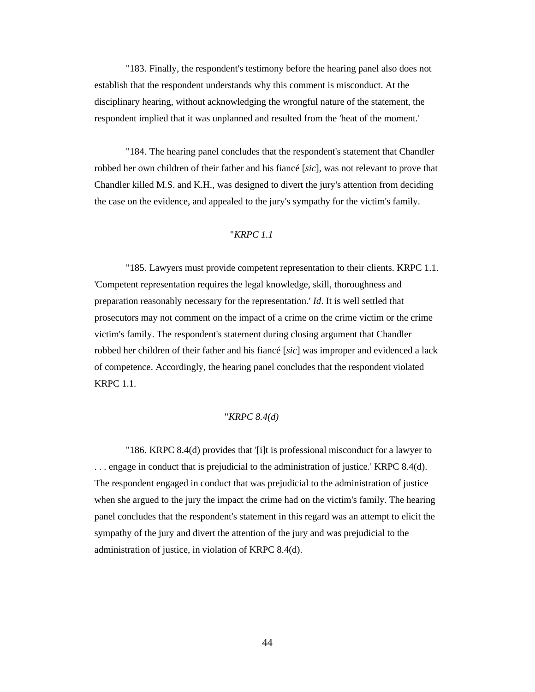"183. Finally, the respondent's testimony before the hearing panel also does not establish that the respondent understands why this comment is misconduct. At the disciplinary hearing, without acknowledging the wrongful nature of the statement, the respondent implied that it was unplanned and resulted from the 'heat of the moment.'

"184. The hearing panel concludes that the respondent's statement that Chandler robbed her own children of their father and his fiancé [*sic*], was not relevant to prove that Chandler killed M.S. and K.H., was designed to divert the jury's attention from deciding the case on the evidence, and appealed to the jury's sympathy for the victim's family.

## "*KRPC 1.1*

"185. Lawyers must provide competent representation to their clients. KRPC 1.1. 'Competent representation requires the legal knowledge, skill, thoroughness and preparation reasonably necessary for the representation.' *Id*. It is well settled that prosecutors may not comment on the impact of a crime on the crime victim or the crime victim's family. The respondent's statement during closing argument that Chandler robbed her children of their father and his fiancé [*sic*] was improper and evidenced a lack of competence. Accordingly, the hearing panel concludes that the respondent violated KRPC 1.1.

## "*KRPC 8.4(d)*

"186. KRPC 8.4(d) provides that '[i]t is professional misconduct for a lawyer to . . . engage in conduct that is prejudicial to the administration of justice.' KRPC 8.4(d). The respondent engaged in conduct that was prejudicial to the administration of justice when she argued to the jury the impact the crime had on the victim's family. The hearing panel concludes that the respondent's statement in this regard was an attempt to elicit the sympathy of the jury and divert the attention of the jury and was prejudicial to the administration of justice, in violation of KRPC 8.4(d).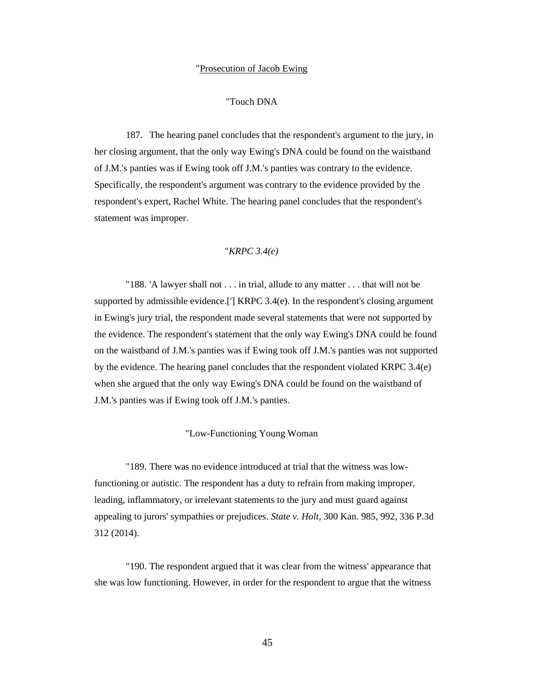#### "Prosecution of Jacob Ewing

# "Touch DNA

187. The hearing panel concludes that the respondent's argument to the jury, in her closing argument, that the only way Ewing's DNA could be found on the waistband of J.M.'s panties was if Ewing took off J.M.'s panties was contrary to the evidence. Specifically, the respondent's argument was contrary to the evidence provided by the respondent's expert, Rachel White. The hearing panel concludes that the respondent's statement was improper.

# "*KRPC 3.4(e)*

"188. 'A lawyer shall not . . . in trial, allude to any matter . . . that will not be supported by admissible evidence.['] KRPC 3.4(e). In the respondent's closing argument in Ewing's jury trial, the respondent made several statements that were not supported by the evidence. The respondent's statement that the only way Ewing's DNA could be found on the waistband of J.M.'s panties was if Ewing took off J.M.'s panties was not supported by the evidence. The hearing panel concludes that the respondent violated KRPC 3.4(e) when she argued that the only way Ewing's DNA could be found on the waistband of J.M.'s panties was if Ewing took off J.M.'s panties.

### "Low-Functioning Young Woman

"189. There was no evidence introduced at trial that the witness was lowfunctioning or autistic. The respondent has a duty to refrain from making improper, leading, inflammatory, or irrelevant statements to the jury and must guard against appealing to jurors' sympathies or prejudices. *State v. Holt*, 300 Kan. 985, 992, 336 P.3d 312 (2014).

"190. The respondent argued that it was clear from the witness' appearance that she was low functioning. However, in order for the respondent to argue that the witness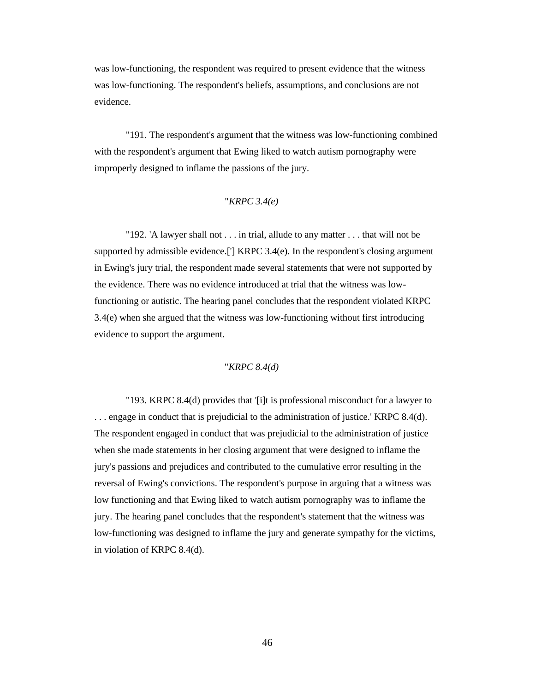was low-functioning, the respondent was required to present evidence that the witness was low-functioning. The respondent's beliefs, assumptions, and conclusions are not evidence.

"191. The respondent's argument that the witness was low-functioning combined with the respondent's argument that Ewing liked to watch autism pornography were improperly designed to inflame the passions of the jury.

# "*KRPC 3.4(e)*

"192. 'A lawyer shall not . . . in trial, allude to any matter . . . that will not be supported by admissible evidence.['] KRPC 3.4(e). In the respondent's closing argument in Ewing's jury trial, the respondent made several statements that were not supported by the evidence. There was no evidence introduced at trial that the witness was lowfunctioning or autistic. The hearing panel concludes that the respondent violated KRPC 3.4(e) when she argued that the witness was low-functioning without first introducing evidence to support the argument.

"*KRPC 8.4(d)*

"193. KRPC 8.4(d) provides that '[i]t is professional misconduct for a lawyer to . . . engage in conduct that is prejudicial to the administration of justice.' KRPC 8.4(d). The respondent engaged in conduct that was prejudicial to the administration of justice when she made statements in her closing argument that were designed to inflame the jury's passions and prejudices and contributed to the cumulative error resulting in the reversal of Ewing's convictions. The respondent's purpose in arguing that a witness was low functioning and that Ewing liked to watch autism pornography was to inflame the jury. The hearing panel concludes that the respondent's statement that the witness was low-functioning was designed to inflame the jury and generate sympathy for the victims, in violation of KRPC 8.4(d).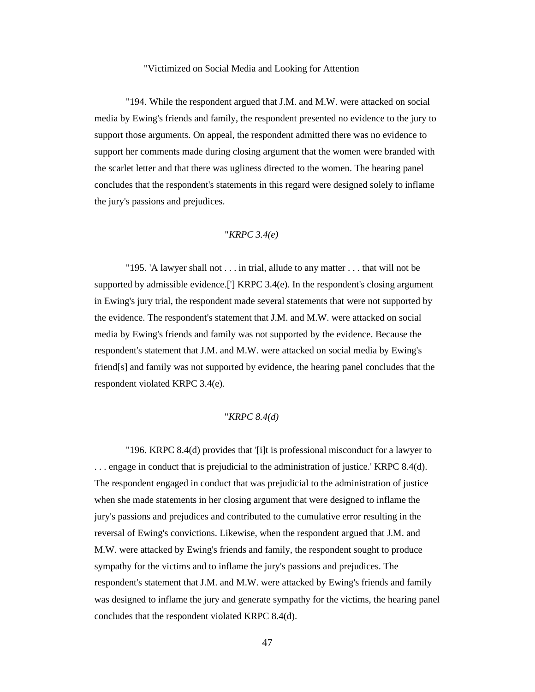#### "Victimized on Social Media and Looking for Attention

"194. While the respondent argued that J.M. and M.W. were attacked on social media by Ewing's friends and family, the respondent presented no evidence to the jury to support those arguments. On appeal, the respondent admitted there was no evidence to support her comments made during closing argument that the women were branded with the scarlet letter and that there was ugliness directed to the women. The hearing panel concludes that the respondent's statements in this regard were designed solely to inflame the jury's passions and prejudices.

## "*KRPC 3.4(e)*

"195. 'A lawyer shall not . . . in trial, allude to any matter . . . that will not be supported by admissible evidence.['] KRPC 3.4(e). In the respondent's closing argument in Ewing's jury trial, the respondent made several statements that were not supported by the evidence. The respondent's statement that J.M. and M.W. were attacked on social media by Ewing's friends and family was not supported by the evidence. Because the respondent's statement that J.M. and M.W. were attacked on social media by Ewing's friend[s] and family was not supported by evidence, the hearing panel concludes that the respondent violated KRPC 3.4(e).

## "*KRPC 8.4(d)*

"196. KRPC 8.4(d) provides that '[i]t is professional misconduct for a lawyer to . . . engage in conduct that is prejudicial to the administration of justice.' KRPC 8.4(d). The respondent engaged in conduct that was prejudicial to the administration of justice when she made statements in her closing argument that were designed to inflame the jury's passions and prejudices and contributed to the cumulative error resulting in the reversal of Ewing's convictions. Likewise, when the respondent argued that J.M. and M.W. were attacked by Ewing's friends and family, the respondent sought to produce sympathy for the victims and to inflame the jury's passions and prejudices. The respondent's statement that J.M. and M.W. were attacked by Ewing's friends and family was designed to inflame the jury and generate sympathy for the victims, the hearing panel concludes that the respondent violated KRPC 8.4(d).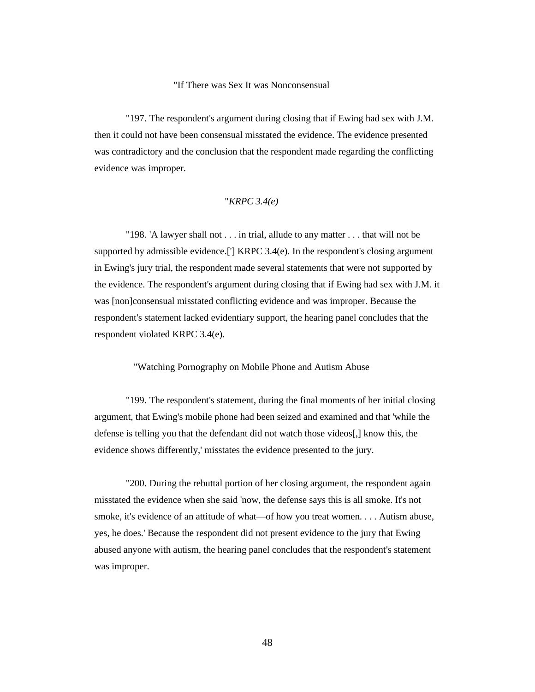### "If There was Sex It was Nonconsensual

"197. The respondent's argument during closing that if Ewing had sex with J.M. then it could not have been consensual misstated the evidence. The evidence presented was contradictory and the conclusion that the respondent made regarding the conflicting evidence was improper.

# "*KRPC 3.4(e)*

"198. 'A lawyer shall not . . . in trial, allude to any matter . . . that will not be supported by admissible evidence.['] KRPC 3.4(e). In the respondent's closing argument in Ewing's jury trial, the respondent made several statements that were not supported by the evidence. The respondent's argument during closing that if Ewing had sex with J.M. it was [non]consensual misstated conflicting evidence and was improper. Because the respondent's statement lacked evidentiary support, the hearing panel concludes that the respondent violated KRPC 3.4(e).

### "Watching Pornography on Mobile Phone and Autism Abuse

"199. The respondent's statement, during the final moments of her initial closing argument, that Ewing's mobile phone had been seized and examined and that 'while the defense is telling you that the defendant did not watch those videos[,] know this, the evidence shows differently,' misstates the evidence presented to the jury.

"200. During the rebuttal portion of her closing argument, the respondent again misstated the evidence when she said 'now, the defense says this is all smoke. It's not smoke, it's evidence of an attitude of what—of how you treat women. . . . Autism abuse, yes, he does.' Because the respondent did not present evidence to the jury that Ewing abused anyone with autism, the hearing panel concludes that the respondent's statement was improper.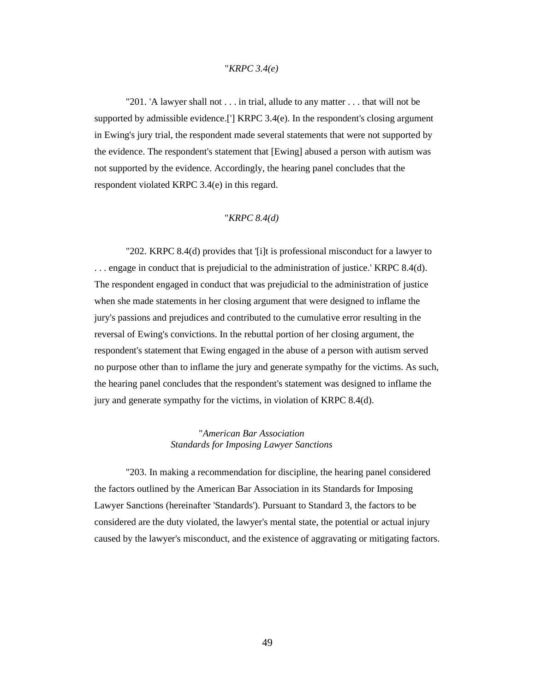# "*KRPC 3.4(e)*

"201. 'A lawyer shall not . . . in trial, allude to any matter . . . that will not be supported by admissible evidence.['] KRPC 3.4(e). In the respondent's closing argument in Ewing's jury trial, the respondent made several statements that were not supported by the evidence. The respondent's statement that [Ewing] abused a person with autism was not supported by the evidence. Accordingly, the hearing panel concludes that the respondent violated KRPC 3.4(e) in this regard.

## "*KRPC 8.4(d)*

"202. KRPC 8.4(d) provides that '[i]t is professional misconduct for a lawyer to . . . engage in conduct that is prejudicial to the administration of justice.' KRPC 8.4(d). The respondent engaged in conduct that was prejudicial to the administration of justice when she made statements in her closing argument that were designed to inflame the jury's passions and prejudices and contributed to the cumulative error resulting in the reversal of Ewing's convictions. In the rebuttal portion of her closing argument, the respondent's statement that Ewing engaged in the abuse of a person with autism served no purpose other than to inflame the jury and generate sympathy for the victims. As such, the hearing panel concludes that the respondent's statement was designed to inflame the jury and generate sympathy for the victims, in violation of KRPC 8.4(d).

# "*American Bar Association Standards for Imposing Lawyer Sanctions*

"203. In making a recommendation for discipline, the hearing panel considered the factors outlined by the American Bar Association in its Standards for Imposing Lawyer Sanctions (hereinafter 'Standards'). Pursuant to Standard 3, the factors to be considered are the duty violated, the lawyer's mental state, the potential or actual injury caused by the lawyer's misconduct, and the existence of aggravating or mitigating factors.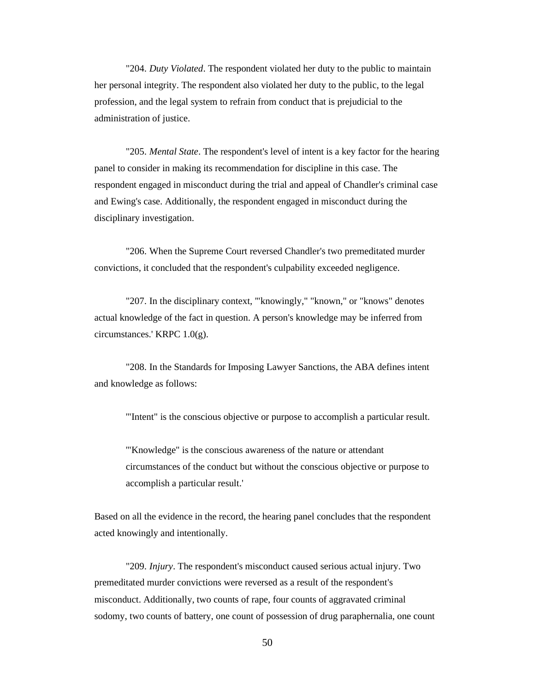"204. *Duty Violated*. The respondent violated her duty to the public to maintain her personal integrity. The respondent also violated her duty to the public, to the legal profession, and the legal system to refrain from conduct that is prejudicial to the administration of justice.

"205. *Mental State*. The respondent's level of intent is a key factor for the hearing panel to consider in making its recommendation for discipline in this case. The respondent engaged in misconduct during the trial and appeal of Chandler's criminal case and Ewing's case. Additionally, the respondent engaged in misconduct during the disciplinary investigation.

"206. When the Supreme Court reversed Chandler's two premeditated murder convictions, it concluded that the respondent's culpability exceeded negligence.

"207. In the disciplinary context, '"knowingly," "known," or "knows" denotes actual knowledge of the fact in question. A person's knowledge may be inferred from circumstances.' KRPC 1.0(g).

"208. In the Standards for Imposing Lawyer Sanctions, the ABA defines intent and knowledge as follows:

'"Intent" is the conscious objective or purpose to accomplish a particular result.

'"Knowledge" is the conscious awareness of the nature or attendant circumstances of the conduct but without the conscious objective or purpose to accomplish a particular result.'

Based on all the evidence in the record, the hearing panel concludes that the respondent acted knowingly and intentionally.

"209. *Injury*. The respondent's misconduct caused serious actual injury. Two premeditated murder convictions were reversed as a result of the respondent's misconduct. Additionally, two counts of rape, four counts of aggravated criminal sodomy, two counts of battery, one count of possession of drug paraphernalia, one count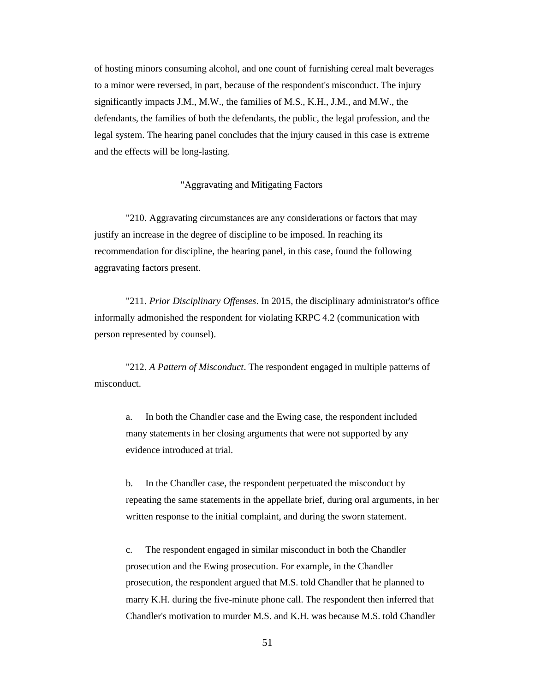of hosting minors consuming alcohol, and one count of furnishing cereal malt beverages to a minor were reversed, in part, because of the respondent's misconduct. The injury significantly impacts J.M., M.W., the families of M.S., K.H., J.M., and M.W., the defendants, the families of both the defendants, the public, the legal profession, and the legal system. The hearing panel concludes that the injury caused in this case is extreme and the effects will be long-lasting.

## "Aggravating and Mitigating Factors

"210. Aggravating circumstances are any considerations or factors that may justify an increase in the degree of discipline to be imposed. In reaching its recommendation for discipline, the hearing panel, in this case, found the following aggravating factors present.

"211. *Prior Disciplinary Offenses*. In 2015, the disciplinary administrator's office informally admonished the respondent for violating KRPC 4.2 (communication with person represented by counsel).

"212. *A Pattern of Misconduct*. The respondent engaged in multiple patterns of misconduct.

a. In both the Chandler case and the Ewing case, the respondent included many statements in her closing arguments that were not supported by any evidence introduced at trial.

b. In the Chandler case, the respondent perpetuated the misconduct by repeating the same statements in the appellate brief, during oral arguments, in her written response to the initial complaint, and during the sworn statement.

c. The respondent engaged in similar misconduct in both the Chandler prosecution and the Ewing prosecution. For example, in the Chandler prosecution, the respondent argued that M.S. told Chandler that he planned to marry K.H. during the five-minute phone call. The respondent then inferred that Chandler's motivation to murder M.S. and K.H. was because M.S. told Chandler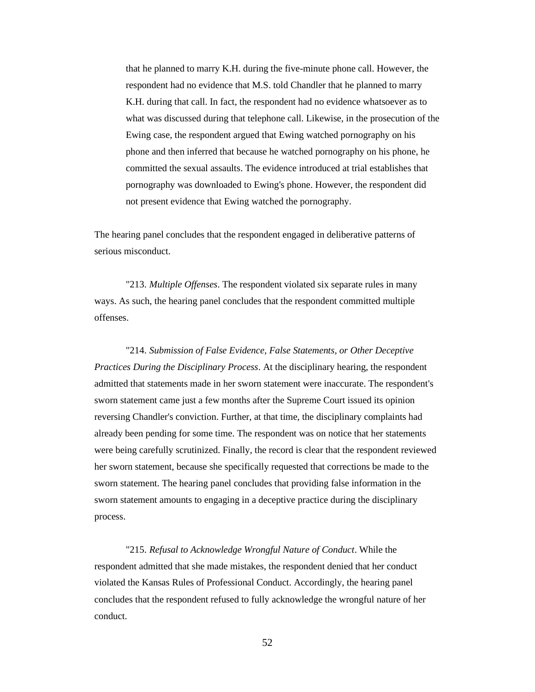that he planned to marry K.H. during the five-minute phone call. However, the respondent had no evidence that M.S. told Chandler that he planned to marry K.H. during that call. In fact, the respondent had no evidence whatsoever as to what was discussed during that telephone call. Likewise, in the prosecution of the Ewing case, the respondent argued that Ewing watched pornography on his phone and then inferred that because he watched pornography on his phone, he committed the sexual assaults. The evidence introduced at trial establishes that pornography was downloaded to Ewing's phone. However, the respondent did not present evidence that Ewing watched the pornography.

The hearing panel concludes that the respondent engaged in deliberative patterns of serious misconduct.

"213. *Multiple Offenses*. The respondent violated six separate rules in many ways. As such, the hearing panel concludes that the respondent committed multiple offenses.

"214. *Submission of False Evidence, False Statements, or Other Deceptive Practices During the Disciplinary Process*. At the disciplinary hearing, the respondent admitted that statements made in her sworn statement were inaccurate. The respondent's sworn statement came just a few months after the Supreme Court issued its opinion reversing Chandler's conviction. Further, at that time, the disciplinary complaints had already been pending for some time. The respondent was on notice that her statements were being carefully scrutinized. Finally, the record is clear that the respondent reviewed her sworn statement, because she specifically requested that corrections be made to the sworn statement. The hearing panel concludes that providing false information in the sworn statement amounts to engaging in a deceptive practice during the disciplinary process.

"215. *Refusal to Acknowledge Wrongful Nature of Conduct*. While the respondent admitted that she made mistakes, the respondent denied that her conduct violated the Kansas Rules of Professional Conduct. Accordingly, the hearing panel concludes that the respondent refused to fully acknowledge the wrongful nature of her conduct.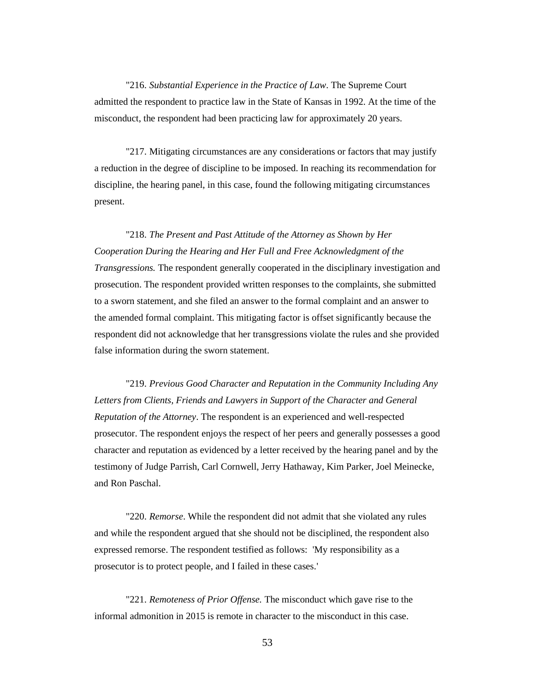"216. *Substantial Experience in the Practice of Law*. The Supreme Court admitted the respondent to practice law in the State of Kansas in 1992. At the time of the misconduct, the respondent had been practicing law for approximately 20 years.

"217. Mitigating circumstances are any considerations or factors that may justify a reduction in the degree of discipline to be imposed. In reaching its recommendation for discipline, the hearing panel, in this case, found the following mitigating circumstances present.

"218. *The Present and Past Attitude of the Attorney as Shown by Her Cooperation During the Hearing and Her Full and Free Acknowledgment of the Transgressions.* The respondent generally cooperated in the disciplinary investigation and prosecution. The respondent provided written responses to the complaints, she submitted to a sworn statement, and she filed an answer to the formal complaint and an answer to the amended formal complaint. This mitigating factor is offset significantly because the respondent did not acknowledge that her transgressions violate the rules and she provided false information during the sworn statement.

"219. *Previous Good Character and Reputation in the Community Including Any Letters from Clients, Friends and Lawyers in Support of the Character and General Reputation of the Attorney*. The respondent is an experienced and well-respected prosecutor. The respondent enjoys the respect of her peers and generally possesses a good character and reputation as evidenced by a letter received by the hearing panel and by the testimony of Judge Parrish, Carl Cornwell, Jerry Hathaway, Kim Parker, Joel Meinecke, and Ron Paschal.

"220. *Remorse*. While the respondent did not admit that she violated any rules and while the respondent argued that she should not be disciplined, the respondent also expressed remorse. The respondent testified as follows: 'My responsibility as a prosecutor is to protect people, and I failed in these cases.'

"221. *Remoteness of Prior Offense.* The misconduct which gave rise to the informal admonition in 2015 is remote in character to the misconduct in this case.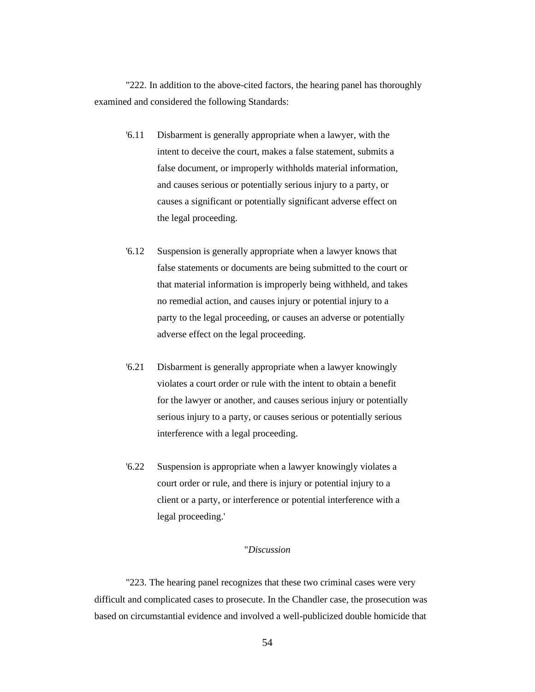"222. In addition to the above-cited factors, the hearing panel has thoroughly examined and considered the following Standards:

- '6.11 Disbarment is generally appropriate when a lawyer, with the intent to deceive the court, makes a false statement, submits a false document, or improperly withholds material information, and causes serious or potentially serious injury to a party, or causes a significant or potentially significant adverse effect on the legal proceeding.
- '6.12 Suspension is generally appropriate when a lawyer knows that false statements or documents are being submitted to the court or that material information is improperly being withheld, and takes no remedial action, and causes injury or potential injury to a party to the legal proceeding, or causes an adverse or potentially adverse effect on the legal proceeding.
- '6.21 Disbarment is generally appropriate when a lawyer knowingly violates a court order or rule with the intent to obtain a benefit for the lawyer or another, and causes serious injury or potentially serious injury to a party, or causes serious or potentially serious interference with a legal proceeding.
- '6.22 Suspension is appropriate when a lawyer knowingly violates a court order or rule, and there is injury or potential injury to a client or a party, or interference or potential interference with a legal proceeding.'

## "*Discussion*

"223. The hearing panel recognizes that these two criminal cases were very difficult and complicated cases to prosecute. In the Chandler case, the prosecution was based on circumstantial evidence and involved a well-publicized double homicide that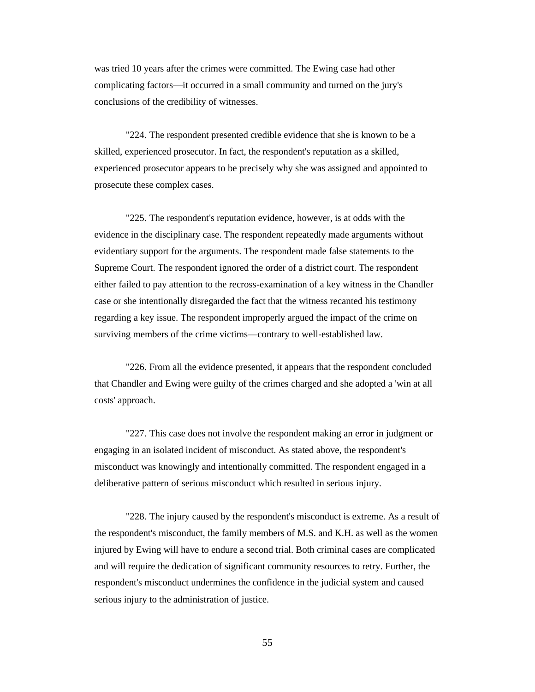was tried 10 years after the crimes were committed. The Ewing case had other complicating factors—it occurred in a small community and turned on the jury's conclusions of the credibility of witnesses.

"224. The respondent presented credible evidence that she is known to be a skilled, experienced prosecutor. In fact, the respondent's reputation as a skilled, experienced prosecutor appears to be precisely why she was assigned and appointed to prosecute these complex cases.

"225. The respondent's reputation evidence, however, is at odds with the evidence in the disciplinary case. The respondent repeatedly made arguments without evidentiary support for the arguments. The respondent made false statements to the Supreme Court. The respondent ignored the order of a district court. The respondent either failed to pay attention to the recross-examination of a key witness in the Chandler case or she intentionally disregarded the fact that the witness recanted his testimony regarding a key issue. The respondent improperly argued the impact of the crime on surviving members of the crime victims—contrary to well-established law.

"226. From all the evidence presented, it appears that the respondent concluded that Chandler and Ewing were guilty of the crimes charged and she adopted a 'win at all costs' approach.

"227. This case does not involve the respondent making an error in judgment or engaging in an isolated incident of misconduct. As stated above, the respondent's misconduct was knowingly and intentionally committed. The respondent engaged in a deliberative pattern of serious misconduct which resulted in serious injury.

"228. The injury caused by the respondent's misconduct is extreme. As a result of the respondent's misconduct, the family members of M.S. and K.H. as well as the women injured by Ewing will have to endure a second trial. Both criminal cases are complicated and will require the dedication of significant community resources to retry. Further, the respondent's misconduct undermines the confidence in the judicial system and caused serious injury to the administration of justice.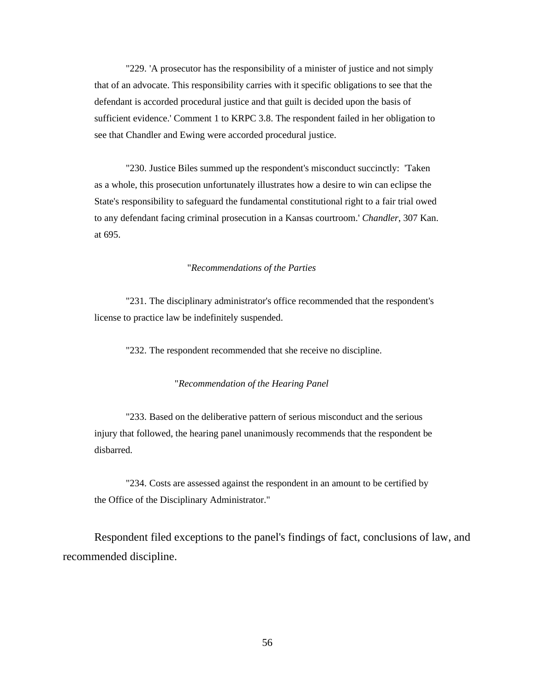"229. 'A prosecutor has the responsibility of a minister of justice and not simply that of an advocate. This responsibility carries with it specific obligations to see that the defendant is accorded procedural justice and that guilt is decided upon the basis of sufficient evidence.' Comment 1 to KRPC 3.8. The respondent failed in her obligation to see that Chandler and Ewing were accorded procedural justice.

"230. Justice Biles summed up the respondent's misconduct succinctly: 'Taken as a whole, this prosecution unfortunately illustrates how a desire to win can eclipse the State's responsibility to safeguard the fundamental constitutional right to a fair trial owed to any defendant facing criminal prosecution in a Kansas courtroom.' *Chandler*, 307 Kan. at 695.

## "*Recommendations of the Parties*

"231. The disciplinary administrator's office recommended that the respondent's license to practice law be indefinitely suspended.

"232. The respondent recommended that she receive no discipline.

## "*Recommendation of the Hearing Panel*

"233. Based on the deliberative pattern of serious misconduct and the serious injury that followed, the hearing panel unanimously recommends that the respondent be disbarred.

"234. Costs are assessed against the respondent in an amount to be certified by the Office of the Disciplinary Administrator."

Respondent filed exceptions to the panel's findings of fact, conclusions of law, and recommended discipline.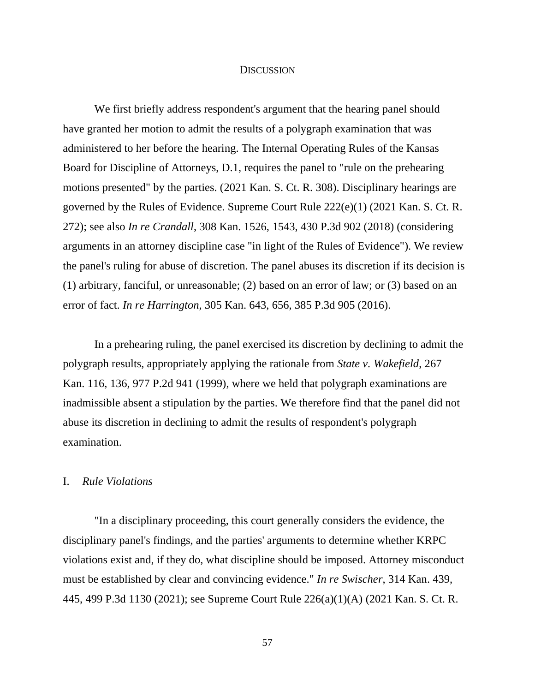# **DISCUSSION**

We first briefly address respondent's argument that the hearing panel should have granted her motion to admit the results of a polygraph examination that was administered to her before the hearing. The Internal Operating Rules of the Kansas Board for Discipline of Attorneys, D.1, requires the panel to "rule on the prehearing motions presented" by the parties. (2021 Kan. S. Ct. R. 308). Disciplinary hearings are governed by the Rules of Evidence. Supreme Court Rule 222(e)(1) (2021 Kan. S. Ct. R. 272); see also *In re Crandall*, 308 Kan. 1526, 1543, 430 P.3d 902 (2018) (considering arguments in an attorney discipline case "in light of the Rules of Evidence"). We review the panel's ruling for abuse of discretion. The panel abuses its discretion if its decision is (1) arbitrary, fanciful, or unreasonable; (2) based on an error of law; or (3) based on an error of fact. *In re Harrington*, 305 Kan. 643, 656, 385 P.3d 905 (2016).

In a prehearing ruling, the panel exercised its discretion by declining to admit the polygraph results, appropriately applying the rationale from *State v. Wakefield*, 267 Kan. 116, 136, 977 P.2d 941 (1999), where we held that polygraph examinations are inadmissible absent a stipulation by the parties. We therefore find that the panel did not abuse its discretion in declining to admit the results of respondent's polygraph examination.

# I. *Rule Violations*

"In a disciplinary proceeding, this court generally considers the evidence, the disciplinary panel's findings, and the parties' arguments to determine whether KRPC violations exist and, if they do, what discipline should be imposed. Attorney misconduct must be established by clear and convincing evidence." *In re Swischer*, 314 Kan. 439, 445, 499 P.3d 1130 (2021); see Supreme Court Rule 226(a)(1)(A) (2021 Kan. S. Ct. R.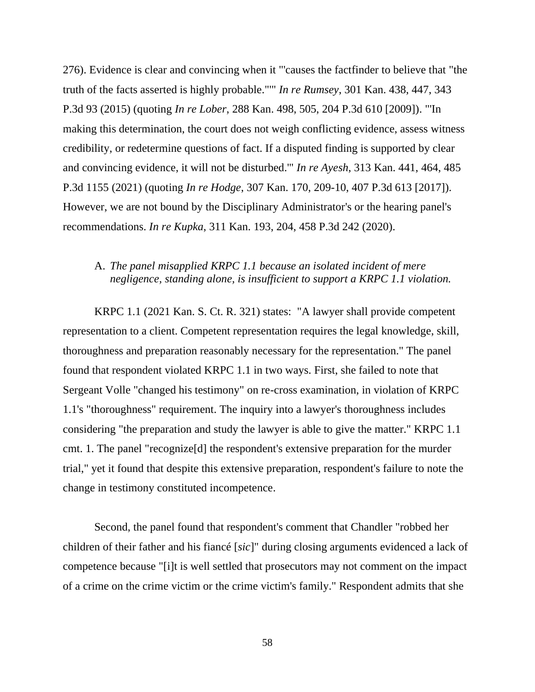276). Evidence is clear and convincing when it "'causes the factfinder to believe that "the truth of the facts asserted is highly probable."'" *In re Rumsey*, 301 Kan. 438, 447, 343 P.3d 93 (2015) (quoting *In re Lober*, 288 Kan. 498, 505, 204 P.3d 610 [2009]). "'In making this determination, the court does not weigh conflicting evidence, assess witness credibility, or redetermine questions of fact. If a disputed finding is supported by clear and convincing evidence, it will not be disturbed.'" *In re Ayesh*, 313 Kan. 441, 464, 485 P.3d 1155 (2021) (quoting *In re Hodge*, 307 Kan. 170, 209-10, 407 P.3d 613 [2017]). However, we are not bound by the Disciplinary Administrator's or the hearing panel's recommendations. *In re Kupka*, 311 Kan. 193, 204, 458 P.3d 242 (2020).

# A. *The panel misapplied KRPC 1.1 because an isolated incident of mere negligence, standing alone, is insufficient to support a KRPC 1.1 violation.*

KRPC 1.1 (2021 Kan. S. Ct. R. 321) states: "A lawyer shall provide competent representation to a client. Competent representation requires the legal knowledge, skill, thoroughness and preparation reasonably necessary for the representation." The panel found that respondent violated KRPC 1.1 in two ways. First, she failed to note that Sergeant Volle "changed his testimony" on re-cross examination, in violation of KRPC 1.1's "thoroughness" requirement. The inquiry into a lawyer's thoroughness includes considering "the preparation and study the lawyer is able to give the matter." KRPC 1.1 cmt. 1. The panel "recognize[d] the respondent's extensive preparation for the murder trial," yet it found that despite this extensive preparation, respondent's failure to note the change in testimony constituted incompetence.

Second, the panel found that respondent's comment that Chandler "robbed her children of their father and his fiancé [*sic*]" during closing arguments evidenced a lack of competence because "[i]t is well settled that prosecutors may not comment on the impact of a crime on the crime victim or the crime victim's family." Respondent admits that she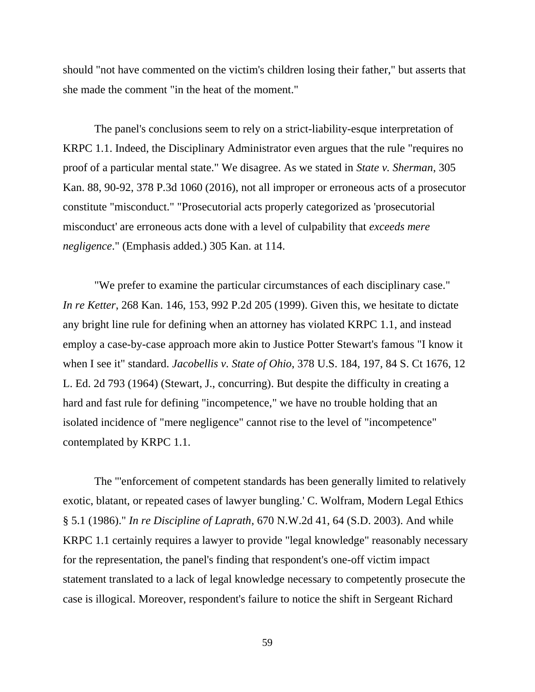should "not have commented on the victim's children losing their father," but asserts that she made the comment "in the heat of the moment."

The panel's conclusions seem to rely on a strict-liability-esque interpretation of KRPC 1.1. Indeed, the Disciplinary Administrator even argues that the rule "requires no proof of a particular mental state." We disagree. As we stated in *State v. Sherman*, 305 Kan. 88, 90-92, 378 P.3d 1060 (2016), not all improper or erroneous acts of a prosecutor constitute "misconduct." "Prosecutorial acts properly categorized as 'prosecutorial misconduct' are erroneous acts done with a level of culpability that *exceeds mere negligence*." (Emphasis added.) 305 Kan. at 114.

"We prefer to examine the particular circumstances of each disciplinary case." *In re Ketter*, 268 Kan. 146, 153, 992 P.2d 205 (1999). Given this, we hesitate to dictate any bright line rule for defining when an attorney has violated KRPC 1.1, and instead employ a case-by-case approach more akin to Justice Potter Stewart's famous "I know it when I see it" standard. *Jacobellis v. State of Ohio*, 378 U.S. 184, 197, 84 S. Ct 1676, 12 L. Ed. 2d 793 (1964) (Stewart, J., concurring). But despite the difficulty in creating a hard and fast rule for defining "incompetence," we have no trouble holding that an isolated incidence of "mere negligence" cannot rise to the level of "incompetence" contemplated by KRPC 1.1.

The "'enforcement of competent standards has been generally limited to relatively exotic, blatant, or repeated cases of lawyer bungling.' C. Wolfram, Modern Legal Ethics § 5.1 (1986)." *In re Discipline of Laprath*, 670 N.W.2d 41, 64 (S.D. 2003). And while KRPC 1.1 certainly requires a lawyer to provide "legal knowledge" reasonably necessary for the representation, the panel's finding that respondent's one-off victim impact statement translated to a lack of legal knowledge necessary to competently prosecute the case is illogical. Moreover, respondent's failure to notice the shift in Sergeant Richard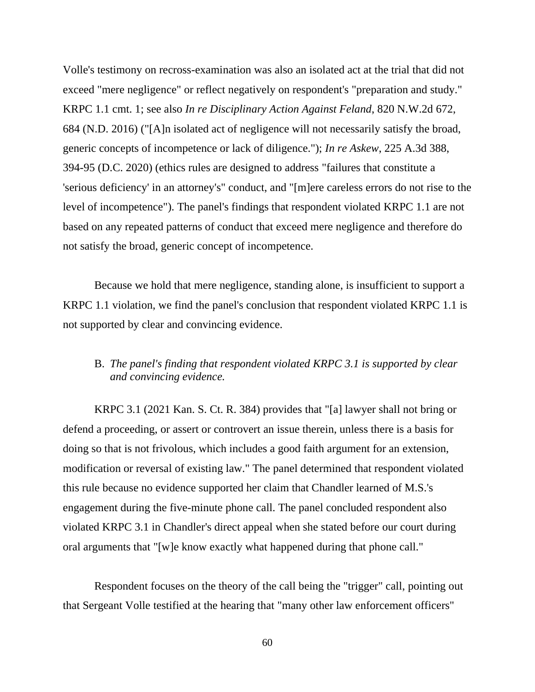Volle's testimony on recross-examination was also an isolated act at the trial that did not exceed "mere negligence" or reflect negatively on respondent's "preparation and study." KRPC 1.1 cmt. 1; see also *In re Disciplinary Action Against Feland*, 820 N.W.2d 672, 684 (N.D. 2016) ("[A]n isolated act of negligence will not necessarily satisfy the broad, generic concepts of incompetence or lack of diligence."); *In re Askew*, 225 A.3d 388, 394-95 (D.C. 2020) (ethics rules are designed to address "failures that constitute a 'serious deficiency' in an attorney's" conduct, and "[m]ere careless errors do not rise to the level of incompetence"). The panel's findings that respondent violated KRPC 1.1 are not based on any repeated patterns of conduct that exceed mere negligence and therefore do not satisfy the broad, generic concept of incompetence.

Because we hold that mere negligence, standing alone, is insufficient to support a KRPC 1.1 violation, we find the panel's conclusion that respondent violated KRPC 1.1 is not supported by clear and convincing evidence.

# B. *The panel's finding that respondent violated KRPC 3.1 is supported by clear and convincing evidence.*

KRPC 3.1 (2021 Kan. S. Ct. R. 384) provides that "[a] lawyer shall not bring or defend a proceeding, or assert or controvert an issue therein, unless there is a basis for doing so that is not frivolous, which includes a good faith argument for an extension, modification or reversal of existing law." The panel determined that respondent violated this rule because no evidence supported her claim that Chandler learned of M.S.'s engagement during the five-minute phone call. The panel concluded respondent also violated KRPC 3.1 in Chandler's direct appeal when she stated before our court during oral arguments that "[w]e know exactly what happened during that phone call."

Respondent focuses on the theory of the call being the "trigger" call, pointing out that Sergeant Volle testified at the hearing that "many other law enforcement officers"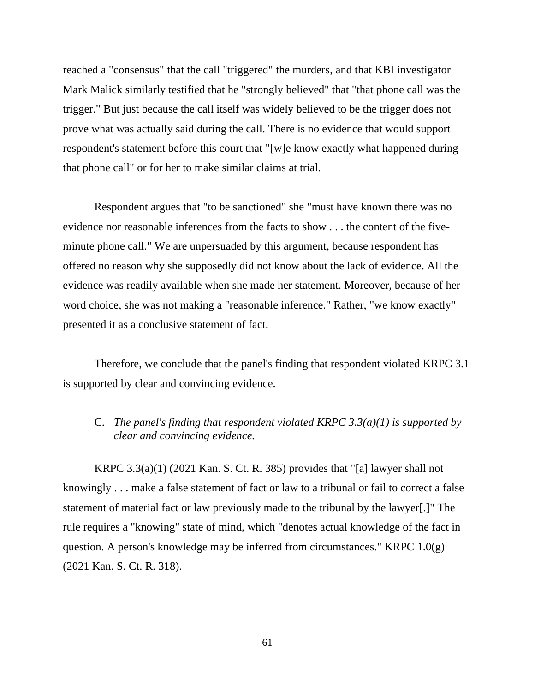reached a "consensus" that the call "triggered" the murders, and that KBI investigator Mark Malick similarly testified that he "strongly believed" that "that phone call was the trigger." But just because the call itself was widely believed to be the trigger does not prove what was actually said during the call. There is no evidence that would support respondent's statement before this court that "[w]e know exactly what happened during that phone call" or for her to make similar claims at trial.

Respondent argues that "to be sanctioned" she "must have known there was no evidence nor reasonable inferences from the facts to show . . . the content of the fiveminute phone call." We are unpersuaded by this argument, because respondent has offered no reason why she supposedly did not know about the lack of evidence. All the evidence was readily available when she made her statement. Moreover, because of her word choice, she was not making a "reasonable inference." Rather, "we know exactly" presented it as a conclusive statement of fact.

Therefore, we conclude that the panel's finding that respondent violated KRPC 3.1 is supported by clear and convincing evidence.

C. *The panel's finding that respondent violated KRPC 3.3(a)(1) is supported by clear and convincing evidence.* 

KRPC  $3.3(a)(1)$  (2021 Kan. S. Ct. R. 385) provides that "[a] lawyer shall not knowingly . . . make a false statement of fact or law to a tribunal or fail to correct a false statement of material fact or law previously made to the tribunal by the lawyer[.]" The rule requires a "knowing" state of mind, which "denotes actual knowledge of the fact in question. A person's knowledge may be inferred from circumstances." KRPC 1.0(g) (2021 Kan. S. Ct. R. 318).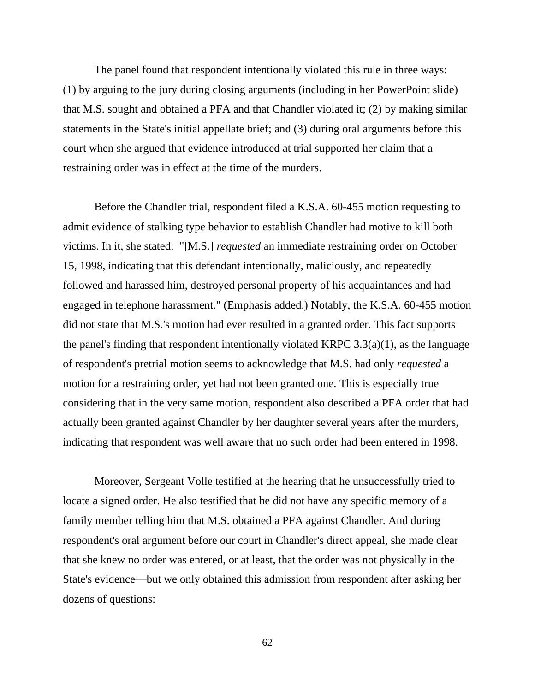The panel found that respondent intentionally violated this rule in three ways: (1) by arguing to the jury during closing arguments (including in her PowerPoint slide) that M.S. sought and obtained a PFA and that Chandler violated it; (2) by making similar statements in the State's initial appellate brief; and (3) during oral arguments before this court when she argued that evidence introduced at trial supported her claim that a restraining order was in effect at the time of the murders.

Before the Chandler trial, respondent filed a K.S.A. 60-455 motion requesting to admit evidence of stalking type behavior to establish Chandler had motive to kill both victims. In it, she stated: "[M.S.] *requested* an immediate restraining order on October 15, 1998, indicating that this defendant intentionally, maliciously, and repeatedly followed and harassed him, destroyed personal property of his acquaintances and had engaged in telephone harassment." (Emphasis added.) Notably, the K.S.A. 60-455 motion did not state that M.S.'s motion had ever resulted in a granted order. This fact supports the panel's finding that respondent intentionally violated KRPC  $3.3(a)(1)$ , as the language of respondent's pretrial motion seems to acknowledge that M.S. had only *requested* a motion for a restraining order, yet had not been granted one. This is especially true considering that in the very same motion, respondent also described a PFA order that had actually been granted against Chandler by her daughter several years after the murders, indicating that respondent was well aware that no such order had been entered in 1998.

Moreover, Sergeant Volle testified at the hearing that he unsuccessfully tried to locate a signed order. He also testified that he did not have any specific memory of a family member telling him that M.S. obtained a PFA against Chandler. And during respondent's oral argument before our court in Chandler's direct appeal, she made clear that she knew no order was entered, or at least, that the order was not physically in the State's evidence—but we only obtained this admission from respondent after asking her dozens of questions: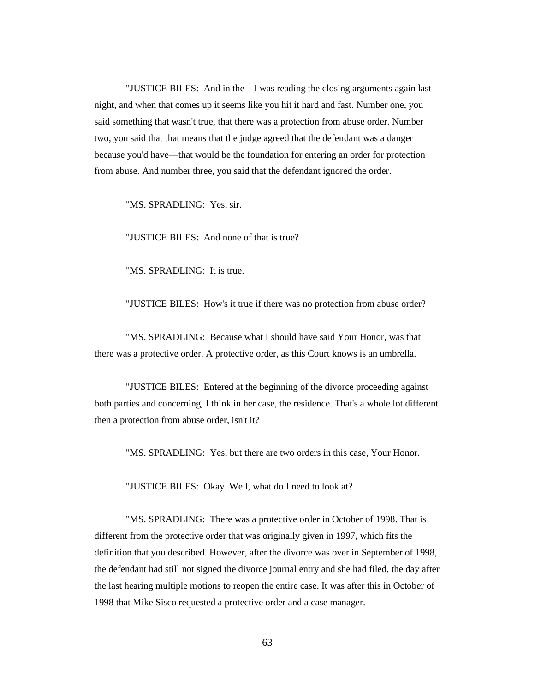"JUSTICE BILES: And in the—I was reading the closing arguments again last night, and when that comes up it seems like you hit it hard and fast. Number one, you said something that wasn't true, that there was a protection from abuse order. Number two, you said that that means that the judge agreed that the defendant was a danger because you'd have—that would be the foundation for entering an order for protection from abuse. And number three, you said that the defendant ignored the order.

"MS. SPRADLING: Yes, sir.

"JUSTICE BILES: And none of that is true?

"MS. SPRADLING: It is true.

"JUSTICE BILES: How's it true if there was no protection from abuse order?

"MS. SPRADLING: Because what I should have said Your Honor, was that there was a protective order. A protective order, as this Court knows is an umbrella.

"JUSTICE BILES: Entered at the beginning of the divorce proceeding against both parties and concerning, I think in her case, the residence. That's a whole lot different then a protection from abuse order, isn't it?

"MS. SPRADLING: Yes, but there are two orders in this case, Your Honor.

"JUSTICE BILES: Okay. Well, what do I need to look at?

"MS. SPRADLING: There was a protective order in October of 1998. That is different from the protective order that was originally given in 1997, which fits the definition that you described. However, after the divorce was over in September of 1998, the defendant had still not signed the divorce journal entry and she had filed, the day after the last hearing multiple motions to reopen the entire case. It was after this in October of 1998 that Mike Sisco requested a protective order and a case manager.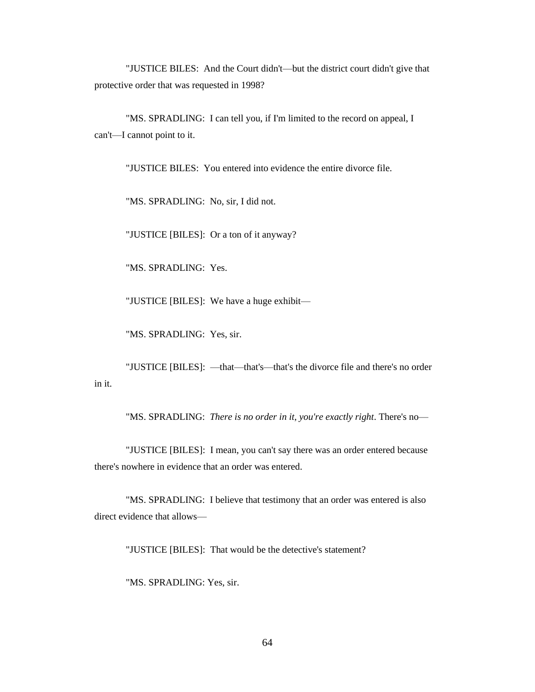"JUSTICE BILES: And the Court didn't—but the district court didn't give that protective order that was requested in 1998?

"MS. SPRADLING: I can tell you, if I'm limited to the record on appeal, I can't—I cannot point to it.

"JUSTICE BILES: You entered into evidence the entire divorce file.

"MS. SPRADLING: No, sir, I did not.

"JUSTICE [BILES]: Or a ton of it anyway?

"MS. SPRADLING: Yes.

"JUSTICE [BILES]: We have a huge exhibit—

"MS. SPRADLING: Yes, sir.

"JUSTICE [BILES]: —that—that's—that's the divorce file and there's no order in it.

"MS. SPRADLING: *There is no order in it, you're exactly right*. There's no—

"JUSTICE [BILES]: I mean, you can't say there was an order entered because there's nowhere in evidence that an order was entered.

"MS. SPRADLING: I believe that testimony that an order was entered is also direct evidence that allows—

"JUSTICE [BILES]: That would be the detective's statement?

"MS. SPRADLING: Yes, sir.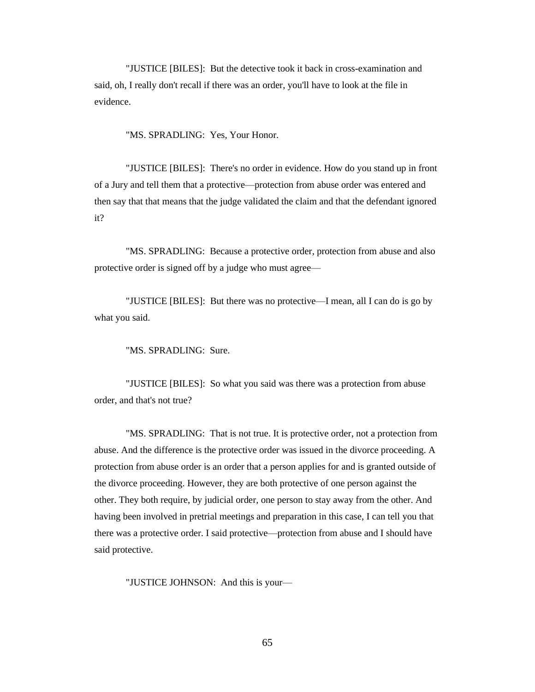"JUSTICE [BILES]: But the detective took it back in cross-examination and said, oh, I really don't recall if there was an order, you'll have to look at the file in evidence.

"MS. SPRADLING: Yes, Your Honor.

"JUSTICE [BILES]: There's no order in evidence. How do you stand up in front of a Jury and tell them that a protective—protection from abuse order was entered and then say that that means that the judge validated the claim and that the defendant ignored it?

"MS. SPRADLING: Because a protective order, protection from abuse and also protective order is signed off by a judge who must agree—

"JUSTICE [BILES]: But there was no protective—I mean, all I can do is go by what you said.

"MS. SPRADLING: Sure.

"JUSTICE [BILES]: So what you said was there was a protection from abuse order, and that's not true?

"MS. SPRADLING: That is not true. It is protective order, not a protection from abuse. And the difference is the protective order was issued in the divorce proceeding. A protection from abuse order is an order that a person applies for and is granted outside of the divorce proceeding. However, they are both protective of one person against the other. They both require, by judicial order, one person to stay away from the other. And having been involved in pretrial meetings and preparation in this case, I can tell you that there was a protective order. I said protective—protection from abuse and I should have said protective.

"JUSTICE JOHNSON: And this is your—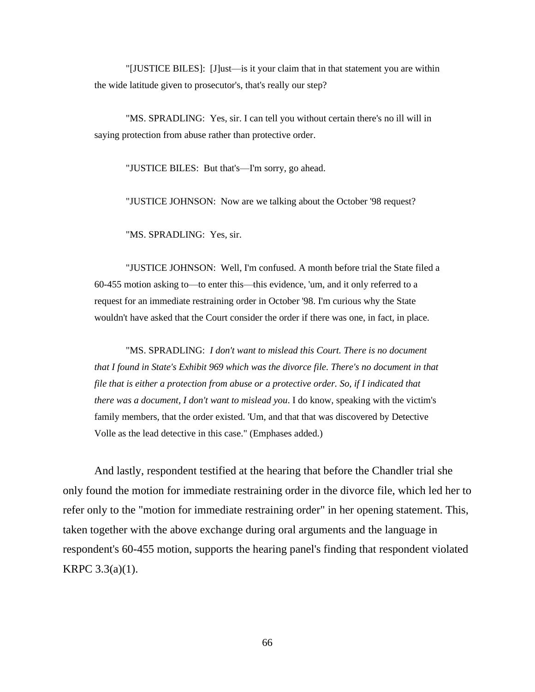"[JUSTICE BILES]: [J]ust—is it your claim that in that statement you are within the wide latitude given to prosecutor's, that's really our step?

"MS. SPRADLING: Yes, sir. I can tell you without certain there's no ill will in saying protection from abuse rather than protective order.

"JUSTICE BILES: But that's—I'm sorry, go ahead.

"JUSTICE JOHNSON: Now are we talking about the October '98 request?

"MS. SPRADLING: Yes, sir.

"JUSTICE JOHNSON: Well, I'm confused. A month before trial the State filed a 60-455 motion asking to—to enter this—this evidence, 'um, and it only referred to a request for an immediate restraining order in October '98. I'm curious why the State wouldn't have asked that the Court consider the order if there was one, in fact, in place.

"MS. SPRADLING: *I don't want to mislead this Court. There is no document that I found in State's Exhibit 969 which was the divorce file. There's no document in that file that is either a protection from abuse or a protective order. So, if I indicated that there was a document, I don't want to mislead you*. I do know, speaking with the victim's family members, that the order existed. 'Um, and that that was discovered by Detective Volle as the lead detective in this case." (Emphases added.)

And lastly, respondent testified at the hearing that before the Chandler trial she only found the motion for immediate restraining order in the divorce file, which led her to refer only to the "motion for immediate restraining order" in her opening statement. This, taken together with the above exchange during oral arguments and the language in respondent's 60-455 motion, supports the hearing panel's finding that respondent violated KRPC 3.3(a)(1).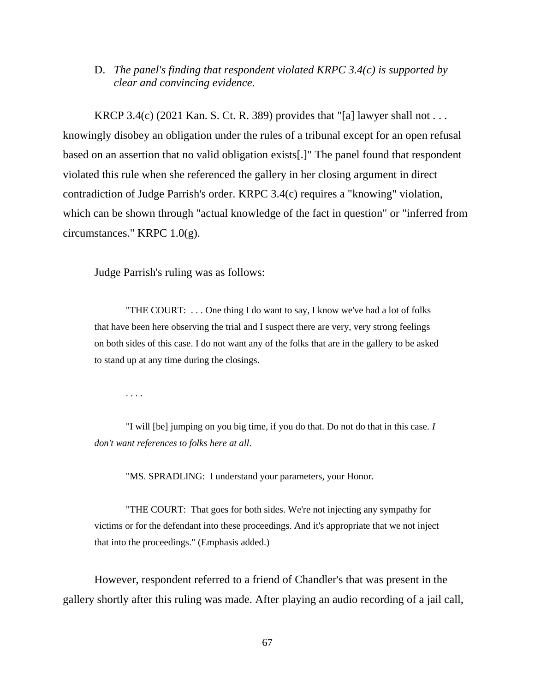# D. *The panel's finding that respondent violated KRPC 3.4(c) is supported by clear and convincing evidence.*

KRCP 3.4(c) (2021 Kan. S. Ct. R. 389) provides that "[a] lawyer shall not . . . knowingly disobey an obligation under the rules of a tribunal except for an open refusal based on an assertion that no valid obligation exists[.]" The panel found that respondent violated this rule when she referenced the gallery in her closing argument in direct contradiction of Judge Parrish's order. KRPC 3.4(c) requires a "knowing" violation, which can be shown through "actual knowledge of the fact in question" or "inferred from circumstances." KRPC 1.0(g).

Judge Parrish's ruling was as follows:

"THE COURT: . . . One thing I do want to say, I know we've had a lot of folks that have been here observing the trial and I suspect there are very, very strong feelings on both sides of this case. I do not want any of the folks that are in the gallery to be asked to stand up at any time during the closings.

. . . .

"I will [be] jumping on you big time, if you do that. Do not do that in this case. *I don't want references to folks here at all*.

"MS. SPRADLING: I understand your parameters, your Honor.

"THE COURT: That goes for both sides. We're not injecting any sympathy for victims or for the defendant into these proceedings. And it's appropriate that we not inject that into the proceedings." (Emphasis added.)

However, respondent referred to a friend of Chandler's that was present in the gallery shortly after this ruling was made. After playing an audio recording of a jail call,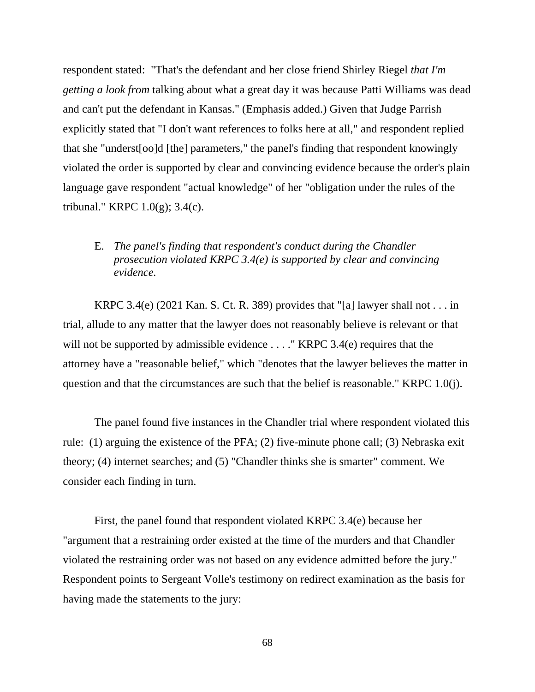respondent stated: "That's the defendant and her close friend Shirley Riegel *that I'm getting a look from* talking about what a great day it was because Patti Williams was dead and can't put the defendant in Kansas." (Emphasis added.) Given that Judge Parrish explicitly stated that "I don't want references to folks here at all," and respondent replied that she "underst[oo]d [the] parameters," the panel's finding that respondent knowingly violated the order is supported by clear and convincing evidence because the order's plain language gave respondent "actual knowledge" of her "obligation under the rules of the tribunal." KRPC 1.0(g); 3.4(c).

# E. *The panel's finding that respondent's conduct during the Chandler prosecution violated KRPC 3.4(e) is supported by clear and convincing evidence.*

KRPC 3.4(e) (2021 Kan. S. Ct. R. 389) provides that "[a] lawyer shall not . . . in trial, allude to any matter that the lawyer does not reasonably believe is relevant or that will not be supported by admissible evidence . . . . " KRPC 3.4(e) requires that the attorney have a "reasonable belief," which "denotes that the lawyer believes the matter in question and that the circumstances are such that the belief is reasonable." KRPC 1.0(j).

The panel found five instances in the Chandler trial where respondent violated this rule: (1) arguing the existence of the PFA; (2) five-minute phone call; (3) Nebraska exit theory; (4) internet searches; and (5) "Chandler thinks she is smarter" comment. We consider each finding in turn.

First, the panel found that respondent violated KRPC 3.4(e) because her "argument that a restraining order existed at the time of the murders and that Chandler violated the restraining order was not based on any evidence admitted before the jury." Respondent points to Sergeant Volle's testimony on redirect examination as the basis for having made the statements to the jury: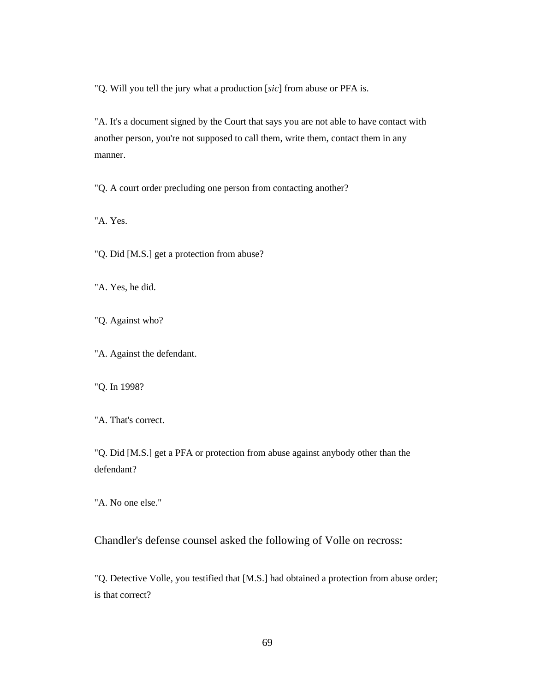"Q. Will you tell the jury what a production [*sic*] from abuse or PFA is.

"A. It's a document signed by the Court that says you are not able to have contact with another person, you're not supposed to call them, write them, contact them in any manner.

"Q. A court order precluding one person from contacting another?

"A. Yes.

"Q. Did [M.S.] get a protection from abuse?

"A. Yes, he did.

"Q. Against who?

"A. Against the defendant.

"Q. In 1998?

"A. That's correct.

"Q. Did [M.S.] get a PFA or protection from abuse against anybody other than the defendant?

"A. No one else."

Chandler's defense counsel asked the following of Volle on recross:

"Q. Detective Volle, you testified that [M.S.] had obtained a protection from abuse order; is that correct?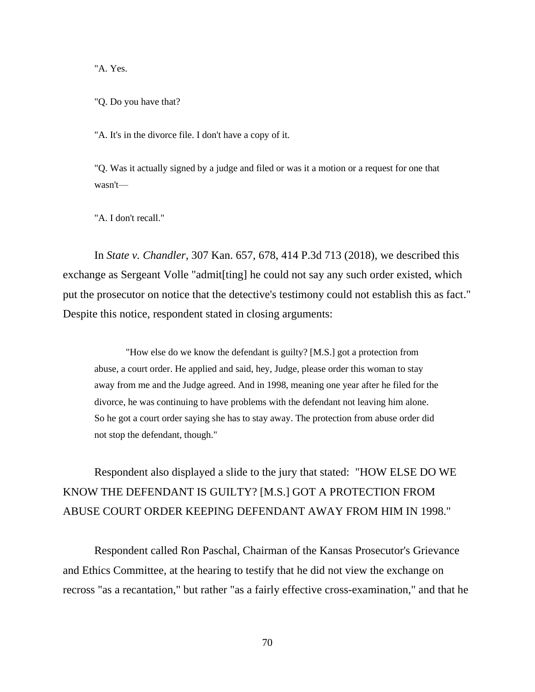"A. Yes.

"Q. Do you have that?

"A. It's in the divorce file. I don't have a copy of it.

"Q. Was it actually signed by a judge and filed or was it a motion or a request for one that wasn't—

"A. I don't recall."

In *State v. Chandler*, 307 Kan. 657, 678, 414 P.3d 713 (2018), we described this exchange as Sergeant Volle "admit[ting] he could not say any such order existed, which put the prosecutor on notice that the detective's testimony could not establish this as fact." Despite this notice, respondent stated in closing arguments:

"How else do we know the defendant is guilty? [M.S.] got a protection from abuse, a court order. He applied and said, hey, Judge, please order this woman to stay away from me and the Judge agreed. And in 1998, meaning one year after he filed for the divorce, he was continuing to have problems with the defendant not leaving him alone. So he got a court order saying she has to stay away. The protection from abuse order did not stop the defendant, though."

Respondent also displayed a slide to the jury that stated: "HOW ELSE DO WE KNOW THE DEFENDANT IS GUILTY? [M.S.] GOT A PROTECTION FROM ABUSE COURT ORDER KEEPING DEFENDANT AWAY FROM HIM IN 1998."

Respondent called Ron Paschal, Chairman of the Kansas Prosecutor's Grievance and Ethics Committee, at the hearing to testify that he did not view the exchange on recross "as a recantation," but rather "as a fairly effective cross-examination," and that he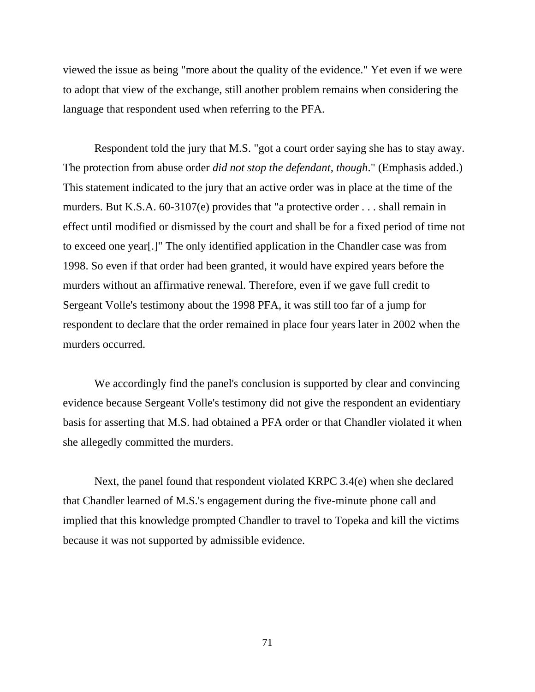viewed the issue as being "more about the quality of the evidence." Yet even if we were to adopt that view of the exchange, still another problem remains when considering the language that respondent used when referring to the PFA.

Respondent told the jury that M.S. "got a court order saying she has to stay away. The protection from abuse order *did not stop the defendant, though*." (Emphasis added.) This statement indicated to the jury that an active order was in place at the time of the murders. But K.S.A. 60-3107(e) provides that "a protective order . . . shall remain in effect until modified or dismissed by the court and shall be for a fixed period of time not to exceed one year[.]" The only identified application in the Chandler case was from 1998. So even if that order had been granted, it would have expired years before the murders without an affirmative renewal. Therefore, even if we gave full credit to Sergeant Volle's testimony about the 1998 PFA, it was still too far of a jump for respondent to declare that the order remained in place four years later in 2002 when the murders occurred.

We accordingly find the panel's conclusion is supported by clear and convincing evidence because Sergeant Volle's testimony did not give the respondent an evidentiary basis for asserting that M.S. had obtained a PFA order or that Chandler violated it when she allegedly committed the murders.

Next, the panel found that respondent violated KRPC 3.4(e) when she declared that Chandler learned of M.S.'s engagement during the five-minute phone call and implied that this knowledge prompted Chandler to travel to Topeka and kill the victims because it was not supported by admissible evidence.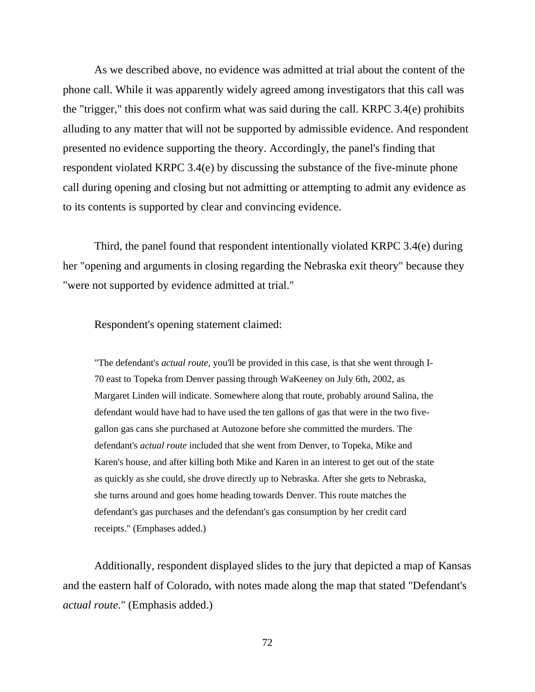As we described above, no evidence was admitted at trial about the content of the phone call. While it was apparently widely agreed among investigators that this call was the "trigger," this does not confirm what was said during the call. KRPC 3.4(e) prohibits alluding to any matter that will not be supported by admissible evidence. And respondent presented no evidence supporting the theory. Accordingly, the panel's finding that respondent violated KRPC 3.4(e) by discussing the substance of the five-minute phone call during opening and closing but not admitting or attempting to admit any evidence as to its contents is supported by clear and convincing evidence.

Third, the panel found that respondent intentionally violated KRPC 3.4(e) during her "opening and arguments in closing regarding the Nebraska exit theory" because they "were not supported by evidence admitted at trial."

Respondent's opening statement claimed:

"The defendant's *actual route*, you'll be provided in this case, is that she went through I-70 east to Topeka from Denver passing through WaKeeney on July 6th, 2002, as Margaret Linden will indicate. Somewhere along that route, probably around Salina, the defendant would have had to have used the ten gallons of gas that were in the two fivegallon gas cans she purchased at Autozone before she committed the murders. The defendant's *actual route* included that she went from Denver, to Topeka, Mike and Karen's house, and after killing both Mike and Karen in an interest to get out of the state as quickly as she could, she drove directly up to Nebraska. After she gets to Nebraska, she turns around and goes home heading towards Denver. This route matches the defendant's gas purchases and the defendant's gas consumption by her credit card receipts." (Emphases added.)

Additionally, respondent displayed slides to the jury that depicted a map of Kansas and the eastern half of Colorado, with notes made along the map that stated "Defendant's *actual route*." (Emphasis added.)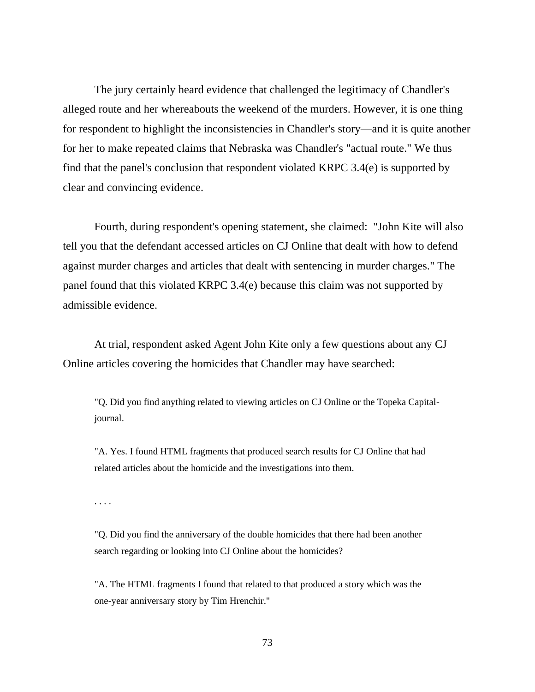The jury certainly heard evidence that challenged the legitimacy of Chandler's alleged route and her whereabouts the weekend of the murders. However, it is one thing for respondent to highlight the inconsistencies in Chandler's story—and it is quite another for her to make repeated claims that Nebraska was Chandler's "actual route." We thus find that the panel's conclusion that respondent violated KRPC 3.4(e) is supported by clear and convincing evidence.

Fourth, during respondent's opening statement, she claimed: "John Kite will also tell you that the defendant accessed articles on CJ Online that dealt with how to defend against murder charges and articles that dealt with sentencing in murder charges." The panel found that this violated KRPC 3.4(e) because this claim was not supported by admissible evidence.

At trial, respondent asked Agent John Kite only a few questions about any CJ Online articles covering the homicides that Chandler may have searched:

"Q. Did you find anything related to viewing articles on CJ Online or the Topeka Capitaljournal.

"A. Yes. I found HTML fragments that produced search results for CJ Online that had related articles about the homicide and the investigations into them.

. . . .

"Q. Did you find the anniversary of the double homicides that there had been another search regarding or looking into CJ Online about the homicides?

"A. The HTML fragments I found that related to that produced a story which was the one-year anniversary story by Tim Hrenchir."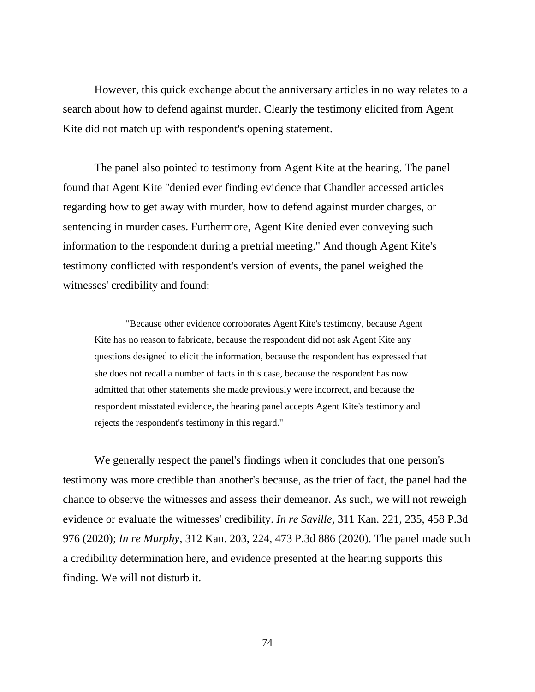However, this quick exchange about the anniversary articles in no way relates to a search about how to defend against murder. Clearly the testimony elicited from Agent Kite did not match up with respondent's opening statement.

The panel also pointed to testimony from Agent Kite at the hearing. The panel found that Agent Kite "denied ever finding evidence that Chandler accessed articles regarding how to get away with murder, how to defend against murder charges, or sentencing in murder cases. Furthermore, Agent Kite denied ever conveying such information to the respondent during a pretrial meeting." And though Agent Kite's testimony conflicted with respondent's version of events, the panel weighed the witnesses' credibility and found:

"Because other evidence corroborates Agent Kite's testimony, because Agent Kite has no reason to fabricate, because the respondent did not ask Agent Kite any questions designed to elicit the information, because the respondent has expressed that she does not recall a number of facts in this case, because the respondent has now admitted that other statements she made previously were incorrect, and because the respondent misstated evidence, the hearing panel accepts Agent Kite's testimony and rejects the respondent's testimony in this regard."

We generally respect the panel's findings when it concludes that one person's testimony was more credible than another's because, as the trier of fact, the panel had the chance to observe the witnesses and assess their demeanor. As such, we will not reweigh evidence or evaluate the witnesses' credibility. *In re Saville*, 311 Kan. 221, 235, 458 P.3d 976 (2020); *In re Murphy*, 312 Kan. 203, 224, 473 P.3d 886 (2020). The panel made such a credibility determination here, and evidence presented at the hearing supports this finding. We will not disturb it.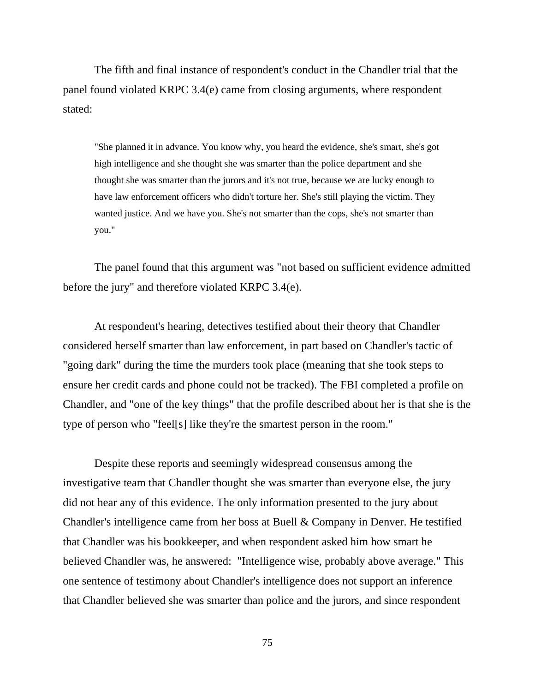The fifth and final instance of respondent's conduct in the Chandler trial that the panel found violated KRPC 3.4(e) came from closing arguments, where respondent stated:

"She planned it in advance. You know why, you heard the evidence, she's smart, she's got high intelligence and she thought she was smarter than the police department and she thought she was smarter than the jurors and it's not true, because we are lucky enough to have law enforcement officers who didn't torture her. She's still playing the victim. They wanted justice. And we have you. She's not smarter than the cops, she's not smarter than you."

The panel found that this argument was "not based on sufficient evidence admitted before the jury" and therefore violated KRPC 3.4(e).

At respondent's hearing, detectives testified about their theory that Chandler considered herself smarter than law enforcement, in part based on Chandler's tactic of "going dark" during the time the murders took place (meaning that she took steps to ensure her credit cards and phone could not be tracked). The FBI completed a profile on Chandler, and "one of the key things" that the profile described about her is that she is the type of person who "feel[s] like they're the smartest person in the room."

Despite these reports and seemingly widespread consensus among the investigative team that Chandler thought she was smarter than everyone else, the jury did not hear any of this evidence. The only information presented to the jury about Chandler's intelligence came from her boss at Buell & Company in Denver. He testified that Chandler was his bookkeeper, and when respondent asked him how smart he believed Chandler was, he answered: "Intelligence wise, probably above average." This one sentence of testimony about Chandler's intelligence does not support an inference that Chandler believed she was smarter than police and the jurors, and since respondent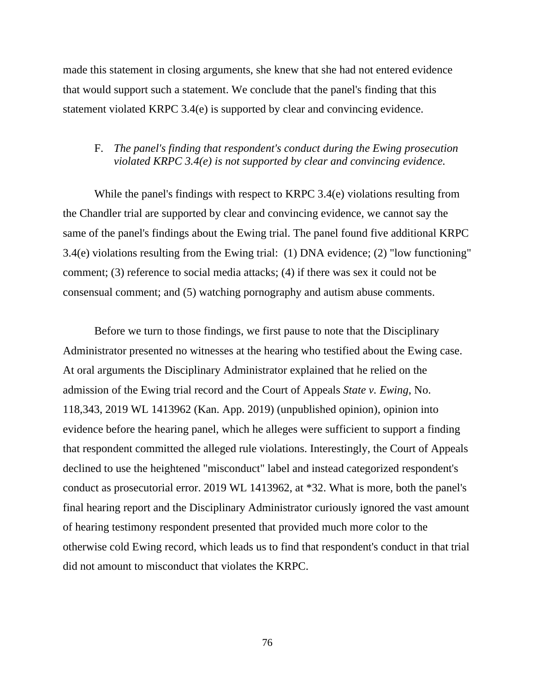made this statement in closing arguments, she knew that she had not entered evidence that would support such a statement. We conclude that the panel's finding that this statement violated KRPC 3.4(e) is supported by clear and convincing evidence.

#### F. *The panel's finding that respondent's conduct during the Ewing prosecution violated KRPC 3.4(e) is not supported by clear and convincing evidence.*

While the panel's findings with respect to KRPC 3.4(e) violations resulting from the Chandler trial are supported by clear and convincing evidence, we cannot say the same of the panel's findings about the Ewing trial. The panel found five additional KRPC 3.4(e) violations resulting from the Ewing trial: (1) DNA evidence; (2) "low functioning" comment; (3) reference to social media attacks; (4) if there was sex it could not be consensual comment; and (5) watching pornography and autism abuse comments.

Before we turn to those findings, we first pause to note that the Disciplinary Administrator presented no witnesses at the hearing who testified about the Ewing case. At oral arguments the Disciplinary Administrator explained that he relied on the admission of the Ewing trial record and the Court of Appeals *State v. Ewing*, No. 118,343, 2019 WL 1413962 (Kan. App. 2019) (unpublished opinion), opinion into evidence before the hearing panel, which he alleges were sufficient to support a finding that respondent committed the alleged rule violations. Interestingly, the Court of Appeals declined to use the heightened "misconduct" label and instead categorized respondent's conduct as prosecutorial error. 2019 WL 1413962, at \*32. What is more, both the panel's final hearing report and the Disciplinary Administrator curiously ignored the vast amount of hearing testimony respondent presented that provided much more color to the otherwise cold Ewing record, which leads us to find that respondent's conduct in that trial did not amount to misconduct that violates the KRPC.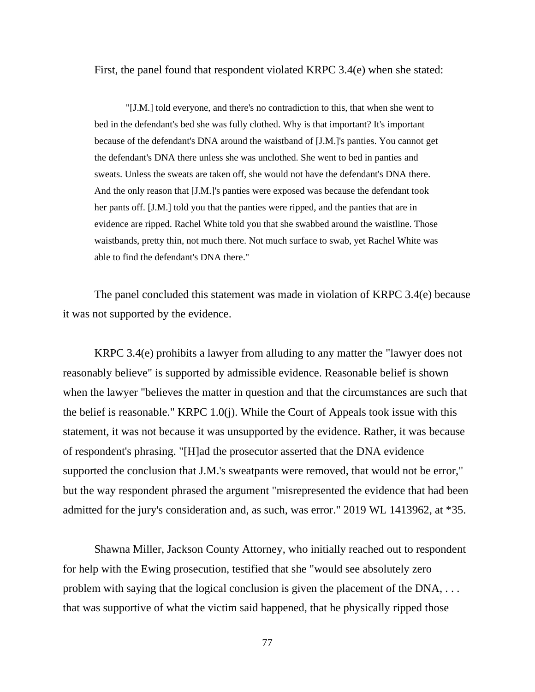First, the panel found that respondent violated KRPC 3.4(e) when she stated:

"[J.M.] told everyone, and there's no contradiction to this, that when she went to bed in the defendant's bed she was fully clothed. Why is that important? It's important because of the defendant's DNA around the waistband of [J.M.]'s panties. You cannot get the defendant's DNA there unless she was unclothed. She went to bed in panties and sweats. Unless the sweats are taken off, she would not have the defendant's DNA there. And the only reason that [J.M.]'s panties were exposed was because the defendant took her pants off. [J.M.] told you that the panties were ripped, and the panties that are in evidence are ripped. Rachel White told you that she swabbed around the waistline. Those waistbands, pretty thin, not much there. Not much surface to swab, yet Rachel White was able to find the defendant's DNA there."

The panel concluded this statement was made in violation of KRPC 3.4(e) because it was not supported by the evidence.

KRPC 3.4(e) prohibits a lawyer from alluding to any matter the "lawyer does not reasonably believe" is supported by admissible evidence. Reasonable belief is shown when the lawyer "believes the matter in question and that the circumstances are such that the belief is reasonable." KRPC 1.0(j). While the Court of Appeals took issue with this statement, it was not because it was unsupported by the evidence. Rather, it was because of respondent's phrasing. "[H]ad the prosecutor asserted that the DNA evidence supported the conclusion that J.M.'s sweatpants were removed, that would not be error," but the way respondent phrased the argument "misrepresented the evidence that had been admitted for the jury's consideration and, as such, was error." 2019 WL 1413962, at \*35.

Shawna Miller, Jackson County Attorney, who initially reached out to respondent for help with the Ewing prosecution, testified that she "would see absolutely zero problem with saying that the logical conclusion is given the placement of the DNA, . . . that was supportive of what the victim said happened, that he physically ripped those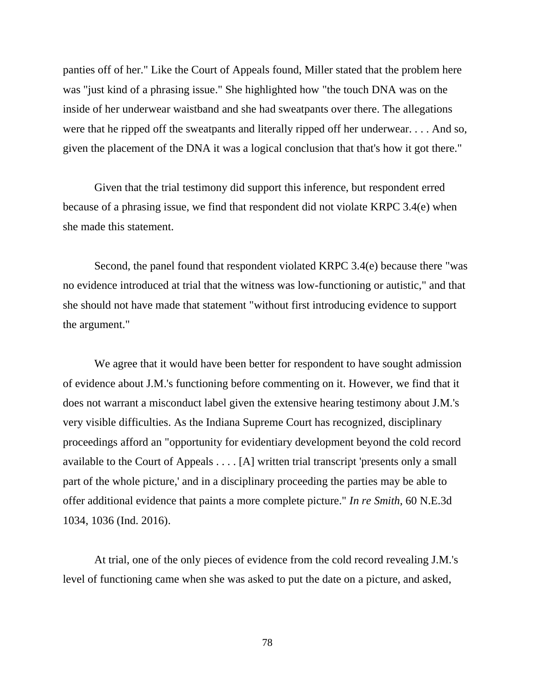panties off of her." Like the Court of Appeals found, Miller stated that the problem here was "just kind of a phrasing issue." She highlighted how "the touch DNA was on the inside of her underwear waistband and she had sweatpants over there. The allegations were that he ripped off the sweatpants and literally ripped off her underwear. . . . And so, given the placement of the DNA it was a logical conclusion that that's how it got there."

Given that the trial testimony did support this inference, but respondent erred because of a phrasing issue, we find that respondent did not violate KRPC 3.4(e) when she made this statement.

Second, the panel found that respondent violated KRPC 3.4(e) because there "was no evidence introduced at trial that the witness was low-functioning or autistic," and that she should not have made that statement "without first introducing evidence to support the argument."

We agree that it would have been better for respondent to have sought admission of evidence about J.M.'s functioning before commenting on it. However, we find that it does not warrant a misconduct label given the extensive hearing testimony about J.M.'s very visible difficulties. As the Indiana Supreme Court has recognized, disciplinary proceedings afford an "opportunity for evidentiary development beyond the cold record available to the Court of Appeals . . . . [A] written trial transcript 'presents only a small part of the whole picture,' and in a disciplinary proceeding the parties may be able to offer additional evidence that paints a more complete picture." *In re Smith*, 60 N.E.3d 1034, 1036 (Ind. 2016).

At trial, one of the only pieces of evidence from the cold record revealing J.M.'s level of functioning came when she was asked to put the date on a picture, and asked,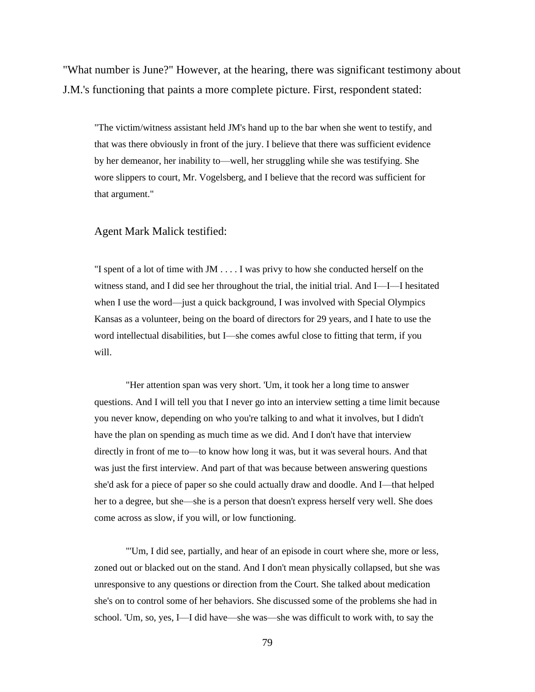"What number is June?" However, at the hearing, there was significant testimony about J.M.'s functioning that paints a more complete picture. First, respondent stated:

"The victim/witness assistant held JM's hand up to the bar when she went to testify, and that was there obviously in front of the jury. I believe that there was sufficient evidence by her demeanor, her inability to—well, her struggling while she was testifying. She wore slippers to court, Mr. Vogelsberg, and I believe that the record was sufficient for that argument."

#### Agent Mark Malick testified:

"I spent of a lot of time with JM . . . . I was privy to how she conducted herself on the witness stand, and I did see her throughout the trial, the initial trial. And I—I—I hesitated when I use the word—just a quick background, I was involved with Special Olympics Kansas as a volunteer, being on the board of directors for 29 years, and I hate to use the word intellectual disabilities, but I—she comes awful close to fitting that term, if you will.

"Her attention span was very short. 'Um, it took her a long time to answer questions. And I will tell you that I never go into an interview setting a time limit because you never know, depending on who you're talking to and what it involves, but I didn't have the plan on spending as much time as we did. And I don't have that interview directly in front of me to—to know how long it was, but it was several hours. And that was just the first interview. And part of that was because between answering questions she'd ask for a piece of paper so she could actually draw and doodle. And I—that helped her to a degree, but she—she is a person that doesn't express herself very well. She does come across as slow, if you will, or low functioning.

"'Um, I did see, partially, and hear of an episode in court where she, more or less, zoned out or blacked out on the stand. And I don't mean physically collapsed, but she was unresponsive to any questions or direction from the Court. She talked about medication she's on to control some of her behaviors. She discussed some of the problems she had in school. 'Um, so, yes, I—I did have—she was—she was difficult to work with, to say the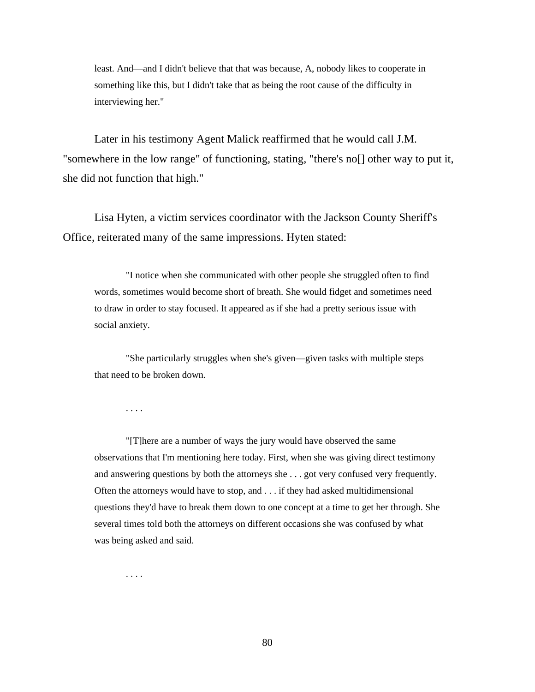least. And—and I didn't believe that that was because, A, nobody likes to cooperate in something like this, but I didn't take that as being the root cause of the difficulty in interviewing her."

Later in his testimony Agent Malick reaffirmed that he would call J.M. "somewhere in the low range" of functioning, stating, "there's no[] other way to put it, she did not function that high."

Lisa Hyten, a victim services coordinator with the Jackson County Sheriff's Office, reiterated many of the same impressions. Hyten stated:

"I notice when she communicated with other people she struggled often to find words, sometimes would become short of breath. She would fidget and sometimes need to draw in order to stay focused. It appeared as if she had a pretty serious issue with social anxiety.

"She particularly struggles when she's given—given tasks with multiple steps that need to be broken down.

. . . .

. . . .

"[T]here are a number of ways the jury would have observed the same observations that I'm mentioning here today. First, when she was giving direct testimony and answering questions by both the attorneys she . . . got very confused very frequently. Often the attorneys would have to stop, and . . . if they had asked multidimensional questions they'd have to break them down to one concept at a time to get her through. She several times told both the attorneys on different occasions she was confused by what was being asked and said.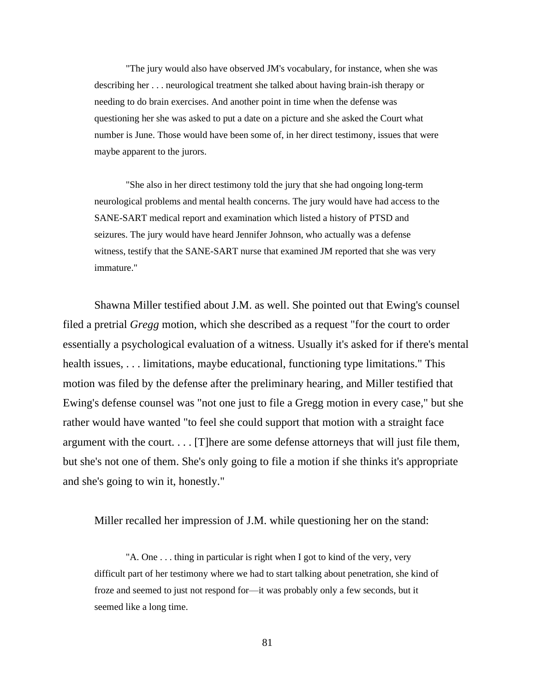"The jury would also have observed JM's vocabulary, for instance, when she was describing her . . . neurological treatment she talked about having brain-ish therapy or needing to do brain exercises. And another point in time when the defense was questioning her she was asked to put a date on a picture and she asked the Court what number is June. Those would have been some of, in her direct testimony, issues that were maybe apparent to the jurors.

"She also in her direct testimony told the jury that she had ongoing long-term neurological problems and mental health concerns. The jury would have had access to the SANE-SART medical report and examination which listed a history of PTSD and seizures. The jury would have heard Jennifer Johnson, who actually was a defense witness, testify that the SANE-SART nurse that examined JM reported that she was very immature."

Shawna Miller testified about J.M. as well. She pointed out that Ewing's counsel filed a pretrial *Gregg* motion, which she described as a request "for the court to order essentially a psychological evaluation of a witness. Usually it's asked for if there's mental health issues, . . . limitations, maybe educational, functioning type limitations." This motion was filed by the defense after the preliminary hearing, and Miller testified that Ewing's defense counsel was "not one just to file a Gregg motion in every case," but she rather would have wanted "to feel she could support that motion with a straight face argument with the court. . . . [T]here are some defense attorneys that will just file them, but she's not one of them. She's only going to file a motion if she thinks it's appropriate and she's going to win it, honestly."

Miller recalled her impression of J.M. while questioning her on the stand:

"A. One . . . thing in particular is right when I got to kind of the very, very difficult part of her testimony where we had to start talking about penetration, she kind of froze and seemed to just not respond for—it was probably only a few seconds, but it seemed like a long time.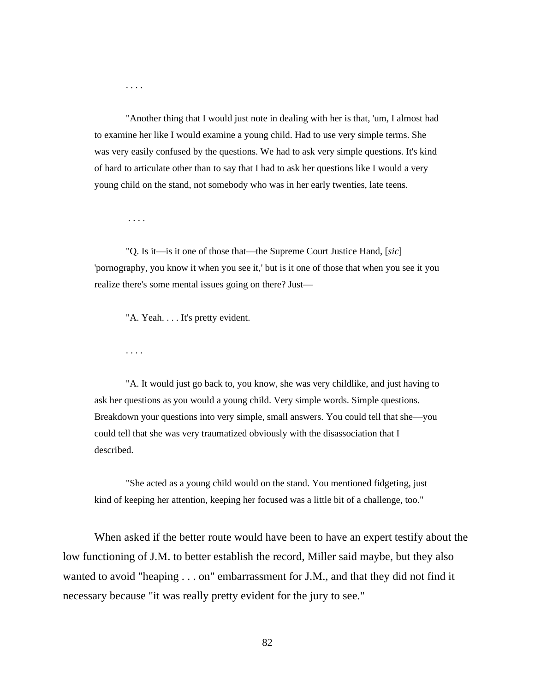"Another thing that I would just note in dealing with her is that, 'um, I almost had to examine her like I would examine a young child. Had to use very simple terms. She was very easily confused by the questions. We had to ask very simple questions. It's kind of hard to articulate other than to say that I had to ask her questions like I would a very young child on the stand, not somebody who was in her early twenties, late teens.

. . . .

. . . .

"Q. Is it—is it one of those that—the Supreme Court Justice Hand, [*sic*] 'pornography, you know it when you see it,' but is it one of those that when you see it you realize there's some mental issues going on there? Just—

"A. Yeah. . . . It's pretty evident.

. . . .

"A. It would just go back to, you know, she was very childlike, and just having to ask her questions as you would a young child. Very simple words. Simple questions. Breakdown your questions into very simple, small answers. You could tell that she—you could tell that she was very traumatized obviously with the disassociation that I described.

"She acted as a young child would on the stand. You mentioned fidgeting, just kind of keeping her attention, keeping her focused was a little bit of a challenge, too."

When asked if the better route would have been to have an expert testify about the low functioning of J.M. to better establish the record, Miller said maybe, but they also wanted to avoid "heaping . . . on" embarrassment for J.M., and that they did not find it necessary because "it was really pretty evident for the jury to see."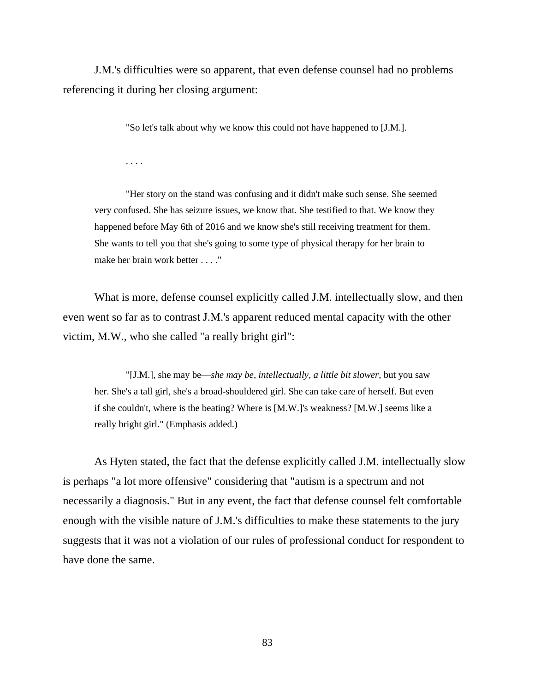J.M.'s difficulties were so apparent, that even defense counsel had no problems referencing it during her closing argument:

"So let's talk about why we know this could not have happened to [J.M.].

. . . .

"Her story on the stand was confusing and it didn't make such sense. She seemed very confused. She has seizure issues, we know that. She testified to that. We know they happened before May 6th of 2016 and we know she's still receiving treatment for them. She wants to tell you that she's going to some type of physical therapy for her brain to make her brain work better . . . ."

What is more, defense counsel explicitly called J.M. intellectually slow, and then even went so far as to contrast J.M.'s apparent reduced mental capacity with the other victim, M.W., who she called "a really bright girl":

"[J.M.], she may be—*she may be, intellectually, a little bit slower*, but you saw her. She's a tall girl, she's a broad-shouldered girl. She can take care of herself. But even if she couldn't, where is the beating? Where is [M.W.]'s weakness? [M.W.] seems like a really bright girl." (Emphasis added.)

As Hyten stated, the fact that the defense explicitly called J.M. intellectually slow is perhaps "a lot more offensive" considering that "autism is a spectrum and not necessarily a diagnosis." But in any event, the fact that defense counsel felt comfortable enough with the visible nature of J.M.'s difficulties to make these statements to the jury suggests that it was not a violation of our rules of professional conduct for respondent to have done the same.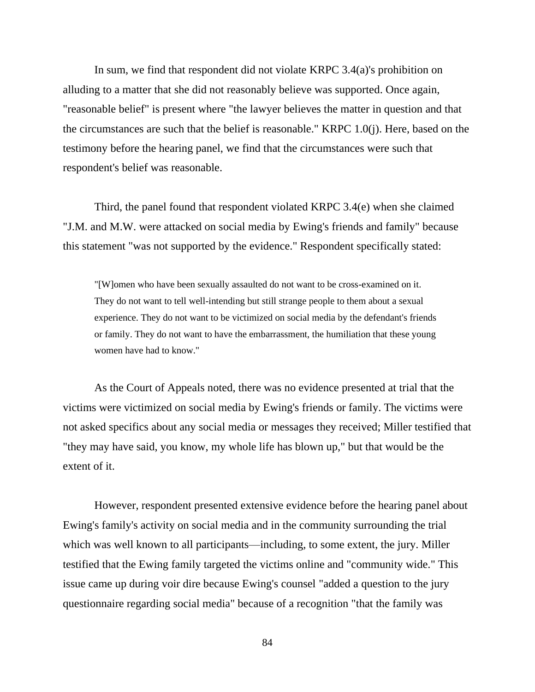In sum, we find that respondent did not violate KRPC 3.4(a)'s prohibition on alluding to a matter that she did not reasonably believe was supported. Once again, "reasonable belief" is present where "the lawyer believes the matter in question and that the circumstances are such that the belief is reasonable." KRPC 1.0(j). Here, based on the testimony before the hearing panel, we find that the circumstances were such that respondent's belief was reasonable.

Third, the panel found that respondent violated KRPC 3.4(e) when she claimed "J.M. and M.W. were attacked on social media by Ewing's friends and family" because this statement "was not supported by the evidence." Respondent specifically stated:

"[W]omen who have been sexually assaulted do not want to be cross-examined on it. They do not want to tell well-intending but still strange people to them about a sexual experience. They do not want to be victimized on social media by the defendant's friends or family. They do not want to have the embarrassment, the humiliation that these young women have had to know."

As the Court of Appeals noted, there was no evidence presented at trial that the victims were victimized on social media by Ewing's friends or family. The victims were not asked specifics about any social media or messages they received; Miller testified that "they may have said, you know, my whole life has blown up," but that would be the extent of it.

However, respondent presented extensive evidence before the hearing panel about Ewing's family's activity on social media and in the community surrounding the trial which was well known to all participants—including, to some extent, the jury. Miller testified that the Ewing family targeted the victims online and "community wide." This issue came up during voir dire because Ewing's counsel "added a question to the jury questionnaire regarding social media" because of a recognition "that the family was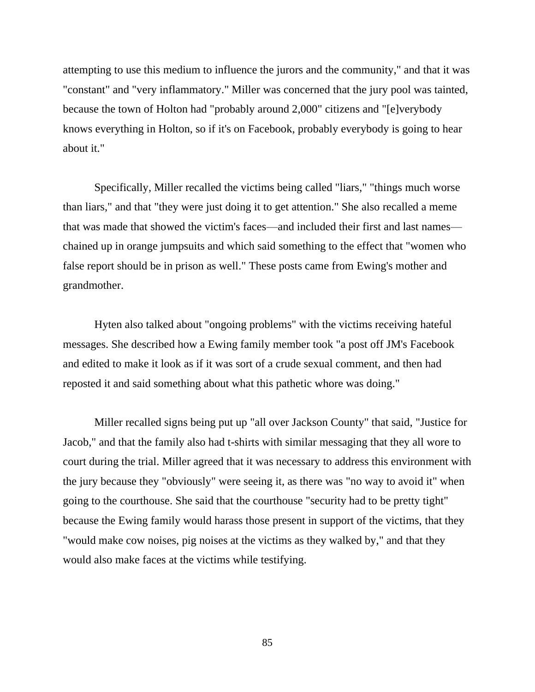attempting to use this medium to influence the jurors and the community," and that it was "constant" and "very inflammatory." Miller was concerned that the jury pool was tainted, because the town of Holton had "probably around 2,000" citizens and "[e]verybody knows everything in Holton, so if it's on Facebook, probably everybody is going to hear about it."

Specifically, Miller recalled the victims being called "liars," "things much worse than liars," and that "they were just doing it to get attention." She also recalled a meme that was made that showed the victim's faces—and included their first and last names chained up in orange jumpsuits and which said something to the effect that "women who false report should be in prison as well." These posts came from Ewing's mother and grandmother.

Hyten also talked about "ongoing problems" with the victims receiving hateful messages. She described how a Ewing family member took "a post off JM's Facebook and edited to make it look as if it was sort of a crude sexual comment, and then had reposted it and said something about what this pathetic whore was doing."

Miller recalled signs being put up "all over Jackson County" that said, "Justice for Jacob," and that the family also had t-shirts with similar messaging that they all wore to court during the trial. Miller agreed that it was necessary to address this environment with the jury because they "obviously" were seeing it, as there was "no way to avoid it" when going to the courthouse. She said that the courthouse "security had to be pretty tight" because the Ewing family would harass those present in support of the victims, that they "would make cow noises, pig noises at the victims as they walked by," and that they would also make faces at the victims while testifying.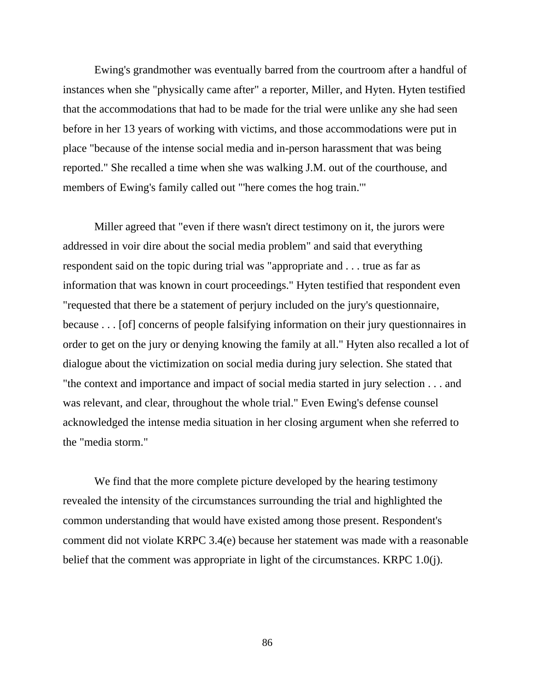Ewing's grandmother was eventually barred from the courtroom after a handful of instances when she "physically came after" a reporter, Miller, and Hyten. Hyten testified that the accommodations that had to be made for the trial were unlike any she had seen before in her 13 years of working with victims, and those accommodations were put in place "because of the intense social media and in-person harassment that was being reported." She recalled a time when she was walking J.M. out of the courthouse, and members of Ewing's family called out "'here comes the hog train.'"

Miller agreed that "even if there wasn't direct testimony on it, the jurors were addressed in voir dire about the social media problem" and said that everything respondent said on the topic during trial was "appropriate and . . . true as far as information that was known in court proceedings." Hyten testified that respondent even "requested that there be a statement of perjury included on the jury's questionnaire, because . . . [of] concerns of people falsifying information on their jury questionnaires in order to get on the jury or denying knowing the family at all." Hyten also recalled a lot of dialogue about the victimization on social media during jury selection. She stated that "the context and importance and impact of social media started in jury selection . . . and was relevant, and clear, throughout the whole trial." Even Ewing's defense counsel acknowledged the intense media situation in her closing argument when she referred to the "media storm."

We find that the more complete picture developed by the hearing testimony revealed the intensity of the circumstances surrounding the trial and highlighted the common understanding that would have existed among those present. Respondent's comment did not violate KRPC 3.4(e) because her statement was made with a reasonable belief that the comment was appropriate in light of the circumstances. KRPC 1.0(j).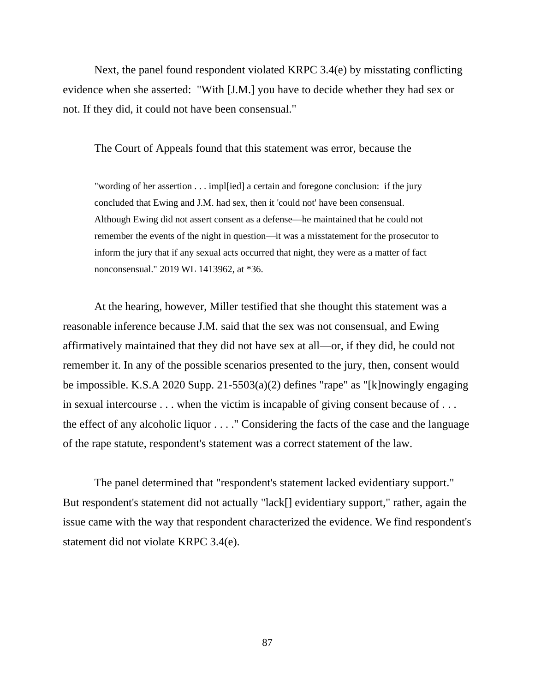Next, the panel found respondent violated KRPC 3.4(e) by misstating conflicting evidence when she asserted: "With [J.M.] you have to decide whether they had sex or not. If they did, it could not have been consensual."

The Court of Appeals found that this statement was error, because the

"wording of her assertion . . . impl[ied] a certain and foregone conclusion: if the jury concluded that Ewing and J.M. had sex, then it 'could not' have been consensual. Although Ewing did not assert consent as a defense—he maintained that he could not remember the events of the night in question—it was a misstatement for the prosecutor to inform the jury that if any sexual acts occurred that night, they were as a matter of fact nonconsensual." 2019 WL 1413962, at \*36.

At the hearing, however, Miller testified that she thought this statement was a reasonable inference because J.M. said that the sex was not consensual, and Ewing affirmatively maintained that they did not have sex at all—or, if they did, he could not remember it. In any of the possible scenarios presented to the jury, then, consent would be impossible. K.S.A 2020 Supp. 21-5503(a)(2) defines "rape" as "[k]nowingly engaging in sexual intercourse . . . when the victim is incapable of giving consent because of . . . the effect of any alcoholic liquor . . . ." Considering the facts of the case and the language of the rape statute, respondent's statement was a correct statement of the law.

The panel determined that "respondent's statement lacked evidentiary support." But respondent's statement did not actually "lack[] evidentiary support," rather, again the issue came with the way that respondent characterized the evidence. We find respondent's statement did not violate KRPC 3.4(e).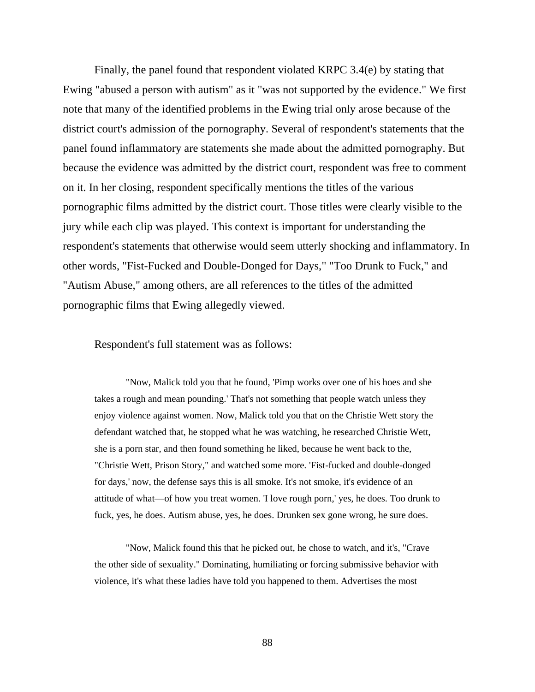Finally, the panel found that respondent violated KRPC 3.4(e) by stating that Ewing "abused a person with autism" as it "was not supported by the evidence." We first note that many of the identified problems in the Ewing trial only arose because of the district court's admission of the pornography. Several of respondent's statements that the panel found inflammatory are statements she made about the admitted pornography. But because the evidence was admitted by the district court, respondent was free to comment on it. In her closing, respondent specifically mentions the titles of the various pornographic films admitted by the district court. Those titles were clearly visible to the jury while each clip was played. This context is important for understanding the respondent's statements that otherwise would seem utterly shocking and inflammatory. In other words, "Fist-Fucked and Double-Donged for Days," "Too Drunk to Fuck," and "Autism Abuse," among others, are all references to the titles of the admitted pornographic films that Ewing allegedly viewed.

Respondent's full statement was as follows:

"Now, Malick told you that he found, 'Pimp works over one of his hoes and she takes a rough and mean pounding.' That's not something that people watch unless they enjoy violence against women. Now, Malick told you that on the Christie Wett story the defendant watched that, he stopped what he was watching, he researched Christie Wett, she is a porn star, and then found something he liked, because he went back to the, "Christie Wett, Prison Story," and watched some more. 'Fist-fucked and double-donged for days,' now, the defense says this is all smoke. It's not smoke, it's evidence of an attitude of what—of how you treat women. 'I love rough porn,' yes, he does. Too drunk to fuck, yes, he does. Autism abuse, yes, he does. Drunken sex gone wrong, he sure does.

"Now, Malick found this that he picked out, he chose to watch, and it's, "Crave the other side of sexuality." Dominating, humiliating or forcing submissive behavior with violence, it's what these ladies have told you happened to them. Advertises the most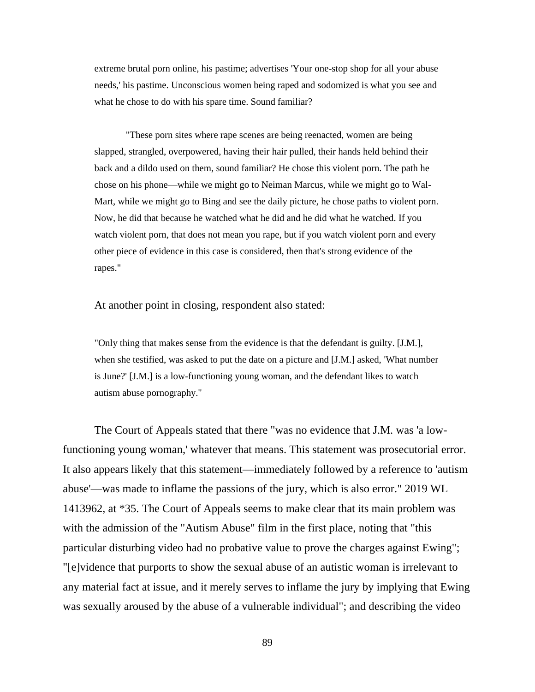extreme brutal porn online, his pastime; advertises 'Your one-stop shop for all your abuse needs,' his pastime. Unconscious women being raped and sodomized is what you see and what he chose to do with his spare time. Sound familiar?

"These porn sites where rape scenes are being reenacted, women are being slapped, strangled, overpowered, having their hair pulled, their hands held behind their back and a dildo used on them, sound familiar? He chose this violent porn. The path he chose on his phone—while we might go to Neiman Marcus, while we might go to Wal-Mart, while we might go to Bing and see the daily picture, he chose paths to violent porn. Now, he did that because he watched what he did and he did what he watched. If you watch violent porn, that does not mean you rape, but if you watch violent porn and every other piece of evidence in this case is considered, then that's strong evidence of the rapes."

At another point in closing, respondent also stated:

"Only thing that makes sense from the evidence is that the defendant is guilty. [J.M.], when she testified, was asked to put the date on a picture and [J.M.] asked, 'What number is June?' [J.M.] is a low-functioning young woman, and the defendant likes to watch autism abuse pornography."

The Court of Appeals stated that there "was no evidence that J.M. was 'a lowfunctioning young woman,' whatever that means. This statement was prosecutorial error. It also appears likely that this statement—immediately followed by a reference to 'autism abuse'—was made to inflame the passions of the jury, which is also error." 2019 WL 1413962, at \*35. The Court of Appeals seems to make clear that its main problem was with the admission of the "Autism Abuse" film in the first place, noting that "this particular disturbing video had no probative value to prove the charges against Ewing"; "[e]vidence that purports to show the sexual abuse of an autistic woman is irrelevant to any material fact at issue, and it merely serves to inflame the jury by implying that Ewing was sexually aroused by the abuse of a vulnerable individual"; and describing the video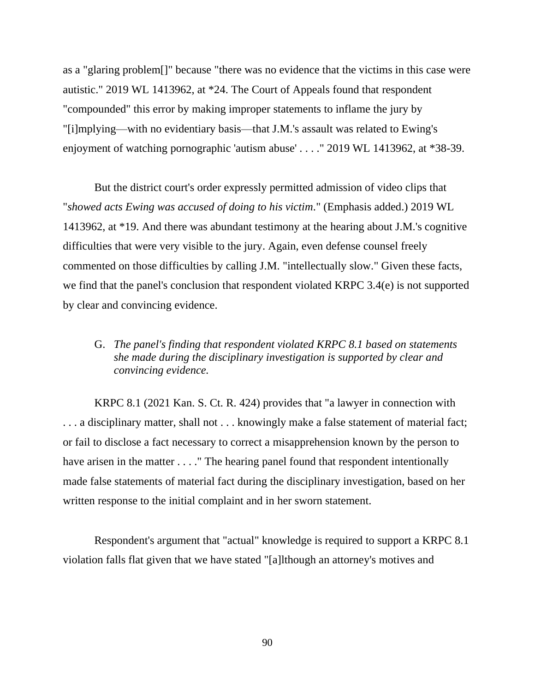as a "glaring problem[]" because "there was no evidence that the victims in this case were autistic." 2019 WL 1413962, at \*24. The Court of Appeals found that respondent "compounded" this error by making improper statements to inflame the jury by "[i]mplying—with no evidentiary basis—that J.M.'s assault was related to Ewing's enjoyment of watching pornographic 'autism abuse' . . . ." 2019 WL 1413962, at \*38-39.

But the district court's order expressly permitted admission of video clips that "*showed acts Ewing was accused of doing to his victim*." (Emphasis added.) 2019 WL 1413962, at \*19. And there was abundant testimony at the hearing about J.M.'s cognitive difficulties that were very visible to the jury. Again, even defense counsel freely commented on those difficulties by calling J.M. "intellectually slow." Given these facts, we find that the panel's conclusion that respondent violated KRPC 3.4(e) is not supported by clear and convincing evidence.

# G. *The panel's finding that respondent violated KRPC 8.1 based on statements she made during the disciplinary investigation is supported by clear and convincing evidence.*

KRPC 8.1 (2021 Kan. S. Ct. R. 424) provides that "a lawyer in connection with . . . a disciplinary matter, shall not . . . knowingly make a false statement of material fact; or fail to disclose a fact necessary to correct a misapprehension known by the person to have arisen in the matter . . . . " The hearing panel found that respondent intentionally made false statements of material fact during the disciplinary investigation, based on her written response to the initial complaint and in her sworn statement.

Respondent's argument that "actual" knowledge is required to support a KRPC 8.1 violation falls flat given that we have stated "[a]lthough an attorney's motives and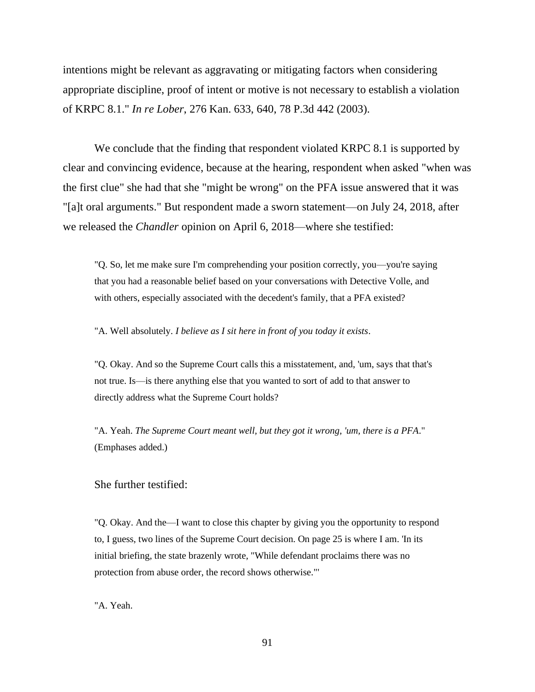intentions might be relevant as aggravating or mitigating factors when considering appropriate discipline, proof of intent or motive is not necessary to establish a violation of KRPC 8.1." *In re Lober*, 276 Kan. 633, 640, 78 P.3d 442 (2003).

We conclude that the finding that respondent violated KRPC 8.1 is supported by clear and convincing evidence, because at the hearing, respondent when asked "when was the first clue" she had that she "might be wrong" on the PFA issue answered that it was "[a]t oral arguments." But respondent made a sworn statement—on July 24, 2018, after we released the *Chandler* opinion on April 6, 2018—where she testified:

"Q. So, let me make sure I'm comprehending your position correctly, you—you're saying that you had a reasonable belief based on your conversations with Detective Volle, and with others, especially associated with the decedent's family, that a PFA existed?

"A. Well absolutely. *I believe as I sit here in front of you today it exists*.

"Q. Okay. And so the Supreme Court calls this a misstatement, and, 'um, says that that's not true. Is—is there anything else that you wanted to sort of add to that answer to directly address what the Supreme Court holds?

"A. Yeah. *The Supreme Court meant well, but they got it wrong, 'um, there is a PFA*." (Emphases added.)

She further testified:

"Q. Okay. And the—I want to close this chapter by giving you the opportunity to respond to, I guess, two lines of the Supreme Court decision. On page 25 is where I am. 'In its initial briefing, the state brazenly wrote, "While defendant proclaims there was no protection from abuse order, the record shows otherwise."'

"A. Yeah.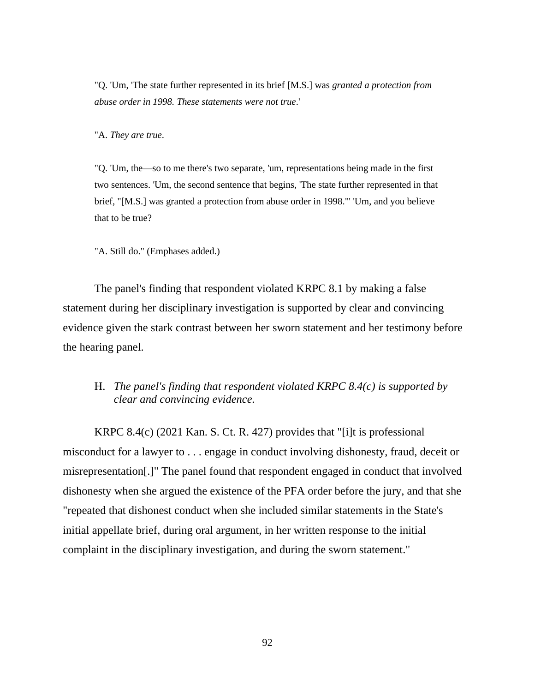"Q. 'Um, 'The state further represented in its brief [M.S.] was *granted a protection from abuse order in 1998. These statements were not true*.'

"A. *They are true*.

"Q. 'Um, the—so to me there's two separate, 'um, representations being made in the first two sentences. 'Um, the second sentence that begins, 'The state further represented in that brief, "[M.S.] was granted a protection from abuse order in 1998."' 'Um, and you believe that to be true?

"A. Still do." (Emphases added.)

The panel's finding that respondent violated KRPC 8.1 by making a false statement during her disciplinary investigation is supported by clear and convincing evidence given the stark contrast between her sworn statement and her testimony before the hearing panel.

## H. *The panel's finding that respondent violated KRPC 8.4(c) is supported by clear and convincing evidence.*

KRPC 8.4(c) (2021 Kan. S. Ct. R. 427) provides that "[i]t is professional misconduct for a lawyer to . . . engage in conduct involving dishonesty, fraud, deceit or misrepresentation[.]" The panel found that respondent engaged in conduct that involved dishonesty when she argued the existence of the PFA order before the jury, and that she "repeated that dishonest conduct when she included similar statements in the State's initial appellate brief, during oral argument, in her written response to the initial complaint in the disciplinary investigation, and during the sworn statement."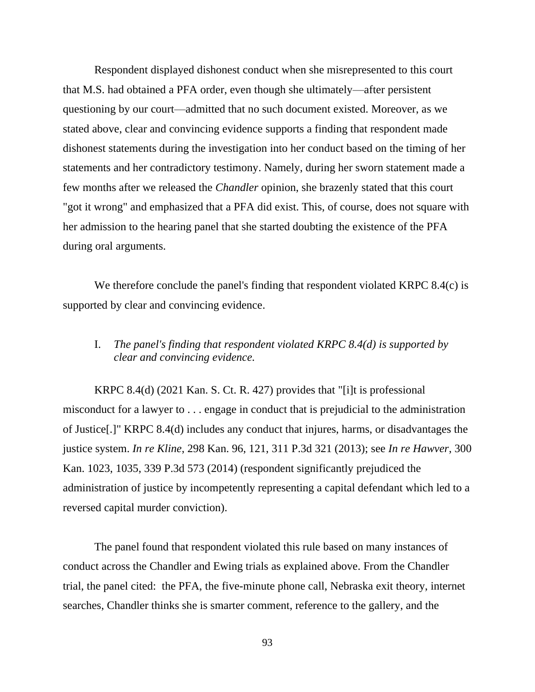Respondent displayed dishonest conduct when she misrepresented to this court that M.S. had obtained a PFA order, even though she ultimately—after persistent questioning by our court—admitted that no such document existed. Moreover, as we stated above, clear and convincing evidence supports a finding that respondent made dishonest statements during the investigation into her conduct based on the timing of her statements and her contradictory testimony. Namely, during her sworn statement made a few months after we released the *Chandler* opinion, she brazenly stated that this court "got it wrong" and emphasized that a PFA did exist. This, of course, does not square with her admission to the hearing panel that she started doubting the existence of the PFA during oral arguments.

We therefore conclude the panel's finding that respondent violated KRPC 8.4(c) is supported by clear and convincing evidence.

# I. *The panel's finding that respondent violated KRPC 8.4(d) is supported by clear and convincing evidence.*

KRPC 8.4(d) (2021 Kan. S. Ct. R. 427) provides that "[i]t is professional misconduct for a lawyer to . . . engage in conduct that is prejudicial to the administration of Justice[.]" KRPC 8.4(d) includes any conduct that injures, harms, or disadvantages the justice system. *In re Kline*, 298 Kan. 96, 121, 311 P.3d 321 (2013); see *In re Hawver*, 300 Kan. 1023, 1035, 339 P.3d 573 (2014) (respondent significantly prejudiced the administration of justice by incompetently representing a capital defendant which led to a reversed capital murder conviction).

The panel found that respondent violated this rule based on many instances of conduct across the Chandler and Ewing trials as explained above. From the Chandler trial, the panel cited: the PFA, the five-minute phone call, Nebraska exit theory, internet searches, Chandler thinks she is smarter comment, reference to the gallery, and the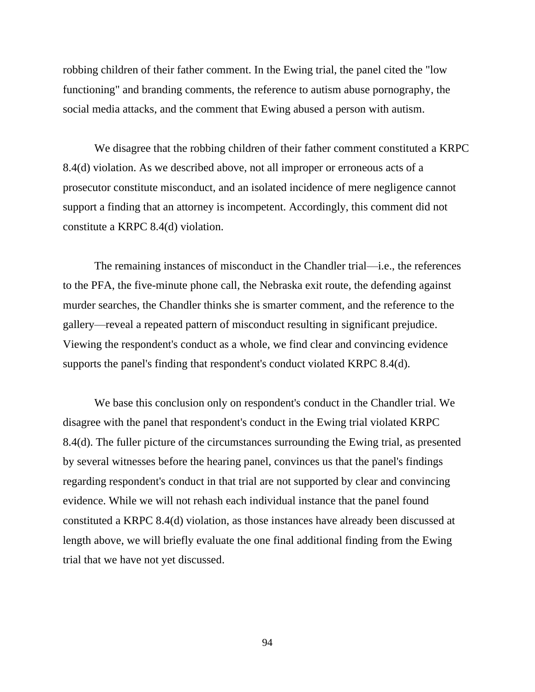robbing children of their father comment. In the Ewing trial, the panel cited the "low functioning" and branding comments, the reference to autism abuse pornography, the social media attacks, and the comment that Ewing abused a person with autism.

We disagree that the robbing children of their father comment constituted a KRPC 8.4(d) violation. As we described above, not all improper or erroneous acts of a prosecutor constitute misconduct, and an isolated incidence of mere negligence cannot support a finding that an attorney is incompetent. Accordingly, this comment did not constitute a KRPC 8.4(d) violation.

The remaining instances of misconduct in the Chandler trial—i.e., the references to the PFA, the five-minute phone call, the Nebraska exit route, the defending against murder searches, the Chandler thinks she is smarter comment, and the reference to the gallery—reveal a repeated pattern of misconduct resulting in significant prejudice. Viewing the respondent's conduct as a whole, we find clear and convincing evidence supports the panel's finding that respondent's conduct violated KRPC 8.4(d).

We base this conclusion only on respondent's conduct in the Chandler trial. We disagree with the panel that respondent's conduct in the Ewing trial violated KRPC 8.4(d). The fuller picture of the circumstances surrounding the Ewing trial, as presented by several witnesses before the hearing panel, convinces us that the panel's findings regarding respondent's conduct in that trial are not supported by clear and convincing evidence. While we will not rehash each individual instance that the panel found constituted a KRPC 8.4(d) violation, as those instances have already been discussed at length above, we will briefly evaluate the one final additional finding from the Ewing trial that we have not yet discussed.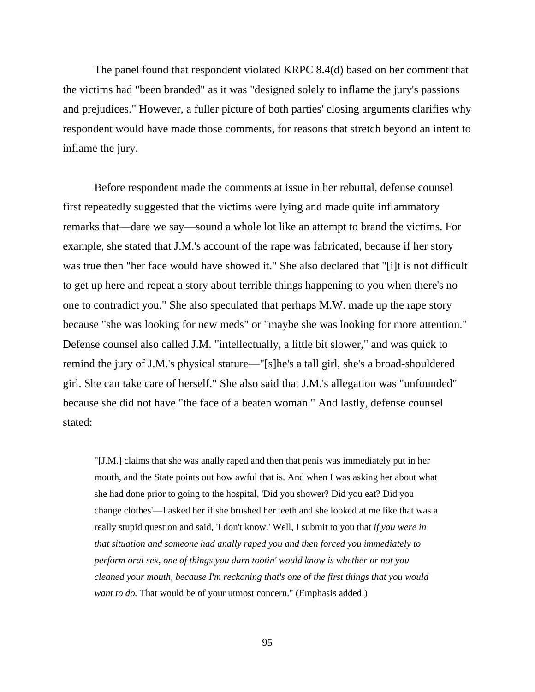The panel found that respondent violated KRPC 8.4(d) based on her comment that the victims had "been branded" as it was "designed solely to inflame the jury's passions and prejudices." However, a fuller picture of both parties' closing arguments clarifies why respondent would have made those comments, for reasons that stretch beyond an intent to inflame the jury.

Before respondent made the comments at issue in her rebuttal, defense counsel first repeatedly suggested that the victims were lying and made quite inflammatory remarks that—dare we say—sound a whole lot like an attempt to brand the victims. For example, she stated that J.M.'s account of the rape was fabricated, because if her story was true then "her face would have showed it." She also declared that "[i]t is not difficult to get up here and repeat a story about terrible things happening to you when there's no one to contradict you." She also speculated that perhaps M.W. made up the rape story because "she was looking for new meds" or "maybe she was looking for more attention." Defense counsel also called J.M. "intellectually, a little bit slower," and was quick to remind the jury of J.M.'s physical stature—"[s]he's a tall girl, she's a broad-shouldered girl. She can take care of herself." She also said that J.M.'s allegation was "unfounded" because she did not have "the face of a beaten woman." And lastly, defense counsel stated:

"[J.M.] claims that she was anally raped and then that penis was immediately put in her mouth, and the State points out how awful that is. And when I was asking her about what she had done prior to going to the hospital, 'Did you shower? Did you eat? Did you change clothes'—I asked her if she brushed her teeth and she looked at me like that was a really stupid question and said, 'I don't know.' Well, I submit to you that *if you were in that situation and someone had anally raped you and then forced you immediately to perform oral sex, one of things you darn tootin' would know is whether or not you cleaned your mouth, because I'm reckoning that's one of the first things that you would want to do.* That would be of your utmost concern." (Emphasis added.)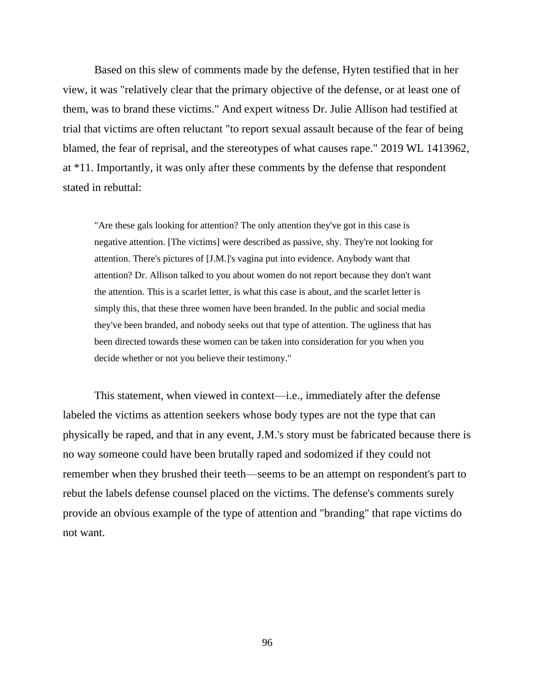Based on this slew of comments made by the defense, Hyten testified that in her view, it was "relatively clear that the primary objective of the defense, or at least one of them, was to brand these victims." And expert witness Dr. Julie Allison had testified at trial that victims are often reluctant "to report sexual assault because of the fear of being blamed, the fear of reprisal, and the stereotypes of what causes rape." 2019 WL 1413962, at \*11. Importantly, it was only after these comments by the defense that respondent stated in rebuttal:

"Are these gals looking for attention? The only attention they've got in this case is negative attention. [The victims] were described as passive, shy. They're not looking for attention. There's pictures of [J.M.]'s vagina put into evidence. Anybody want that attention? Dr. Allison talked to you about women do not report because they don't want the attention. This is a scarlet letter, is what this case is about, and the scarlet letter is simply this, that these three women have been branded. In the public and social media they've been branded, and nobody seeks out that type of attention. The ugliness that has been directed towards these women can be taken into consideration for you when you decide whether or not you believe their testimony."

This statement, when viewed in context—i.e., immediately after the defense labeled the victims as attention seekers whose body types are not the type that can physically be raped, and that in any event, J.M.'s story must be fabricated because there is no way someone could have been brutally raped and sodomized if they could not remember when they brushed their teeth—seems to be an attempt on respondent's part to rebut the labels defense counsel placed on the victims. The defense's comments surely provide an obvious example of the type of attention and "branding" that rape victims do not want.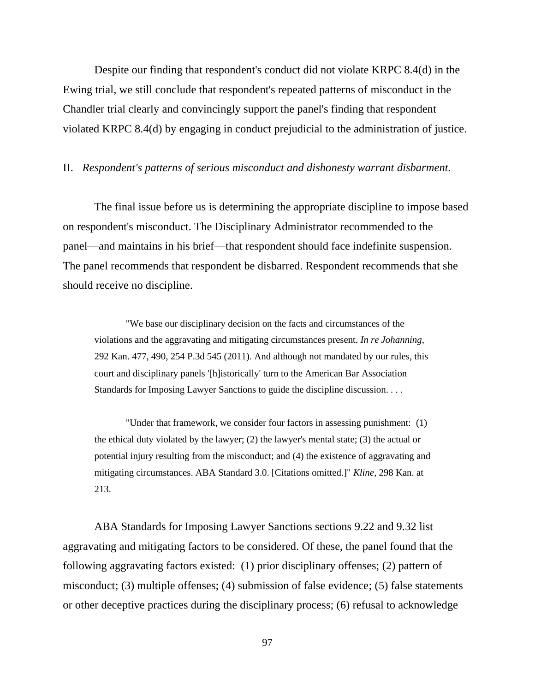Despite our finding that respondent's conduct did not violate KRPC 8.4(d) in the Ewing trial, we still conclude that respondent's repeated patterns of misconduct in the Chandler trial clearly and convincingly support the panel's finding that respondent violated KRPC 8.4(d) by engaging in conduct prejudicial to the administration of justice.

#### II. *Respondent's patterns of serious misconduct and dishonesty warrant disbarment.*

The final issue before us is determining the appropriate discipline to impose based on respondent's misconduct. The Disciplinary Administrator recommended to the panel—and maintains in his brief—that respondent should face indefinite suspension. The panel recommends that respondent be disbarred. Respondent recommends that she should receive no discipline.

"We base our disciplinary decision on the facts and circumstances of the violations and the aggravating and mitigating circumstances present. *In re Johanning*, 292 Kan. 477, 490, 254 P.3d 545 (2011). And although not mandated by our rules, this court and disciplinary panels '[h]istorically' turn to the American Bar Association Standards for Imposing Lawyer Sanctions to guide the discipline discussion. . . .

"Under that framework, we consider four factors in assessing punishment: (1) the ethical duty violated by the lawyer; (2) the lawyer's mental state; (3) the actual or potential injury resulting from the misconduct; and (4) the existence of aggravating and mitigating circumstances. ABA Standard 3.0. [Citations omitted.]" *Kline*, 298 Kan. at 213.

ABA Standards for Imposing Lawyer Sanctions sections 9.22 and 9.32 list aggravating and mitigating factors to be considered. Of these, the panel found that the following aggravating factors existed: (1) prior disciplinary offenses; (2) pattern of misconduct; (3) multiple offenses; (4) submission of false evidence; (5) false statements or other deceptive practices during the disciplinary process; (6) refusal to acknowledge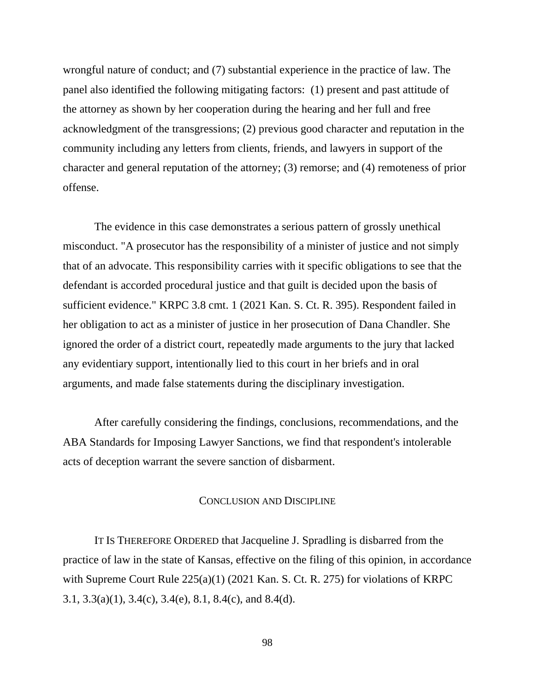wrongful nature of conduct; and (7) substantial experience in the practice of law. The panel also identified the following mitigating factors: (1) present and past attitude of the attorney as shown by her cooperation during the hearing and her full and free acknowledgment of the transgressions; (2) previous good character and reputation in the community including any letters from clients, friends, and lawyers in support of the character and general reputation of the attorney; (3) remorse; and (4) remoteness of prior offense.

The evidence in this case demonstrates a serious pattern of grossly unethical misconduct. "A prosecutor has the responsibility of a minister of justice and not simply that of an advocate. This responsibility carries with it specific obligations to see that the defendant is accorded procedural justice and that guilt is decided upon the basis of sufficient evidence." KRPC 3.8 cmt. 1 (2021 Kan. S. Ct. R. 395). Respondent failed in her obligation to act as a minister of justice in her prosecution of Dana Chandler. She ignored the order of a district court, repeatedly made arguments to the jury that lacked any evidentiary support, intentionally lied to this court in her briefs and in oral arguments, and made false statements during the disciplinary investigation.

After carefully considering the findings, conclusions, recommendations, and the ABA Standards for Imposing Lawyer Sanctions, we find that respondent's intolerable acts of deception warrant the severe sanction of disbarment.

## CONCLUSION AND DISCIPLINE

IT IS THEREFORE ORDERED that Jacqueline J. Spradling is disbarred from the practice of law in the state of Kansas, effective on the filing of this opinion, in accordance with Supreme Court Rule 225(a)(1) (2021 Kan. S. Ct. R. 275) for violations of KRPC 3.1, 3.3(a)(1), 3.4(c), 3.4(e), 8.1, 8.4(c), and 8.4(d).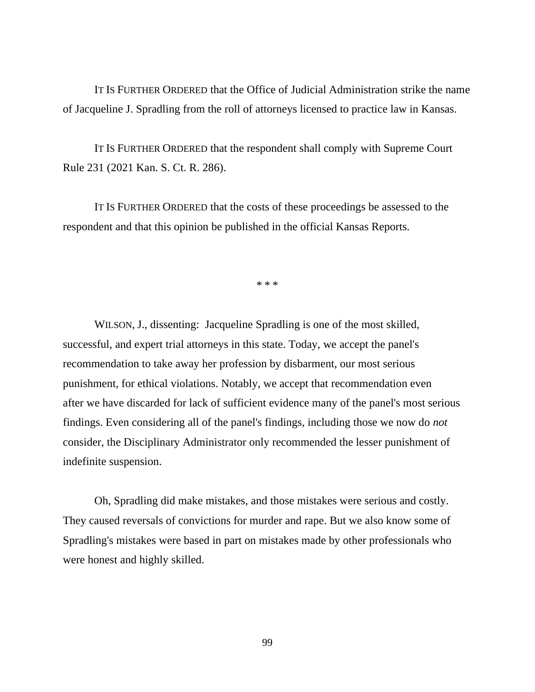IT IS FURTHER ORDERED that the Office of Judicial Administration strike the name of Jacqueline J. Spradling from the roll of attorneys licensed to practice law in Kansas.

IT IS FURTHER ORDERED that the respondent shall comply with Supreme Court Rule 231 (2021 Kan. S. Ct. R. 286).

IT IS FURTHER ORDERED that the costs of these proceedings be assessed to the respondent and that this opinion be published in the official Kansas Reports.

\* \* \*

WILSON, J., dissenting: Jacqueline Spradling is one of the most skilled, successful, and expert trial attorneys in this state. Today, we accept the panel's recommendation to take away her profession by disbarment, our most serious punishment, for ethical violations. Notably, we accept that recommendation even after we have discarded for lack of sufficient evidence many of the panel's most serious findings. Even considering all of the panel's findings, including those we now do *not* consider, the Disciplinary Administrator only recommended the lesser punishment of indefinite suspension.

Oh, Spradling did make mistakes, and those mistakes were serious and costly. They caused reversals of convictions for murder and rape. But we also know some of Spradling's mistakes were based in part on mistakes made by other professionals who were honest and highly skilled.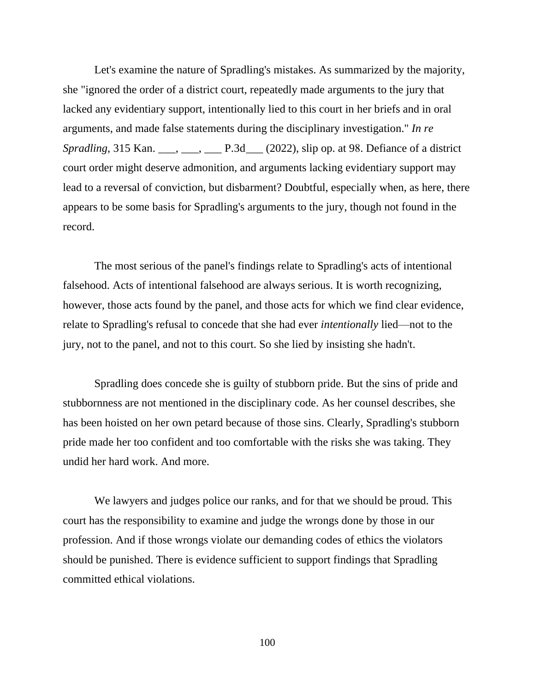Let's examine the nature of Spradling's mistakes. As summarized by the majority, she "ignored the order of a district court, repeatedly made arguments to the jury that lacked any evidentiary support, intentionally lied to this court in her briefs and in oral arguments, and made false statements during the disciplinary investigation." *In re Spradling*, 315 Kan. \_\_\_, \_\_\_, \_\_\_, P.3d \_\_\_ (2022), slip op. at 98. Defiance of a district court order might deserve admonition, and arguments lacking evidentiary support may lead to a reversal of conviction, but disbarment? Doubtful, especially when, as here, there appears to be some basis for Spradling's arguments to the jury, though not found in the record.

The most serious of the panel's findings relate to Spradling's acts of intentional falsehood. Acts of intentional falsehood are always serious. It is worth recognizing, however, those acts found by the panel, and those acts for which we find clear evidence, relate to Spradling's refusal to concede that she had ever *intentionally* lied—not to the jury, not to the panel, and not to this court. So she lied by insisting she hadn't.

Spradling does concede she is guilty of stubborn pride. But the sins of pride and stubbornness are not mentioned in the disciplinary code. As her counsel describes, she has been hoisted on her own petard because of those sins. Clearly, Spradling's stubborn pride made her too confident and too comfortable with the risks she was taking. They undid her hard work. And more.

We lawyers and judges police our ranks, and for that we should be proud. This court has the responsibility to examine and judge the wrongs done by those in our profession. And if those wrongs violate our demanding codes of ethics the violators should be punished. There is evidence sufficient to support findings that Spradling committed ethical violations.